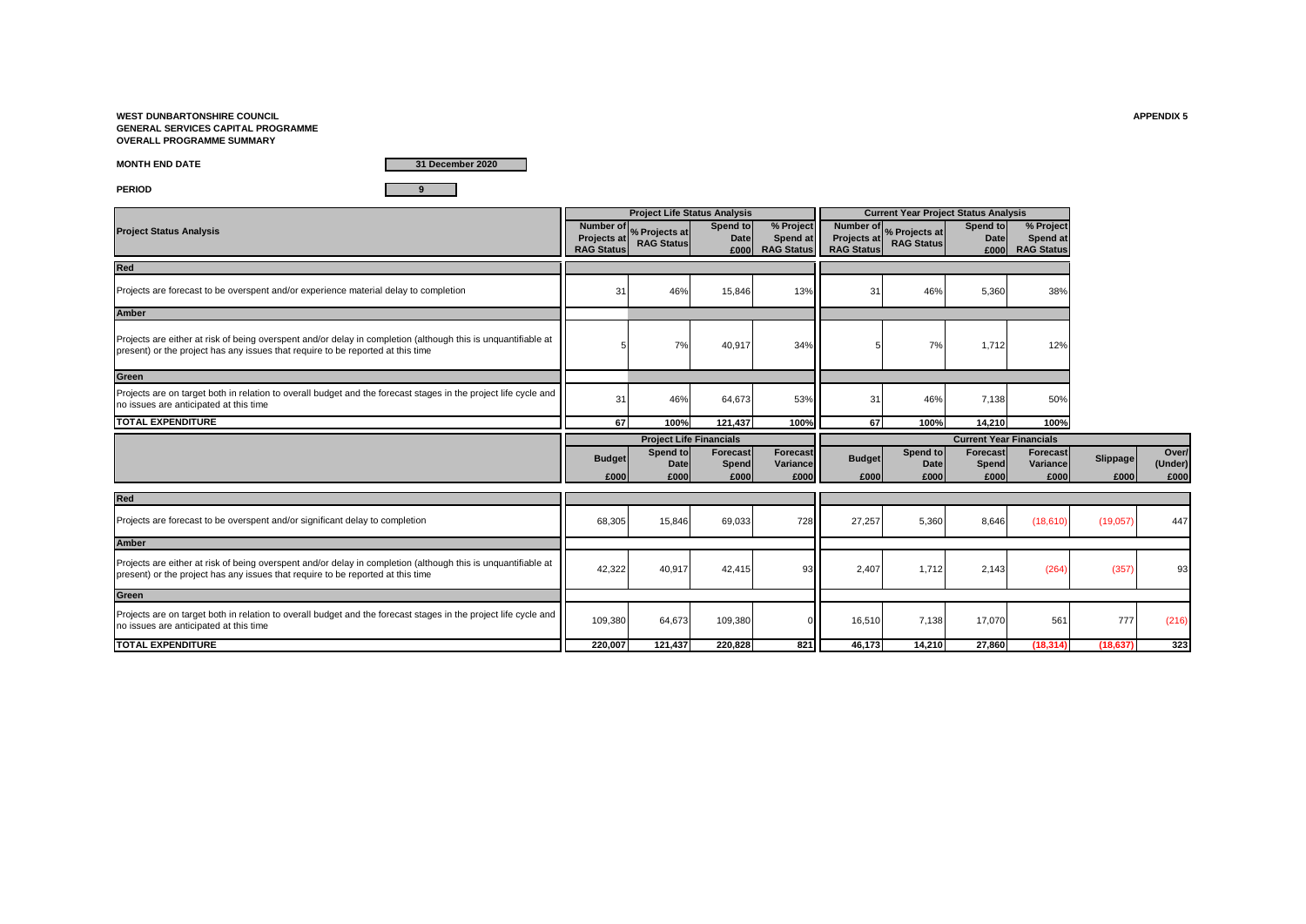**WEST DUNBARTONSHIRE COUNCIL APPENDIX 5 GENERAL SERVICES CAPITAL PROGRAMME OVERALL PROGRAMME SUMMARY**

**MONTH END DATE**

**31 December 2020**

**PERIOD 9**

|                                                                                                                                                                                                  |                                         | <b>Project Life Status Analysis</b>          |                                  |                                            |                                         | <b>Current Year Project Status Analysis</b>             |                                  |                                            |                  |                          |
|--------------------------------------------------------------------------------------------------------------------------------------------------------------------------------------------------|-----------------------------------------|----------------------------------------------|----------------------------------|--------------------------------------------|-----------------------------------------|---------------------------------------------------------|----------------------------------|--------------------------------------------|------------------|--------------------------|
| <b>Project Status Analysis</b>                                                                                                                                                                   | <b>Projects at</b><br><b>RAG Status</b> | Number of % Projects at<br><b>RAG Status</b> | Spend to<br><b>Date</b><br>£000  | % Project<br>Spend at<br><b>RAG Status</b> | <b>Projects at</b><br><b>RAG Status</b> | Number of <sub>%</sub> Projects at<br><b>RAG Status</b> | Spend to<br><b>Date</b><br>£000  | % Project<br>Spend at<br><b>RAG Status</b> |                  |                          |
| Red                                                                                                                                                                                              |                                         |                                              |                                  |                                            |                                         |                                                         |                                  |                                            |                  |                          |
| Projects are forecast to be overspent and/or experience material delay to completion                                                                                                             | 31                                      | 46%                                          | 15,846                           | 13%                                        | 31                                      | 46%                                                     | 5,360                            | 38%                                        |                  |                          |
| Amber                                                                                                                                                                                            |                                         |                                              |                                  |                                            |                                         |                                                         |                                  |                                            |                  |                          |
| Projects are either at risk of being overspent and/or delay in completion (although this is unquantifiable at<br>present) or the project has any issues that require to be reported at this time |                                         | 7%                                           | 40,917                           | 34%                                        |                                         | 7%                                                      | 1.712                            | 12%                                        |                  |                          |
| Green                                                                                                                                                                                            |                                         |                                              |                                  |                                            |                                         |                                                         |                                  |                                            |                  |                          |
| Projects are on target both in relation to overall budget and the forecast stages in the project life cycle and<br>no issues are anticipated at this time                                        | 31                                      | 46%                                          | 64,673                           | 53%                                        | 31                                      | 46%                                                     | 7,138                            | 50%                                        |                  |                          |
| <b>TOTAL EXPENDITURE</b>                                                                                                                                                                         | 67                                      | 100%                                         | 121.437                          | 100%                                       | 67                                      | 100%                                                    | 14.210                           | 100%                                       |                  |                          |
|                                                                                                                                                                                                  |                                         |                                              |                                  |                                            |                                         |                                                         |                                  |                                            |                  |                          |
|                                                                                                                                                                                                  |                                         | <b>Project Life Financials</b>               |                                  |                                            |                                         |                                                         | <b>Current Year Financials</b>   |                                            |                  |                          |
|                                                                                                                                                                                                  | <b>Budget</b><br>£000                   | Spend to<br><b>Date</b><br>£000              | <b>Forecast</b><br>Spend<br>£000 | <b>Forecast</b><br>Variance<br>£000        | <b>Budget</b><br>£000                   | Spend to<br>Date<br>£000                                | <b>Forecast</b><br>Spend<br>£000 | Forecast<br>Variance<br>£000               | Slippage<br>£000 | Over/<br>(Under)<br>£000 |
| Red                                                                                                                                                                                              |                                         |                                              |                                  |                                            |                                         |                                                         |                                  |                                            |                  |                          |
| Projects are forecast to be overspent and/or significant delay to completion                                                                                                                     | 68,305                                  | 15,846                                       | 69,033                           | 728                                        | 27,257                                  | 5,360                                                   | 8,646                            | (18,610)                                   | (19,057)         | 447                      |
| <b>Amber</b>                                                                                                                                                                                     |                                         |                                              |                                  |                                            |                                         |                                                         |                                  |                                            |                  |                          |
| Projects are either at risk of being overspent and/or delay in completion (although this is unguantifiable at<br>present) or the project has any issues that require to be reported at this time | 42,322                                  | 40,917                                       | 42,415                           | 93                                         | 2,407                                   | 1,712                                                   | 2,143                            | (264)                                      | (357)            | 93                       |
| Green                                                                                                                                                                                            |                                         |                                              |                                  |                                            |                                         |                                                         |                                  |                                            |                  |                          |
| Projects are on target both in relation to overall budget and the forecast stages in the project life cycle and<br>no issues are anticipated at this time                                        | 109,380                                 | 64,673                                       | 109,380                          |                                            | 16,510                                  | 7,138                                                   | 17,070                           | 561                                        | 777              | (216)                    |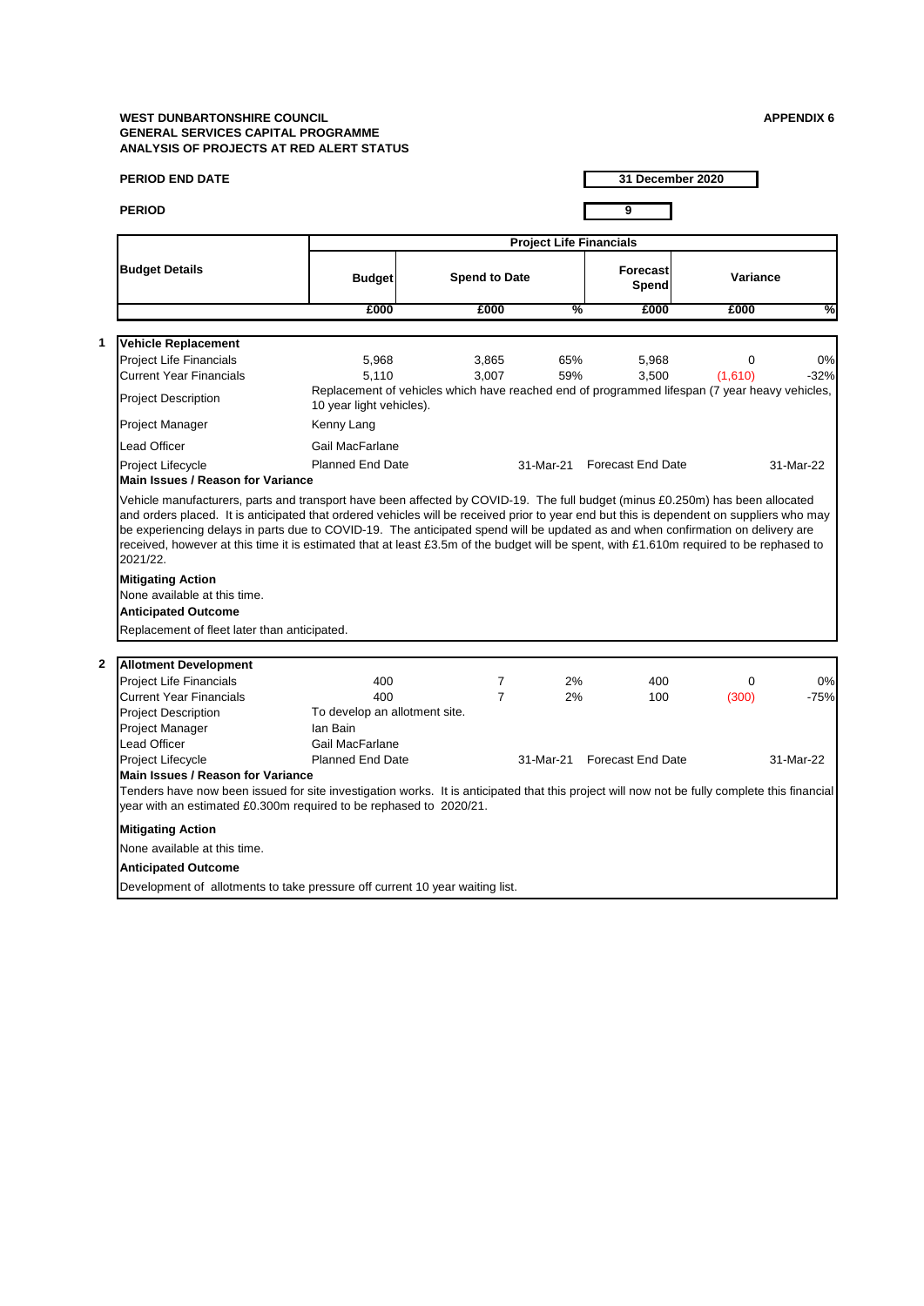|              | <b>PERIOD END DATE</b>                                                                                                                                                                                                                                                                                             |                                                              |                                                                                               |                                | 31 December 2020            |                     |              |
|--------------|--------------------------------------------------------------------------------------------------------------------------------------------------------------------------------------------------------------------------------------------------------------------------------------------------------------------|--------------------------------------------------------------|-----------------------------------------------------------------------------------------------|--------------------------------|-----------------------------|---------------------|--------------|
|              | <b>PERIOD</b>                                                                                                                                                                                                                                                                                                      |                                                              |                                                                                               |                                | 9                           |                     |              |
|              |                                                                                                                                                                                                                                                                                                                    |                                                              |                                                                                               | <b>Project Life Financials</b> |                             |                     |              |
|              | <b>Budget Details</b>                                                                                                                                                                                                                                                                                              | <b>Budget</b>                                                | <b>Spend to Date</b>                                                                          |                                | <b>Forecast</b><br>Spend    | Variance            |              |
|              |                                                                                                                                                                                                                                                                                                                    | £000                                                         | £000                                                                                          | %                              | £000                        | £000                | %            |
| 1            | <b>Vehicle Replacement</b>                                                                                                                                                                                                                                                                                         |                                                              |                                                                                               |                                |                             |                     |              |
|              | <b>Project Life Financials</b><br><b>Current Year Financials</b>                                                                                                                                                                                                                                                   | 5,968<br>5.110                                               | 3,865<br>3,007                                                                                | 65%<br>59%                     | 5,968<br>3,500              | $\Omega$<br>(1,610) | 0%<br>$-32%$ |
|              | <b>Project Description</b>                                                                                                                                                                                                                                                                                         | 10 year light vehicles).                                     | Replacement of vehicles which have reached end of programmed lifespan (7 year heavy vehicles, |                                |                             |                     |              |
|              | Project Manager                                                                                                                                                                                                                                                                                                    | Kenny Lang                                                   |                                                                                               |                                |                             |                     |              |
|              | Lead Officer                                                                                                                                                                                                                                                                                                       | Gail MacFarlane                                              |                                                                                               |                                |                             |                     |              |
|              | Project Lifecycle<br><b>Main Issues / Reason for Variance</b>                                                                                                                                                                                                                                                      | <b>Planned End Date</b>                                      |                                                                                               |                                | 31-Mar-21 Forecast End Date |                     | 31-Mar-22    |
|              | be experiencing delays in parts due to COVID-19. The anticipated spend will be updated as and when confirmation on delivery are<br>received, however at this time it is estimated that at least £3.5m of the budget will be spent, with £1.610m required to be rephased to<br>2021/22.<br><b>Mitigating Action</b> |                                                              |                                                                                               |                                |                             |                     |              |
|              | None available at this time.<br><b>Anticipated Outcome</b><br>Replacement of fleet later than anticipated.                                                                                                                                                                                                         |                                                              |                                                                                               |                                |                             |                     |              |
|              |                                                                                                                                                                                                                                                                                                                    |                                                              |                                                                                               |                                |                             |                     |              |
| $\mathbf{2}$ | <b>Allotment Development</b>                                                                                                                                                                                                                                                                                       |                                                              | 7                                                                                             | 2%                             |                             | 0                   |              |
|              | <b>Project Life Financials</b><br><b>Current Year Financials</b>                                                                                                                                                                                                                                                   | 400<br>400                                                   | $\overline{7}$                                                                                | 2%                             | 400<br>100                  | (300)               | 0%<br>$-75%$ |
|              | <b>Project Description</b><br>Project Manager<br>Lead Officer                                                                                                                                                                                                                                                      | To develop an allotment site.<br>lan Bain<br>Gail MacFarlane |                                                                                               |                                |                             |                     |              |
|              | Project Lifecycle                                                                                                                                                                                                                                                                                                  | <b>Planned End Date</b>                                      |                                                                                               | 31-Mar-21                      | <b>Forecast End Date</b>    |                     | 31-Mar-22    |
|              | <b>Main Issues / Reason for Variance</b><br>Tenders have now been issued for site investigation works. It is anticipated that this project will now not be fully complete this financial<br>year with an estimated £0.300m required to be rephased to 2020/21.                                                     |                                                              |                                                                                               |                                |                             |                     |              |
|              | <b>Mitigating Action</b>                                                                                                                                                                                                                                                                                           |                                                              |                                                                                               |                                |                             |                     |              |
|              | None available at this time.                                                                                                                                                                                                                                                                                       |                                                              |                                                                                               |                                |                             |                     |              |
|              | <b>Anticipated Outcome</b>                                                                                                                                                                                                                                                                                         |                                                              |                                                                                               |                                |                             |                     |              |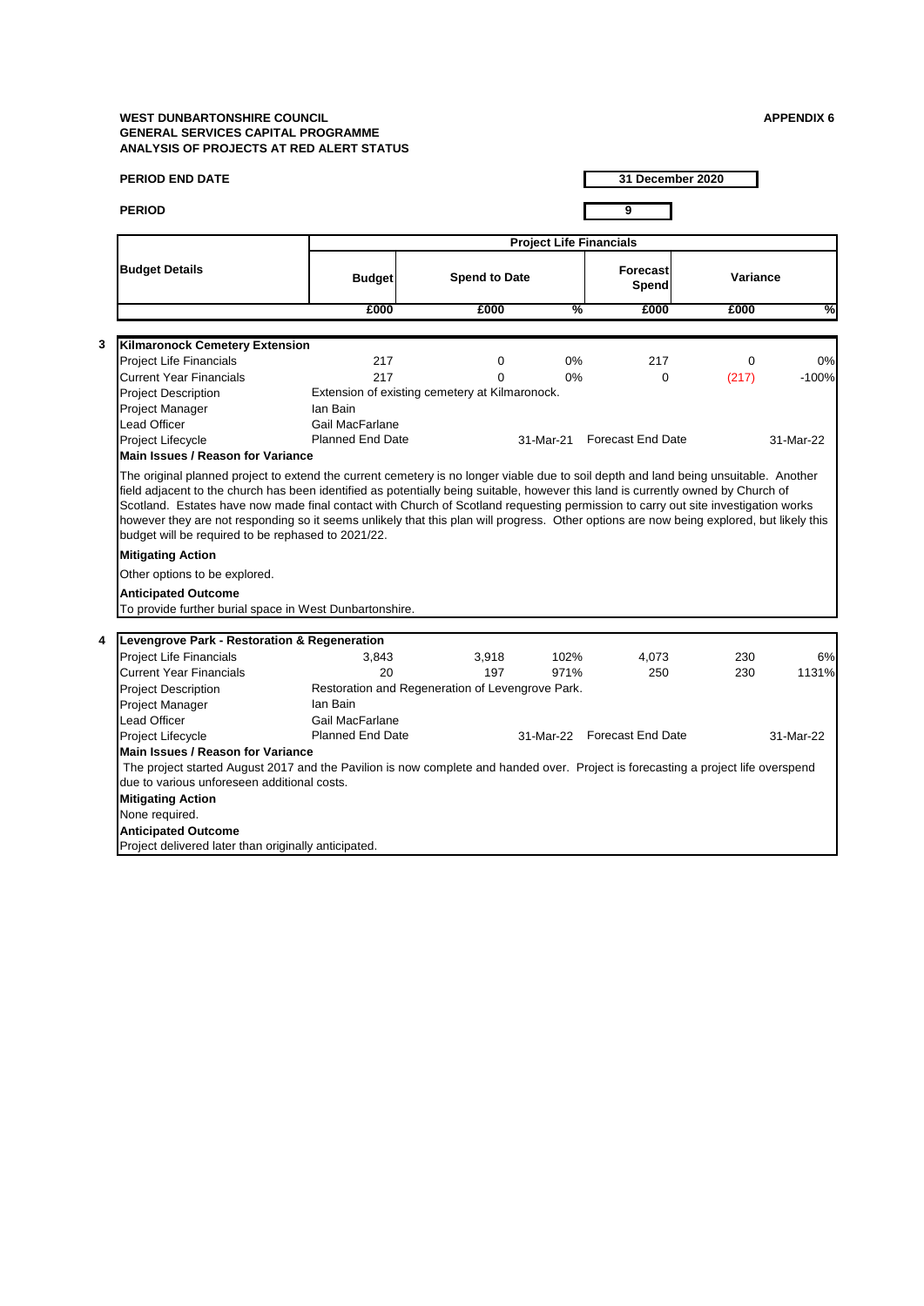| <b>PERIOD END DATE</b>                                                                                                            |                                                                                                                                          |                      |                                | 31 December 2020            |          |           |
|-----------------------------------------------------------------------------------------------------------------------------------|------------------------------------------------------------------------------------------------------------------------------------------|----------------------|--------------------------------|-----------------------------|----------|-----------|
| <b>PERIOD</b>                                                                                                                     |                                                                                                                                          |                      |                                | 9                           |          |           |
|                                                                                                                                   |                                                                                                                                          |                      | <b>Project Life Financials</b> |                             |          |           |
| <b>Budget Details</b>                                                                                                             | <b>Budget</b>                                                                                                                            | <b>Spend to Date</b> |                                | <b>Forecast</b><br>Spend    | Variance |           |
|                                                                                                                                   | £000                                                                                                                                     | £000                 | %                              | £000                        | £000     | %         |
|                                                                                                                                   |                                                                                                                                          |                      |                                |                             |          |           |
| 3<br><b>Kilmaronock Cemetery Extension</b>                                                                                        |                                                                                                                                          |                      |                                |                             |          |           |
| <b>Project Life Financials</b>                                                                                                    | 217                                                                                                                                      | 0                    | 0%                             | 217                         | $\Omega$ | 0%        |
| <b>Current Year Financials</b>                                                                                                    | 217                                                                                                                                      | $\Omega$             | 0%                             | $\Omega$                    | (217)    | $-100%$   |
| <b>Project Description</b>                                                                                                        | Extension of existing cemetery at Kilmaronock.                                                                                           |                      |                                |                             |          |           |
| Project Manager                                                                                                                   | Ian Bain                                                                                                                                 |                      |                                |                             |          |           |
| Lead Officer                                                                                                                      | Gail MacFarlane                                                                                                                          |                      |                                |                             |          |           |
| Project Lifecycle                                                                                                                 | <b>Planned End Date</b>                                                                                                                  |                      |                                | 31-Mar-21 Forecast End Date |          | 31-Mar-22 |
| Main Issues / Reason for Variance                                                                                                 |                                                                                                                                          |                      |                                |                             |          |           |
| field adjacent to the church has been identified as potentially being suitable, however this land is currently owned by Church of | Scotland. Estates have now made final contact with Church of Scotland requesting permission to carry out site investigation works        |                      |                                |                             |          |           |
| budget will be required to be rephased to 2021/22.<br><b>Mitigating Action</b><br>Other options to be explored.                   | however they are not responding so it seems unlikely that this plan will progress. Other options are now being explored, but likely this |                      |                                |                             |          |           |
| <b>Anticipated Outcome</b>                                                                                                        |                                                                                                                                          |                      |                                |                             |          |           |
|                                                                                                                                   | To provide further burial space in West Dunbartonshire.                                                                                  |                      |                                |                             |          |           |
|                                                                                                                                   |                                                                                                                                          |                      |                                |                             |          |           |
| Levengrove Park - Restoration & Regeneration<br>4                                                                                 |                                                                                                                                          |                      |                                |                             |          |           |
| <b>Project Life Financials</b>                                                                                                    | 3,843                                                                                                                                    | 3,918                | 102%                           | 4,073                       | 230      | 6%        |
| Current Year Financials                                                                                                           | 20                                                                                                                                       | 197                  | 971%                           | 250                         | 230      | 1131%     |
| <b>Project Description</b>                                                                                                        | Restoration and Regeneration of Levengrove Park.                                                                                         |                      |                                |                             |          |           |
| <b>Project Manager</b>                                                                                                            | Ian Bain                                                                                                                                 |                      |                                |                             |          |           |
| Lead Officer                                                                                                                      | Gail MacFarlane<br><b>Planned End Date</b>                                                                                               |                      |                                |                             |          |           |
| Project Lifecycle<br><b>Main Issues / Reason for Variance</b>                                                                     |                                                                                                                                          |                      |                                | 31-Mar-22 Forecast End Date |          | 31-Mar-22 |
| due to various unforeseen additional costs.                                                                                       | The project started August 2017 and the Pavilion is now complete and handed over. Project is forecasting a project life overspend        |                      |                                |                             |          |           |
| <b>Mitigating Action</b>                                                                                                          |                                                                                                                                          |                      |                                |                             |          |           |
| None required.                                                                                                                    |                                                                                                                                          |                      |                                |                             |          |           |
| <b>Anticipated Outcome</b>                                                                                                        |                                                                                                                                          |                      |                                |                             |          |           |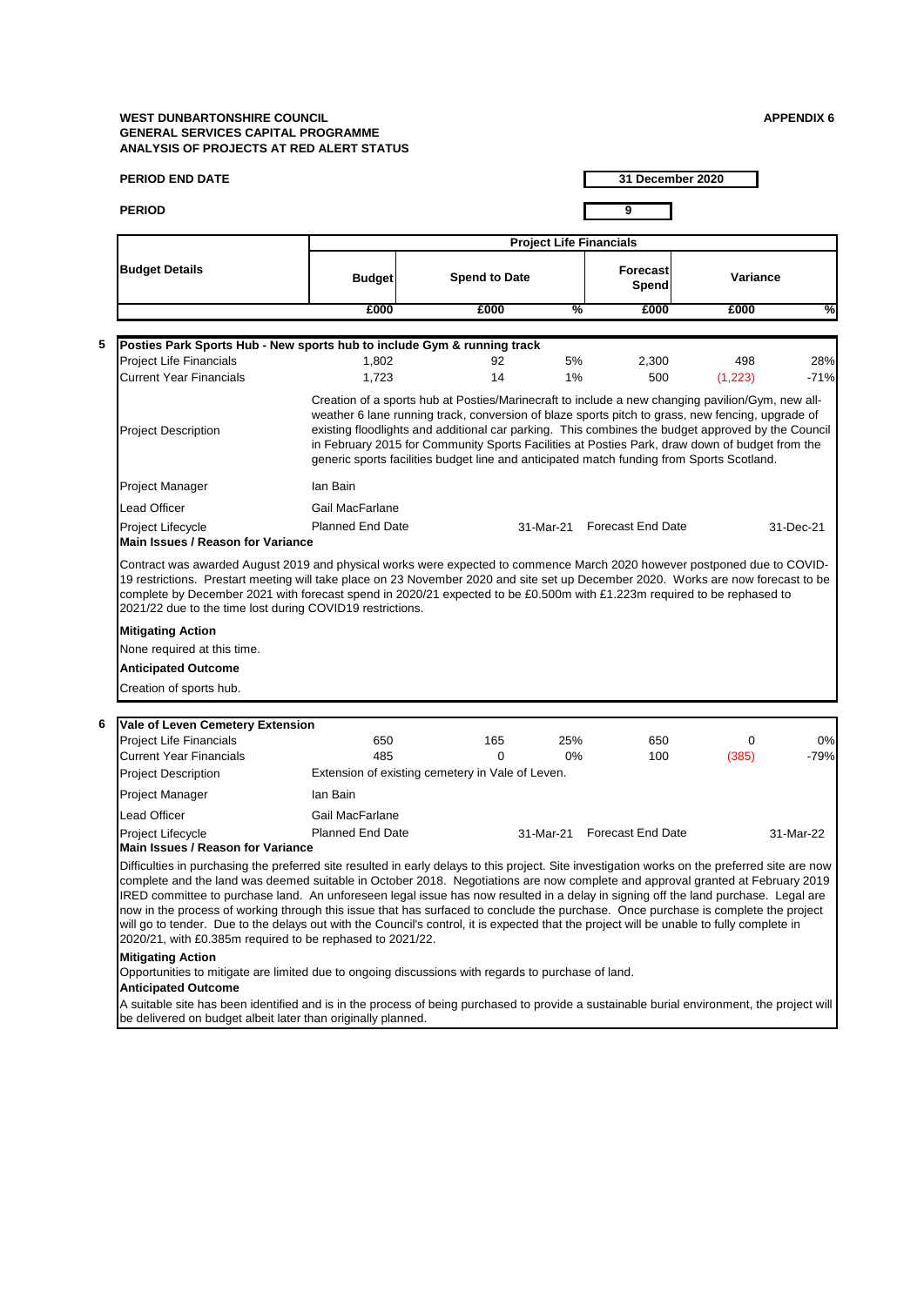**6**

| <b>PERIOD END DATE</b>                                                                                                                                                                                                                                                                                                                                                                                                                                                                                                                                                                                                                                                                                                                                                |                         |                                                                                                                                                                                                                                                                                                                                                                                                      |                                | 31 December 2020            |                |               |
|-----------------------------------------------------------------------------------------------------------------------------------------------------------------------------------------------------------------------------------------------------------------------------------------------------------------------------------------------------------------------------------------------------------------------------------------------------------------------------------------------------------------------------------------------------------------------------------------------------------------------------------------------------------------------------------------------------------------------------------------------------------------------|-------------------------|------------------------------------------------------------------------------------------------------------------------------------------------------------------------------------------------------------------------------------------------------------------------------------------------------------------------------------------------------------------------------------------------------|--------------------------------|-----------------------------|----------------|---------------|
| <b>PERIOD</b>                                                                                                                                                                                                                                                                                                                                                                                                                                                                                                                                                                                                                                                                                                                                                         |                         |                                                                                                                                                                                                                                                                                                                                                                                                      |                                | 9                           |                |               |
|                                                                                                                                                                                                                                                                                                                                                                                                                                                                                                                                                                                                                                                                                                                                                                       |                         |                                                                                                                                                                                                                                                                                                                                                                                                      | <b>Project Life Financials</b> |                             |                |               |
| <b>Budget Details</b>                                                                                                                                                                                                                                                                                                                                                                                                                                                                                                                                                                                                                                                                                                                                                 | <b>Budget</b>           | <b>Spend to Date</b>                                                                                                                                                                                                                                                                                                                                                                                 |                                | <b>Forecast</b><br>Spend    | Variance       |               |
|                                                                                                                                                                                                                                                                                                                                                                                                                                                                                                                                                                                                                                                                                                                                                                       | £000                    | £000                                                                                                                                                                                                                                                                                                                                                                                                 | %                              | £000                        | £000           | %             |
|                                                                                                                                                                                                                                                                                                                                                                                                                                                                                                                                                                                                                                                                                                                                                                       |                         |                                                                                                                                                                                                                                                                                                                                                                                                      |                                |                             |                |               |
| Posties Park Sports Hub - New sports hub to include Gym & running track                                                                                                                                                                                                                                                                                                                                                                                                                                                                                                                                                                                                                                                                                               |                         |                                                                                                                                                                                                                                                                                                                                                                                                      |                                |                             |                |               |
| Project Life Financials<br><b>Current Year Financials</b>                                                                                                                                                                                                                                                                                                                                                                                                                                                                                                                                                                                                                                                                                                             | 1,802<br>1,723          | 92<br>14                                                                                                                                                                                                                                                                                                                                                                                             | 5%<br>1%                       | 2.300<br>500                | 498<br>(1,223) | 28%<br>$-71%$ |
|                                                                                                                                                                                                                                                                                                                                                                                                                                                                                                                                                                                                                                                                                                                                                                       |                         | Creation of a sports hub at Posties/Marinecraft to include a new changing pavilion/Gym, new all-                                                                                                                                                                                                                                                                                                     |                                |                             |                |               |
| <b>Project Description</b>                                                                                                                                                                                                                                                                                                                                                                                                                                                                                                                                                                                                                                                                                                                                            |                         | weather 6 lane running track, conversion of blaze sports pitch to grass, new fencing, upgrade of<br>existing floodlights and additional car parking. This combines the budget approved by the Council<br>in February 2015 for Community Sports Facilities at Posties Park, draw down of budget from the<br>generic sports facilities budget line and anticipated match funding from Sports Scotland. |                                |                             |                |               |
| Project Manager                                                                                                                                                                                                                                                                                                                                                                                                                                                                                                                                                                                                                                                                                                                                                       | Ian Bain                |                                                                                                                                                                                                                                                                                                                                                                                                      |                                |                             |                |               |
| Lead Officer                                                                                                                                                                                                                                                                                                                                                                                                                                                                                                                                                                                                                                                                                                                                                          | Gail MacFarlane         |                                                                                                                                                                                                                                                                                                                                                                                                      |                                |                             |                |               |
| Project Lifecycle                                                                                                                                                                                                                                                                                                                                                                                                                                                                                                                                                                                                                                                                                                                                                     | <b>Planned End Date</b> |                                                                                                                                                                                                                                                                                                                                                                                                      |                                | 31-Mar-21 Forecast End Date |                | 31-Dec-21     |
| Main Issues / Reason for Variance                                                                                                                                                                                                                                                                                                                                                                                                                                                                                                                                                                                                                                                                                                                                     |                         |                                                                                                                                                                                                                                                                                                                                                                                                      |                                |                             |                |               |
| None required at this time.<br><b>Anticipated Outcome</b>                                                                                                                                                                                                                                                                                                                                                                                                                                                                                                                                                                                                                                                                                                             |                         |                                                                                                                                                                                                                                                                                                                                                                                                      |                                |                             |                |               |
| Creation of sports hub.                                                                                                                                                                                                                                                                                                                                                                                                                                                                                                                                                                                                                                                                                                                                               |                         |                                                                                                                                                                                                                                                                                                                                                                                                      |                                |                             |                |               |
| Vale of Leven Cemetery Extension                                                                                                                                                                                                                                                                                                                                                                                                                                                                                                                                                                                                                                                                                                                                      |                         |                                                                                                                                                                                                                                                                                                                                                                                                      |                                |                             |                |               |
| <b>Project Life Financials</b>                                                                                                                                                                                                                                                                                                                                                                                                                                                                                                                                                                                                                                                                                                                                        | 650                     | 165                                                                                                                                                                                                                                                                                                                                                                                                  | 25%                            | 650                         | 0              | 0%            |
| <b>Current Year Financials</b>                                                                                                                                                                                                                                                                                                                                                                                                                                                                                                                                                                                                                                                                                                                                        | 485                     | 0                                                                                                                                                                                                                                                                                                                                                                                                    | $0\%$                          | 100                         | (385)          | $-79%$        |
| <b>Project Description</b>                                                                                                                                                                                                                                                                                                                                                                                                                                                                                                                                                                                                                                                                                                                                            |                         | Extension of existing cemetery in Vale of Leven.                                                                                                                                                                                                                                                                                                                                                     |                                |                             |                |               |
| Project Manager                                                                                                                                                                                                                                                                                                                                                                                                                                                                                                                                                                                                                                                                                                                                                       | Ian Bain                |                                                                                                                                                                                                                                                                                                                                                                                                      |                                |                             |                |               |
| Lead Officer                                                                                                                                                                                                                                                                                                                                                                                                                                                                                                                                                                                                                                                                                                                                                          | Gail MacFarlane         |                                                                                                                                                                                                                                                                                                                                                                                                      |                                |                             |                |               |
| Project Lifecycle<br><b>Main Issues / Reason for Variance</b>                                                                                                                                                                                                                                                                                                                                                                                                                                                                                                                                                                                                                                                                                                         | <b>Planned End Date</b> |                                                                                                                                                                                                                                                                                                                                                                                                      | 31-Mar-21                      | <b>Forecast End Date</b>    |                | 31-Mar-22     |
| Difficulties in purchasing the preferred site resulted in early delays to this project. Site investigation works on the preferred site are now<br>complete and the land was deemed suitable in October 2018. Negotiations are now complete and approval granted at February 2019<br>IRED committee to purchase land. An unforeseen legal issue has now resulted in a delay in signing off the land purchase. Legal are<br>now in the process of working through this issue that has surfaced to conclude the purchase. Once purchase is complete the project<br>will go to tender. Due to the delays out with the Council's control, it is expected that the project will be unable to fully complete in<br>2020/21, with £0.385m required to be rephased to 2021/22. |                         |                                                                                                                                                                                                                                                                                                                                                                                                      |                                |                             |                |               |
| <b>Mitigating Action</b><br>Opportunities to mitigate are limited due to ongoing discussions with regards to purchase of land.<br><b>Anticipated Outcome</b>                                                                                                                                                                                                                                                                                                                                                                                                                                                                                                                                                                                                          |                         |                                                                                                                                                                                                                                                                                                                                                                                                      |                                |                             |                |               |
| A suitable site has been identified and is in the process of being purchased to provide a sustainable burial environment, the project will<br>be delivered on budget albeit later than originally planned.                                                                                                                                                                                                                                                                                                                                                                                                                                                                                                                                                            |                         |                                                                                                                                                                                                                                                                                                                                                                                                      |                                |                             |                |               |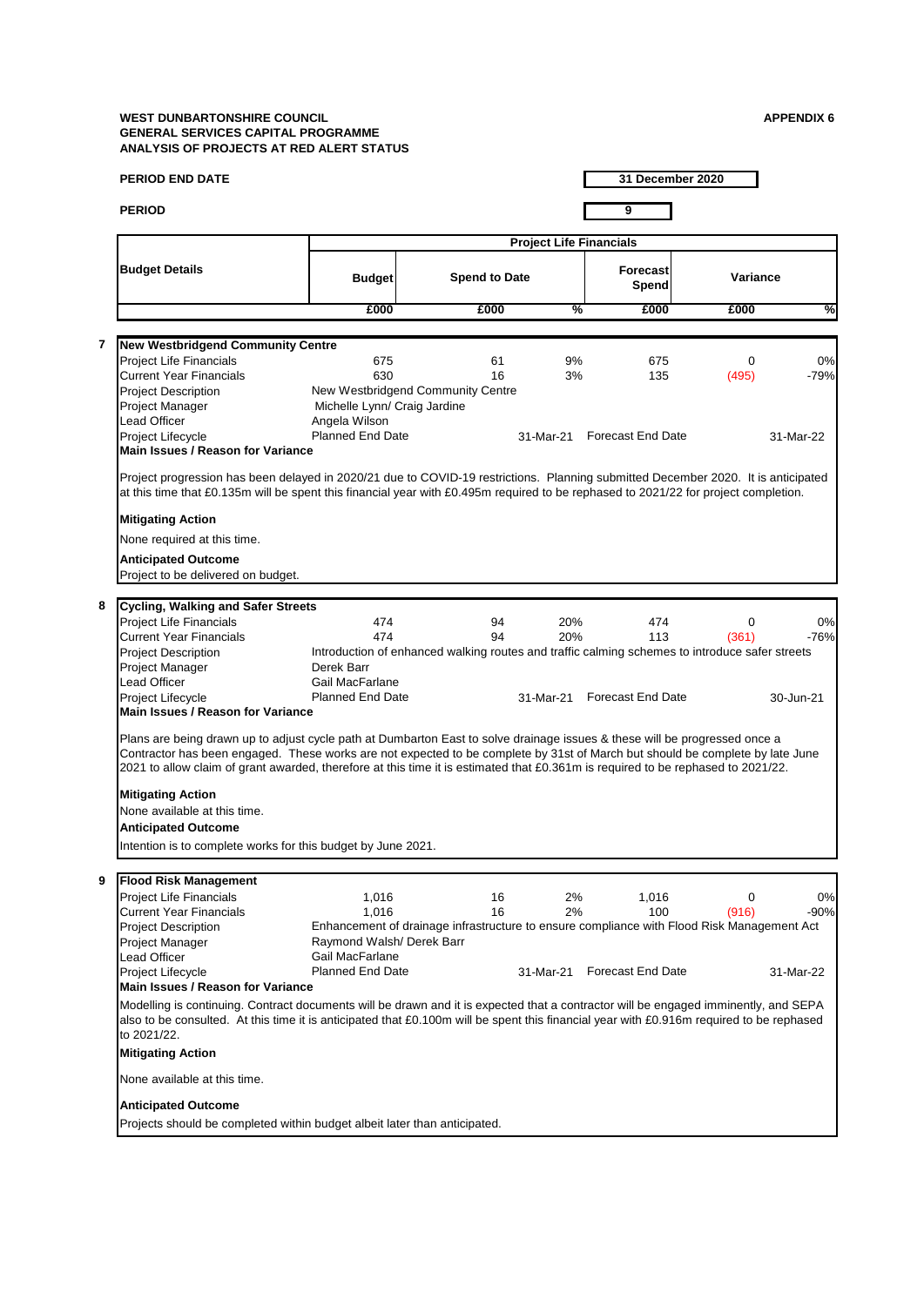|                | PERIOD END DATE                                                                                                                                                                                                                                                                                                                                                                                                                                             |                                               |                                                                                                |                                |                             | 31 December 2020 |           |
|----------------|-------------------------------------------------------------------------------------------------------------------------------------------------------------------------------------------------------------------------------------------------------------------------------------------------------------------------------------------------------------------------------------------------------------------------------------------------------------|-----------------------------------------------|------------------------------------------------------------------------------------------------|--------------------------------|-----------------------------|------------------|-----------|
|                | <b>PERIOD</b>                                                                                                                                                                                                                                                                                                                                                                                                                                               |                                               |                                                                                                |                                | 9                           |                  |           |
|                |                                                                                                                                                                                                                                                                                                                                                                                                                                                             |                                               |                                                                                                | <b>Project Life Financials</b> |                             |                  |           |
|                | <b>Budget Details</b>                                                                                                                                                                                                                                                                                                                                                                                                                                       | <b>Budget</b>                                 | <b>Spend to Date</b>                                                                           |                                | <b>Forecast</b><br>Spend    | Variance         |           |
|                |                                                                                                                                                                                                                                                                                                                                                                                                                                                             | £000                                          | £000                                                                                           | %                              | £000                        | £000             | %         |
|                |                                                                                                                                                                                                                                                                                                                                                                                                                                                             |                                               |                                                                                                |                                |                             |                  |           |
| $\overline{7}$ | <b>New Westbridgend Community Centre</b>                                                                                                                                                                                                                                                                                                                                                                                                                    |                                               |                                                                                                |                                |                             |                  |           |
|                | <b>Project Life Financials</b>                                                                                                                                                                                                                                                                                                                                                                                                                              | 675                                           | 61                                                                                             | 9%                             | 675                         | 0                | 0%        |
|                | <b>Current Year Financials</b>                                                                                                                                                                                                                                                                                                                                                                                                                              | 630                                           | 16                                                                                             | 3%                             | 135                         | (495)            | $-79%$    |
|                | <b>Project Description</b>                                                                                                                                                                                                                                                                                                                                                                                                                                  |                                               | New Westbridgend Community Centre                                                              |                                |                             |                  |           |
|                | Project Manager<br>Lead Officer                                                                                                                                                                                                                                                                                                                                                                                                                             | Michelle Lynn/ Craig Jardine<br>Angela Wilson |                                                                                                |                                |                             |                  |           |
|                | Project Lifecycle                                                                                                                                                                                                                                                                                                                                                                                                                                           | <b>Planned End Date</b>                       |                                                                                                |                                | 31-Mar-21 Forecast End Date |                  | 31-Mar-22 |
|                | <b>Main Issues / Reason for Variance</b>                                                                                                                                                                                                                                                                                                                                                                                                                    |                                               |                                                                                                |                                |                             |                  |           |
|                | Project progression has been delayed in 2020/21 due to COVID-19 restrictions. Planning submitted December 2020. It is anticipated<br>at this time that £0.135m will be spent this financial year with £0.495m required to be rephased to 2021/22 for project completion.<br><b>Mitigating Action</b><br>None required at this time.                                                                                                                         |                                               |                                                                                                |                                |                             |                  |           |
|                | <b>Anticipated Outcome</b><br>Project to be delivered on budget.                                                                                                                                                                                                                                                                                                                                                                                            |                                               |                                                                                                |                                |                             |                  |           |
|                |                                                                                                                                                                                                                                                                                                                                                                                                                                                             |                                               |                                                                                                |                                |                             |                  |           |
| 8              | <b>Cycling, Walking and Safer Streets</b>                                                                                                                                                                                                                                                                                                                                                                                                                   |                                               |                                                                                                |                                |                             |                  |           |
|                | <b>Project Life Financials</b>                                                                                                                                                                                                                                                                                                                                                                                                                              | 474                                           | 94                                                                                             | 20%                            | 474                         | $\mathbf 0$      | 0%        |
|                | <b>Current Year Financials</b>                                                                                                                                                                                                                                                                                                                                                                                                                              | 474                                           | 94                                                                                             | 20%                            | 113                         | (361)            | $-76%$    |
|                | <b>Project Description</b>                                                                                                                                                                                                                                                                                                                                                                                                                                  |                                               | Introduction of enhanced walking routes and traffic calming schemes to introduce safer streets |                                |                             |                  |           |
|                | Project Manager                                                                                                                                                                                                                                                                                                                                                                                                                                             | Derek Barr                                    |                                                                                                |                                |                             |                  |           |
|                | Lead Officer                                                                                                                                                                                                                                                                                                                                                                                                                                                | Gail MacFarlane<br>Planned End Date           |                                                                                                |                                | 31-Mar-21 Forecast End Date |                  |           |
|                | Project Lifecycle<br><b>Main Issues / Reason for Variance</b>                                                                                                                                                                                                                                                                                                                                                                                               |                                               |                                                                                                |                                |                             |                  | 30-Jun-21 |
|                | Plans are being drawn up to adjust cycle path at Dumbarton East to solve drainage issues & these will be progressed once a<br>Contractor has been engaged. These works are not expected to be complete by 31st of March but should be complete by late June<br>2021 to allow claim of grant awarded, therefore at this time it is estimated that £0.361m is required to be rephased to 2021/22.<br><b>Mitigating Action</b><br>None available at this time. |                                               |                                                                                                |                                |                             |                  |           |
|                | <b>Anticipated Outcome</b>                                                                                                                                                                                                                                                                                                                                                                                                                                  |                                               |                                                                                                |                                |                             |                  |           |
|                | Intention is to complete works for this budget by June 2021.                                                                                                                                                                                                                                                                                                                                                                                                |                                               |                                                                                                |                                |                             |                  |           |
| 9              | <b>Flood Risk Management</b>                                                                                                                                                                                                                                                                                                                                                                                                                                |                                               |                                                                                                |                                |                             |                  |           |
|                | Project Life Financials                                                                                                                                                                                                                                                                                                                                                                                                                                     | 1,016                                         | 16                                                                                             | 2%                             | 1,016                       | $\mathbf 0$      | 0%        |
|                | Current Year Financials                                                                                                                                                                                                                                                                                                                                                                                                                                     | 1,016                                         | 16                                                                                             | 2%                             | 100                         | (916)            | -90%      |
|                | <b>Project Description</b>                                                                                                                                                                                                                                                                                                                                                                                                                                  |                                               | Enhancement of drainage infrastructure to ensure compliance with Flood Risk Management Act     |                                |                             |                  |           |
|                | Project Manager                                                                                                                                                                                                                                                                                                                                                                                                                                             | Raymond Walsh/ Derek Barr                     |                                                                                                |                                |                             |                  |           |
|                | Lead Officer                                                                                                                                                                                                                                                                                                                                                                                                                                                | Gail MacFarlane                               |                                                                                                |                                |                             |                  |           |
|                | Project Lifecycle                                                                                                                                                                                                                                                                                                                                                                                                                                           | <b>Planned End Date</b>                       |                                                                                                | 31-Mar-21                      | <b>Forecast End Date</b>    |                  | 31-Mar-22 |
|                | Main Issues / Reason for Variance                                                                                                                                                                                                                                                                                                                                                                                                                           |                                               |                                                                                                |                                |                             |                  |           |
|                | Modelling is continuing. Contract documents will be drawn and it is expected that a contractor will be engaged imminently, and SEPA<br>also to be consulted. At this time it is anticipated that £0.100m will be spent this financial year with £0.916m required to be rephased<br>to 2021/22.                                                                                                                                                              |                                               |                                                                                                |                                |                             |                  |           |
|                | <b>Mitigating Action</b>                                                                                                                                                                                                                                                                                                                                                                                                                                    |                                               |                                                                                                |                                |                             |                  |           |
|                | None available at this time.                                                                                                                                                                                                                                                                                                                                                                                                                                |                                               |                                                                                                |                                |                             |                  |           |
|                | <b>Anticipated Outcome</b>                                                                                                                                                                                                                                                                                                                                                                                                                                  |                                               |                                                                                                |                                |                             |                  |           |
|                | Projects should be completed within budget albeit later than anticipated.                                                                                                                                                                                                                                                                                                                                                                                   |                                               |                                                                                                |                                |                             |                  |           |
|                |                                                                                                                                                                                                                                                                                                                                                                                                                                                             |                                               |                                                                                                |                                |                             |                  |           |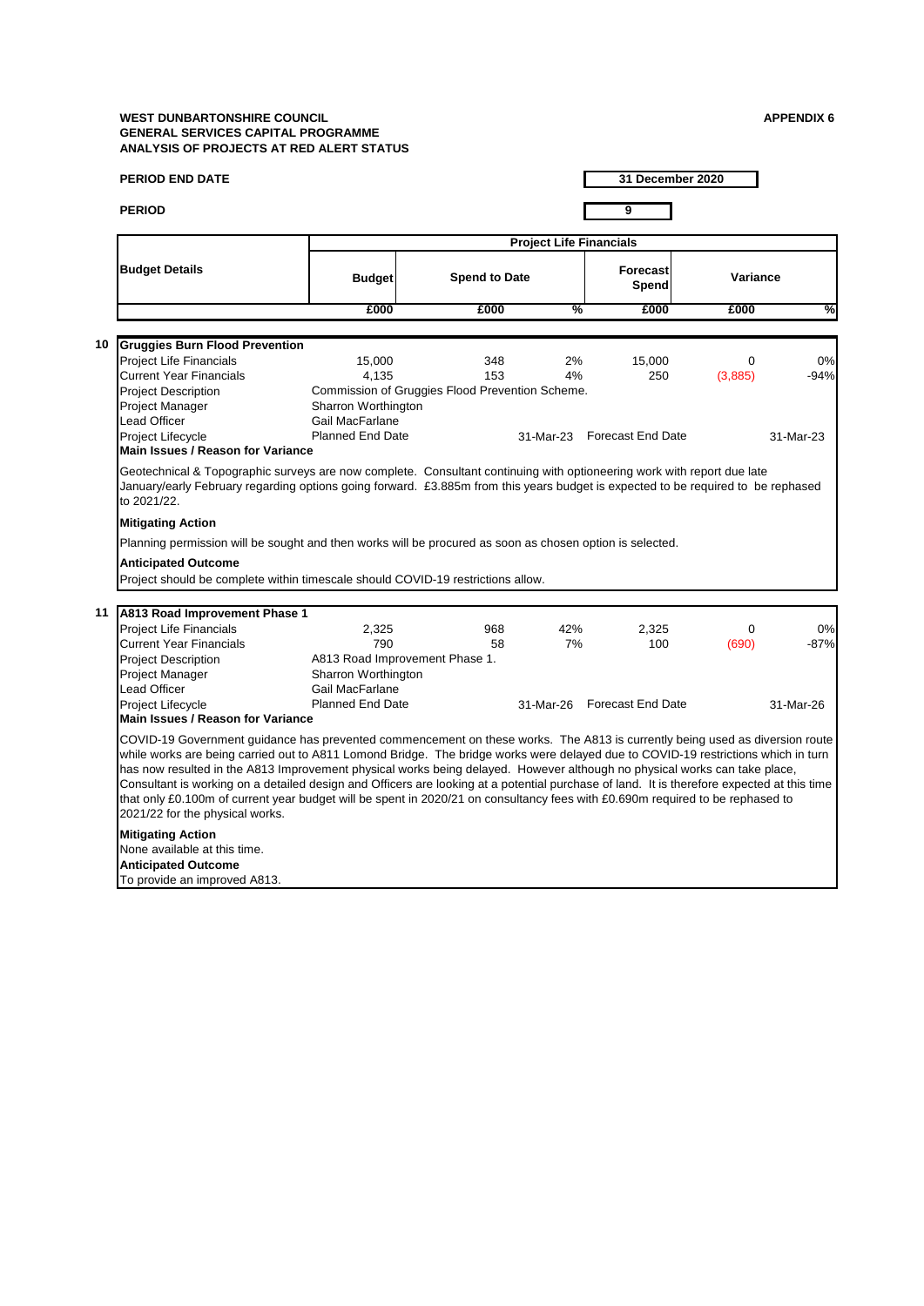|    | <b>PERIOD END DATE</b>                                                                                                                                                                                                                                                                                                                                                                                                                                                                                                                                                                                                                                                                                                                                      |                                                                                   |                                                               |                                | 31 December 2020                            |                     |                           |  |  |
|----|-------------------------------------------------------------------------------------------------------------------------------------------------------------------------------------------------------------------------------------------------------------------------------------------------------------------------------------------------------------------------------------------------------------------------------------------------------------------------------------------------------------------------------------------------------------------------------------------------------------------------------------------------------------------------------------------------------------------------------------------------------------|-----------------------------------------------------------------------------------|---------------------------------------------------------------|--------------------------------|---------------------------------------------|---------------------|---------------------------|--|--|
|    | <b>PERIOD</b>                                                                                                                                                                                                                                                                                                                                                                                                                                                                                                                                                                                                                                                                                                                                               |                                                                                   |                                                               |                                | 9                                           |                     |                           |  |  |
|    |                                                                                                                                                                                                                                                                                                                                                                                                                                                                                                                                                                                                                                                                                                                                                             |                                                                                   |                                                               | <b>Project Life Financials</b> |                                             |                     |                           |  |  |
|    | <b>Budget Details</b>                                                                                                                                                                                                                                                                                                                                                                                                                                                                                                                                                                                                                                                                                                                                       | <b>Budget</b>                                                                     | <b>Spend to Date</b>                                          |                                | <b>Forecast</b><br>Spend                    | Variance            |                           |  |  |
|    |                                                                                                                                                                                                                                                                                                                                                                                                                                                                                                                                                                                                                                                                                                                                                             | £000                                                                              | £000                                                          | %                              | £000                                        | £000                | %                         |  |  |
|    |                                                                                                                                                                                                                                                                                                                                                                                                                                                                                                                                                                                                                                                                                                                                                             |                                                                                   |                                                               |                                |                                             |                     |                           |  |  |
| 10 | <b>Gruggies Burn Flood Prevention</b><br><b>Project Life Financials</b><br><b>Current Year Financials</b><br><b>Project Description</b>                                                                                                                                                                                                                                                                                                                                                                                                                                                                                                                                                                                                                     | 15,000<br>4.135                                                                   | 348<br>153<br>Commission of Gruggies Flood Prevention Scheme. | 2%<br>4%                       | 15,000<br>250                               | $\Omega$<br>(3,885) | 0%<br>$-94%$              |  |  |
|    | Project Manager<br><b>Lead Officer</b><br>Proiect Lifecvcle<br><b>Main Issues / Reason for Variance</b>                                                                                                                                                                                                                                                                                                                                                                                                                                                                                                                                                                                                                                                     | Sharron Worthington<br>Gail MacFarlane<br><b>Planned End Date</b>                 |                                                               |                                | 31-Mar-23 Forecast End Date                 |                     | 31-Mar-23                 |  |  |
|    | Geotechnical & Topographic surveys are now complete. Consultant continuing with optioneering work with report due late<br>January/early February regarding options going forward. £3.885m from this years budget is expected to be required to be rephased<br>to 2021/22.                                                                                                                                                                                                                                                                                                                                                                                                                                                                                   |                                                                                   |                                                               |                                |                                             |                     |                           |  |  |
|    | <b>Mitigating Action</b>                                                                                                                                                                                                                                                                                                                                                                                                                                                                                                                                                                                                                                                                                                                                    |                                                                                   |                                                               |                                |                                             |                     |                           |  |  |
|    | Planning permission will be sought and then works will be procured as soon as chosen option is selected.                                                                                                                                                                                                                                                                                                                                                                                                                                                                                                                                                                                                                                                    |                                                                                   |                                                               |                                |                                             |                     |                           |  |  |
|    | <b>Anticipated Outcome</b>                                                                                                                                                                                                                                                                                                                                                                                                                                                                                                                                                                                                                                                                                                                                  |                                                                                   |                                                               |                                |                                             |                     |                           |  |  |
|    | Project should be complete within timescale should COVID-19 restrictions allow.                                                                                                                                                                                                                                                                                                                                                                                                                                                                                                                                                                                                                                                                             |                                                                                   |                                                               |                                |                                             |                     |                           |  |  |
|    |                                                                                                                                                                                                                                                                                                                                                                                                                                                                                                                                                                                                                                                                                                                                                             |                                                                                   |                                                               |                                |                                             |                     |                           |  |  |
| 11 | A813 Road Improvement Phase 1<br><b>Project Life Financials</b><br>Current Year Financials<br><b>Project Description</b><br>Project Manager<br>Lead Officer<br>Project Lifecycle                                                                                                                                                                                                                                                                                                                                                                                                                                                                                                                                                                            | 2,325<br>790<br>Sharron Worthington<br>Gail MacFarlane<br><b>Planned End Date</b> | 968<br>58<br>A813 Road Improvement Phase 1.                   | 42%<br>7%                      | 2.325<br>100<br>31-Mar-26 Forecast End Date | $\Omega$<br>(690)   | 0%<br>$-87%$<br>31-Mar-26 |  |  |
|    |                                                                                                                                                                                                                                                                                                                                                                                                                                                                                                                                                                                                                                                                                                                                                             |                                                                                   |                                                               |                                |                                             |                     |                           |  |  |
|    | <b>Main Issues / Reason for Variance</b><br>COVID-19 Government guidance has prevented commencement on these works. The A813 is currently being used as diversion route<br>while works are being carried out to A811 Lomond Bridge. The bridge works were delayed due to COVID-19 restrictions which in turn<br>has now resulted in the A813 Improvement physical works being delayed. However although no physical works can take place,<br>Consultant is working on a detailed design and Officers are looking at a potential purchase of land. It is therefore expected at this time<br>that only £0.100m of current year budget will be spent in 2020/21 on consultancy fees with £0.690m required to be rephased to<br>2021/22 for the physical works. |                                                                                   |                                                               |                                |                                             |                     |                           |  |  |
|    | <b>Mitigating Action</b><br>None available at this time.<br><b>Anticipated Outcome</b><br>To provide an improved A813.                                                                                                                                                                                                                                                                                                                                                                                                                                                                                                                                                                                                                                      |                                                                                   |                                                               |                                |                                             |                     |                           |  |  |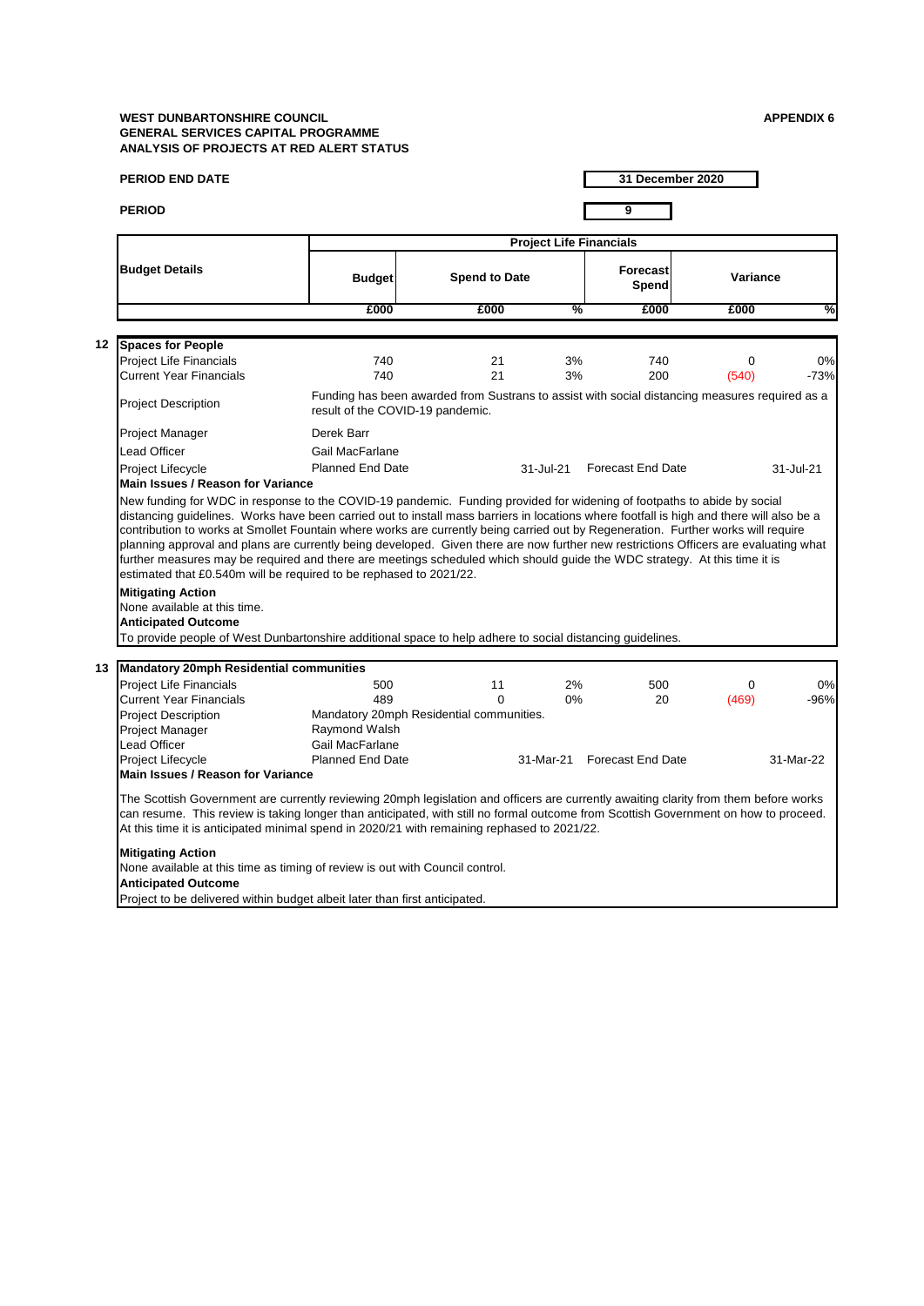| <b>PERIOD END DATE</b>                                                                                                                                                                                                                                                                                                                                                                                                                                                       |                                  |                                                                                                |                                | 31 December 2020         |                   |              |
|------------------------------------------------------------------------------------------------------------------------------------------------------------------------------------------------------------------------------------------------------------------------------------------------------------------------------------------------------------------------------------------------------------------------------------------------------------------------------|----------------------------------|------------------------------------------------------------------------------------------------|--------------------------------|--------------------------|-------------------|--------------|
| <b>PERIOD</b>                                                                                                                                                                                                                                                                                                                                                                                                                                                                |                                  |                                                                                                |                                | 9                        |                   |              |
|                                                                                                                                                                                                                                                                                                                                                                                                                                                                              |                                  |                                                                                                | <b>Project Life Financials</b> |                          |                   |              |
| <b>Budget Details</b>                                                                                                                                                                                                                                                                                                                                                                                                                                                        | <b>Budget</b>                    | <b>Spend to Date</b>                                                                           |                                | <b>Forecast</b><br>Spend | Variance          |              |
|                                                                                                                                                                                                                                                                                                                                                                                                                                                                              | £000                             | £000                                                                                           | %                              | £000                     | £000              | %            |
| 12 Spaces for People                                                                                                                                                                                                                                                                                                                                                                                                                                                         |                                  |                                                                                                |                                |                          |                   |              |
| Project Life Financials<br><b>Current Year Financials</b>                                                                                                                                                                                                                                                                                                                                                                                                                    | 740<br>740                       | 21<br>21                                                                                       | 3%<br>3%                       | 740<br>200               | $\Omega$<br>(540) | 0%<br>$-73%$ |
| <b>Project Description</b>                                                                                                                                                                                                                                                                                                                                                                                                                                                   | result of the COVID-19 pandemic. | Funding has been awarded from Sustrans to assist with social distancing measures required as a |                                |                          |                   |              |
| Project Manager                                                                                                                                                                                                                                                                                                                                                                                                                                                              | Derek Barr                       |                                                                                                |                                |                          |                   |              |
| <b>Lead Officer</b>                                                                                                                                                                                                                                                                                                                                                                                                                                                          | Gail MacFarlane                  |                                                                                                |                                |                          |                   |              |
| Project Lifecycle                                                                                                                                                                                                                                                                                                                                                                                                                                                            | <b>Planned End Date</b>          |                                                                                                | 31-Jul-21                      | <b>Forecast End Date</b> |                   | 31-Jul-21    |
| <b>Main Issues / Reason for Variance</b>                                                                                                                                                                                                                                                                                                                                                                                                                                     |                                  |                                                                                                |                                |                          |                   |              |
| contribution to works at Smollet Fountain where works are currently being carried out by Regeneration. Further works will require<br>planning approval and plans are currently being developed. Given there are now further new restrictions Officers are evaluating what<br>further measures may be required and there are meetings scheduled which should guide the WDC strategy. At this time it is<br>estimated that £0.540m will be required to be rephased to 2021/22. |                                  |                                                                                                |                                |                          |                   |              |
| <b>Mitigating Action</b>                                                                                                                                                                                                                                                                                                                                                                                                                                                     |                                  |                                                                                                |                                |                          |                   |              |
| None available at this time.<br><b>Anticipated Outcome</b>                                                                                                                                                                                                                                                                                                                                                                                                                   |                                  |                                                                                                |                                |                          |                   |              |
| To provide people of West Dunbartonshire additional space to help adhere to social distancing guidelines.                                                                                                                                                                                                                                                                                                                                                                    |                                  |                                                                                                |                                |                          |                   |              |
|                                                                                                                                                                                                                                                                                                                                                                                                                                                                              |                                  |                                                                                                |                                |                          |                   |              |
| 13 Mandatory 20mph Residential communities                                                                                                                                                                                                                                                                                                                                                                                                                                   |                                  |                                                                                                |                                |                          |                   |              |
| <b>Project Life Financials</b>                                                                                                                                                                                                                                                                                                                                                                                                                                               | 500                              | 11                                                                                             | 2%                             | 500                      | $\Omega$          | 0%           |
| <b>Current Year Financials</b>                                                                                                                                                                                                                                                                                                                                                                                                                                               | 489                              | $\Omega$                                                                                       | 0%                             | 20                       | (469)             | $-96%$       |
| <b>Project Description</b>                                                                                                                                                                                                                                                                                                                                                                                                                                                   |                                  | Mandatory 20mph Residential communities.                                                       |                                |                          |                   |              |
| Project Manager<br>Lead Officer                                                                                                                                                                                                                                                                                                                                                                                                                                              | Raymond Walsh<br>Gail MacFarlane |                                                                                                |                                |                          |                   |              |
| Project Lifecycle                                                                                                                                                                                                                                                                                                                                                                                                                                                            | <b>Planned End Date</b>          |                                                                                                | 31-Mar-21                      | <b>Forecast End Date</b> |                   | 31-Mar-22    |
| Main Issues / Reason for Variance                                                                                                                                                                                                                                                                                                                                                                                                                                            |                                  |                                                                                                |                                |                          |                   |              |
| The Scottish Government are currently reviewing 20mph legislation and officers are currently awaiting clarity from them before works<br>can resume. This review is taking longer than anticipated, with still no formal outcome from Scottish Government on how to proceed.<br>At this time it is anticipated minimal spend in 2020/21 with remaining rephased to 2021/22.                                                                                                   |                                  |                                                                                                |                                |                          |                   |              |
| <b>Mitigating Action</b><br>None available at this time as timing of review is out with Council control.<br><b>Anticipated Outcome</b>                                                                                                                                                                                                                                                                                                                                       |                                  |                                                                                                |                                |                          |                   |              |
| Project to be delivered within budget albeit later than first anticipated.                                                                                                                                                                                                                                                                                                                                                                                                   |                                  |                                                                                                |                                |                          |                   |              |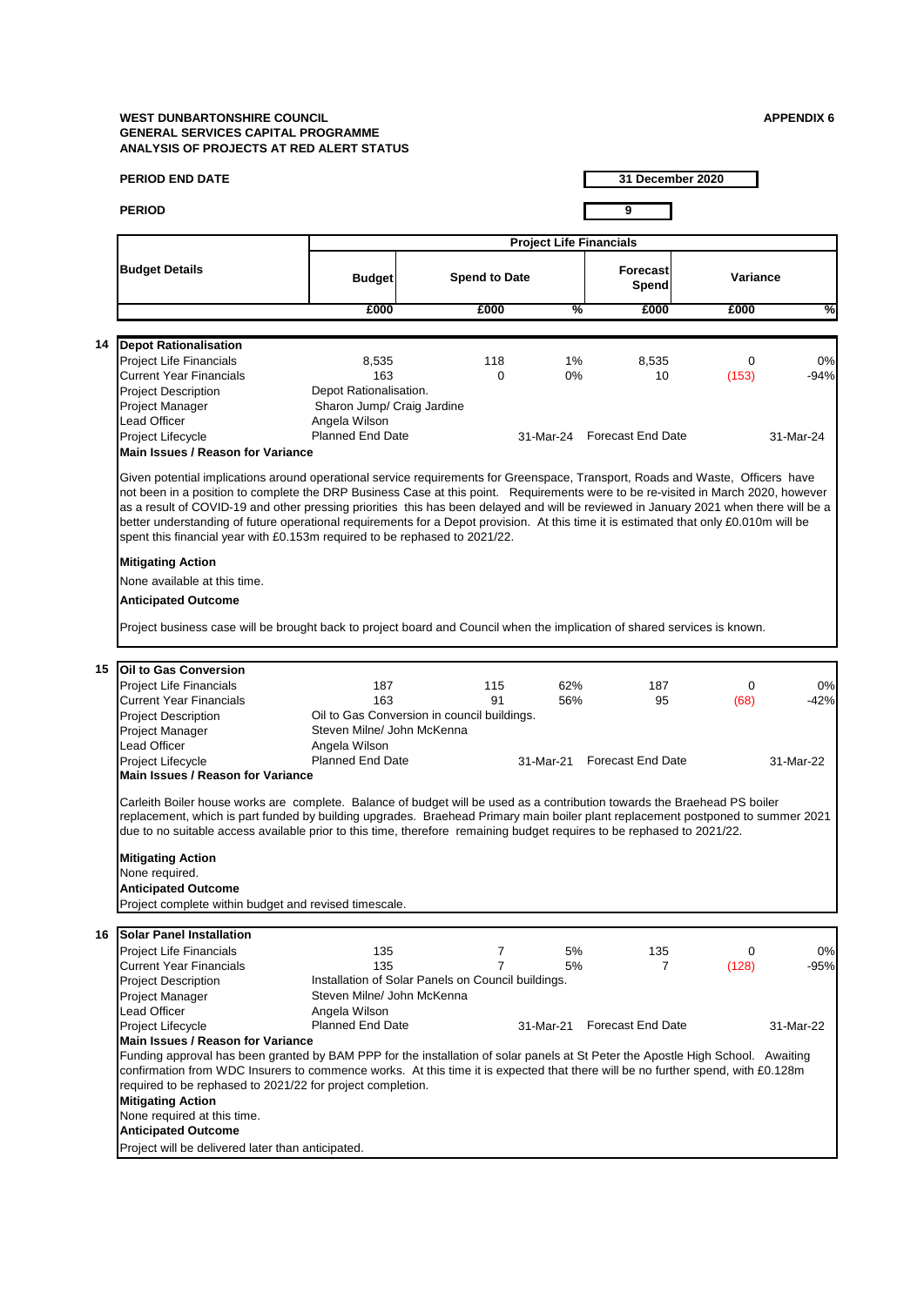|    | PERIOD END DATE                                                                                                                                                                                                                                                                                                                                                                                                                                                                                                                                                                                                                     |                                                    |                      |          | 31 December 2020               |            |            |
|----|-------------------------------------------------------------------------------------------------------------------------------------------------------------------------------------------------------------------------------------------------------------------------------------------------------------------------------------------------------------------------------------------------------------------------------------------------------------------------------------------------------------------------------------------------------------------------------------------------------------------------------------|----------------------------------------------------|----------------------|----------|--------------------------------|------------|------------|
|    | <b>PERIOD</b>                                                                                                                                                                                                                                                                                                                                                                                                                                                                                                                                                                                                                       |                                                    |                      |          | 9                              |            |            |
|    |                                                                                                                                                                                                                                                                                                                                                                                                                                                                                                                                                                                                                                     |                                                    |                      |          | <b>Project Life Financials</b> |            |            |
|    | <b>Budget Details</b>                                                                                                                                                                                                                                                                                                                                                                                                                                                                                                                                                                                                               | <b>Budget</b>                                      | <b>Spend to Date</b> |          | <b>Forecast</b><br>Spend       | Variance   |            |
|    |                                                                                                                                                                                                                                                                                                                                                                                                                                                                                                                                                                                                                                     | £000                                               | £000                 | %        | £000                           | £000       | %          |
|    |                                                                                                                                                                                                                                                                                                                                                                                                                                                                                                                                                                                                                                     |                                                    |                      |          |                                |            |            |
| 14 | <b>Depot Rationalisation</b><br>Project Life Financials                                                                                                                                                                                                                                                                                                                                                                                                                                                                                                                                                                             | 8,535                                              | 118                  | 1%       | 8,535                          | 0          | 0%         |
|    | <b>Current Year Financials</b>                                                                                                                                                                                                                                                                                                                                                                                                                                                                                                                                                                                                      | 163                                                | $\Omega$             | 0%       | 10                             | (153)      | $-94%$     |
|    | <b>Project Description</b>                                                                                                                                                                                                                                                                                                                                                                                                                                                                                                                                                                                                          | Depot Rationalisation.                             |                      |          |                                |            |            |
|    | Project Manager                                                                                                                                                                                                                                                                                                                                                                                                                                                                                                                                                                                                                     | Sharon Jump/ Craig Jardine                         |                      |          |                                |            |            |
|    | Lead Officer                                                                                                                                                                                                                                                                                                                                                                                                                                                                                                                                                                                                                        | Angela Wilson                                      |                      |          |                                |            |            |
|    | Project Lifecycle                                                                                                                                                                                                                                                                                                                                                                                                                                                                                                                                                                                                                   | <b>Planned End Date</b>                            |                      |          | 31-Mar-24 Forecast End Date    |            | 31-Mar-24  |
|    | <b>Main Issues / Reason for Variance</b>                                                                                                                                                                                                                                                                                                                                                                                                                                                                                                                                                                                            |                                                    |                      |          |                                |            |            |
|    | Given potential implications around operational service requirements for Greenspace, Transport, Roads and Waste, Officers have<br>not been in a position to complete the DRP Business Case at this point. Requirements were to be re-visited in March 2020, however<br>as a result of COVID-19 and other pressing priorities this has been delayed and will be reviewed in January 2021 when there will be a<br>better understanding of future operational requirements for a Depot provision. At this time it is estimated that only £0.010m will be<br>spent this financial year with £0.153m required to be rephased to 2021/22. |                                                    |                      |          |                                |            |            |
|    | <b>Mitigating Action</b>                                                                                                                                                                                                                                                                                                                                                                                                                                                                                                                                                                                                            |                                                    |                      |          |                                |            |            |
|    | None available at this time.                                                                                                                                                                                                                                                                                                                                                                                                                                                                                                                                                                                                        |                                                    |                      |          |                                |            |            |
|    | <b>Anticipated Outcome</b>                                                                                                                                                                                                                                                                                                                                                                                                                                                                                                                                                                                                          |                                                    |                      |          |                                |            |            |
|    | Project business case will be brought back to project board and Council when the implication of shared services is known.                                                                                                                                                                                                                                                                                                                                                                                                                                                                                                           |                                                    |                      |          |                                |            |            |
|    | 15 Oil to Gas Conversion                                                                                                                                                                                                                                                                                                                                                                                                                                                                                                                                                                                                            |                                                    |                      |          |                                |            |            |
|    | Project Life Financials                                                                                                                                                                                                                                                                                                                                                                                                                                                                                                                                                                                                             | 187                                                | 115                  | 62%      | 187                            | 0          | 0%         |
|    | <b>Current Year Financials</b>                                                                                                                                                                                                                                                                                                                                                                                                                                                                                                                                                                                                      | 163                                                | 91                   | 56%      | 95                             | (68)       | $-42%$     |
|    | <b>Project Description</b>                                                                                                                                                                                                                                                                                                                                                                                                                                                                                                                                                                                                          | Oil to Gas Conversion in council buildings.        |                      |          |                                |            |            |
|    | Project Manager<br>Lead Officer                                                                                                                                                                                                                                                                                                                                                                                                                                                                                                                                                                                                     | Steven Milne/ John McKenna                         |                      |          |                                |            |            |
|    | Project Lifecycle                                                                                                                                                                                                                                                                                                                                                                                                                                                                                                                                                                                                                   | Angela Wilson<br><b>Planned End Date</b>           |                      |          | 31-Mar-21 Forecast End Date    |            | 31-Mar-22  |
|    | Main Issues / Reason for Variance                                                                                                                                                                                                                                                                                                                                                                                                                                                                                                                                                                                                   |                                                    |                      |          |                                |            |            |
|    | Carleith Boiler house works are complete. Balance of budget will be used as a contribution towards the Braehead PS boiler<br>replacement, which is part funded by building upgrades. Braehead Primary main boiler plant replacement postponed to summer 2021<br>due to no suitable access available prior to this time, therefore remaining budget requires to be rephased to 2021/22.                                                                                                                                                                                                                                              |                                                    |                      |          |                                |            |            |
|    | <b>Mitigating Action</b><br>None required.                                                                                                                                                                                                                                                                                                                                                                                                                                                                                                                                                                                          |                                                    |                      |          |                                |            |            |
|    | <b>Anticipated Outcome</b>                                                                                                                                                                                                                                                                                                                                                                                                                                                                                                                                                                                                          |                                                    |                      |          |                                |            |            |
|    | Project complete within budget and revised timescale.                                                                                                                                                                                                                                                                                                                                                                                                                                                                                                                                                                               |                                                    |                      |          |                                |            |            |
|    |                                                                                                                                                                                                                                                                                                                                                                                                                                                                                                                                                                                                                                     |                                                    |                      |          |                                |            |            |
| 16 | <b>Solar Panel Installation</b><br><b>Project Life Financials</b>                                                                                                                                                                                                                                                                                                                                                                                                                                                                                                                                                                   |                                                    |                      |          |                                |            |            |
|    | <b>Current Year Financials</b>                                                                                                                                                                                                                                                                                                                                                                                                                                                                                                                                                                                                      | 135<br>135                                         | 7<br>$\overline{7}$  | 5%<br>5% | 135<br>$\overline{7}$          | 0<br>(128) | 0%<br>-95% |
|    | Project Description                                                                                                                                                                                                                                                                                                                                                                                                                                                                                                                                                                                                                 | Installation of Solar Panels on Council buildings. |                      |          |                                |            |            |
|    | Project Manager                                                                                                                                                                                                                                                                                                                                                                                                                                                                                                                                                                                                                     | Steven Milne/ John McKenna                         |                      |          |                                |            |            |
|    | Lead Officer                                                                                                                                                                                                                                                                                                                                                                                                                                                                                                                                                                                                                        | Angela Wilson                                      |                      |          |                                |            |            |
|    | Project Lifecycle                                                                                                                                                                                                                                                                                                                                                                                                                                                                                                                                                                                                                   | <b>Planned End Date</b>                            |                      |          | 31-Mar-21 Forecast End Date    |            | 31-Mar-22  |
|    | Main Issues / Reason for Variance                                                                                                                                                                                                                                                                                                                                                                                                                                                                                                                                                                                                   |                                                    |                      |          |                                |            |            |
|    | Funding approval has been granted by BAM PPP for the installation of solar panels at St Peter the Apostle High School. Awaiting<br>confirmation from WDC Insurers to commence works. At this time it is expected that there will be no further spend, with £0.128m<br>required to be rephased to 2021/22 for project completion.<br><b>Mitigating Action</b>                                                                                                                                                                                                                                                                        |                                                    |                      |          |                                |            |            |
|    | None required at this time.                                                                                                                                                                                                                                                                                                                                                                                                                                                                                                                                                                                                         |                                                    |                      |          |                                |            |            |
|    | <b>Anticipated Outcome</b>                                                                                                                                                                                                                                                                                                                                                                                                                                                                                                                                                                                                          |                                                    |                      |          |                                |            |            |
|    | Project will be delivered later than anticipated.                                                                                                                                                                                                                                                                                                                                                                                                                                                                                                                                                                                   |                                                    |                      |          |                                |            |            |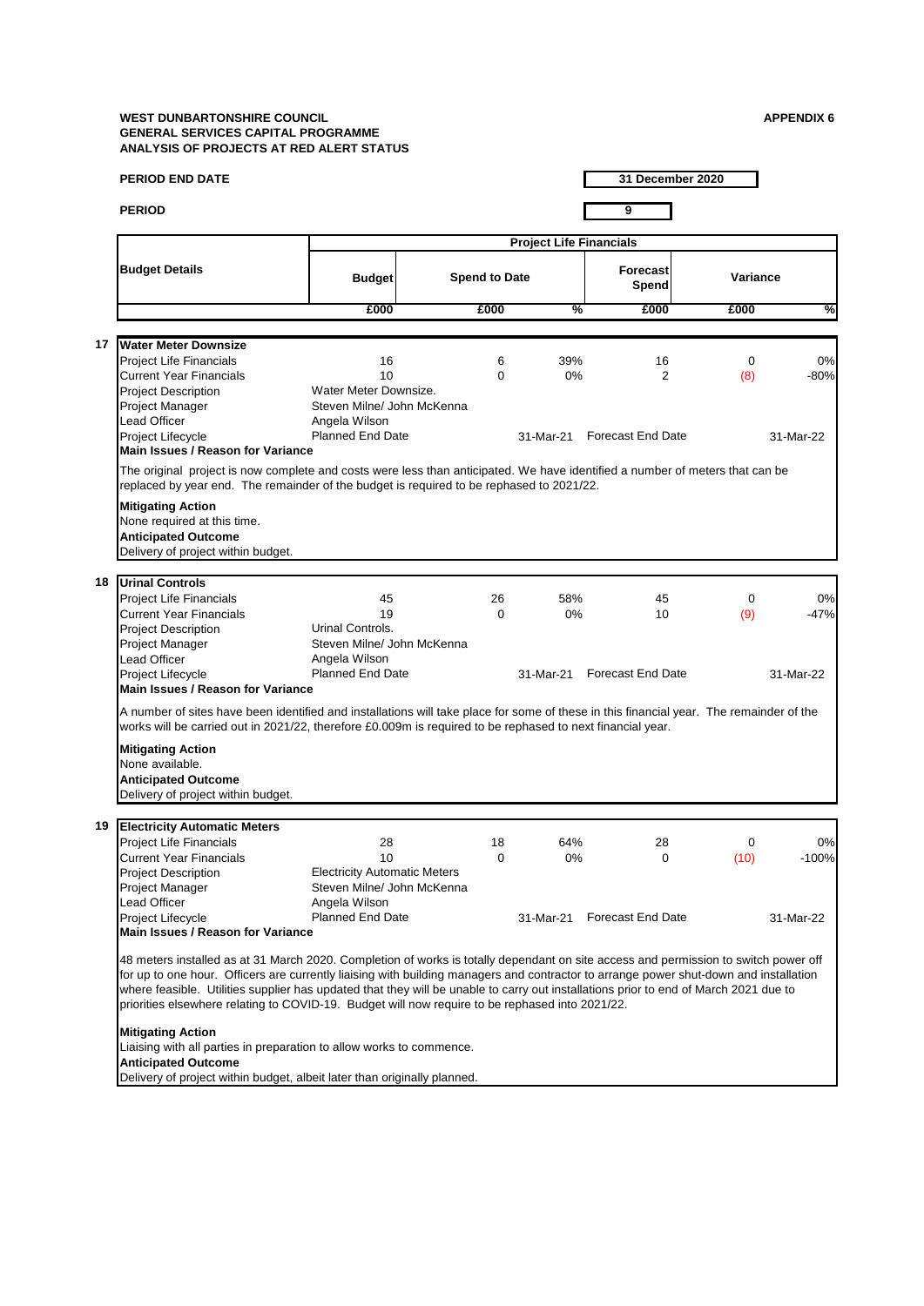| 9<br><b>PERIOD</b><br><b>Project Life Financials</b><br><b>Budget Details</b><br><b>Forecast</b><br><b>Spend to Date</b><br><b>Budget</b><br>Spend<br>£000<br>%<br>£000<br>£000<br><b>Water Meter Downsize</b><br>17<br><b>Project Life Financials</b><br>39%<br>16<br>6<br>16<br>10<br><b>Current Year Financials</b><br>$\Omega$<br>0%<br>2<br>Water Meter Downsize.<br><b>Project Description</b><br>Steven Milne/ John McKenna<br>Project Manager<br>Lead Officer<br>Angela Wilson<br><b>Planned End Date</b><br>Project Lifecycle<br><b>Forecast End Date</b><br>31-Mar-21<br>Main Issues / Reason for Variance<br>The original project is now complete and costs were less than anticipated. We have identified a number of meters that can be<br>replaced by year end. The remainder of the budget is required to be rephased to 2021/22.<br><b>Mitigating Action</b><br>None required at this time.<br><b>Anticipated Outcome</b><br>Delivery of project within budget.<br>18 Urinal Controls<br>Project Life Financials<br>45<br>26<br>58%<br>45<br><b>Current Year Financials</b><br>19<br>0%<br>$\Omega$<br>10<br>Urinal Controls.<br>Project Description | Variance<br>%<br>£000<br>$\mathbf 0$<br>0%<br>$-80%$<br>(8) |
|----------------------------------------------------------------------------------------------------------------------------------------------------------------------------------------------------------------------------------------------------------------------------------------------------------------------------------------------------------------------------------------------------------------------------------------------------------------------------------------------------------------------------------------------------------------------------------------------------------------------------------------------------------------------------------------------------------------------------------------------------------------------------------------------------------------------------------------------------------------------------------------------------------------------------------------------------------------------------------------------------------------------------------------------------------------------------------------------------------------------------------------------------------------------|-------------------------------------------------------------|
|                                                                                                                                                                                                                                                                                                                                                                                                                                                                                                                                                                                                                                                                                                                                                                                                                                                                                                                                                                                                                                                                                                                                                                      |                                                             |
|                                                                                                                                                                                                                                                                                                                                                                                                                                                                                                                                                                                                                                                                                                                                                                                                                                                                                                                                                                                                                                                                                                                                                                      |                                                             |
|                                                                                                                                                                                                                                                                                                                                                                                                                                                                                                                                                                                                                                                                                                                                                                                                                                                                                                                                                                                                                                                                                                                                                                      |                                                             |
|                                                                                                                                                                                                                                                                                                                                                                                                                                                                                                                                                                                                                                                                                                                                                                                                                                                                                                                                                                                                                                                                                                                                                                      |                                                             |
|                                                                                                                                                                                                                                                                                                                                                                                                                                                                                                                                                                                                                                                                                                                                                                                                                                                                                                                                                                                                                                                                                                                                                                      |                                                             |
|                                                                                                                                                                                                                                                                                                                                                                                                                                                                                                                                                                                                                                                                                                                                                                                                                                                                                                                                                                                                                                                                                                                                                                      |                                                             |
|                                                                                                                                                                                                                                                                                                                                                                                                                                                                                                                                                                                                                                                                                                                                                                                                                                                                                                                                                                                                                                                                                                                                                                      | 31-Mar-22                                                   |
|                                                                                                                                                                                                                                                                                                                                                                                                                                                                                                                                                                                                                                                                                                                                                                                                                                                                                                                                                                                                                                                                                                                                                                      |                                                             |
|                                                                                                                                                                                                                                                                                                                                                                                                                                                                                                                                                                                                                                                                                                                                                                                                                                                                                                                                                                                                                                                                                                                                                                      |                                                             |
| Steven Milne/ John McKenna<br>Project Manager<br>Lead Officer<br>Angela Wilson                                                                                                                                                                                                                                                                                                                                                                                                                                                                                                                                                                                                                                                                                                                                                                                                                                                                                                                                                                                                                                                                                       | 0<br>0%<br>(9)<br>$-47%$                                    |
| <b>Planned End Date</b><br>Project Lifecycle<br>31-Mar-21 Forecast End Date<br>Main Issues / Reason for Variance                                                                                                                                                                                                                                                                                                                                                                                                                                                                                                                                                                                                                                                                                                                                                                                                                                                                                                                                                                                                                                                     | 31-Mar-22                                                   |
| A number of sites have been identified and installations will take place for some of these in this financial year. The remainder of the<br>works will be carried out in 2021/22, therefore £0.009m is required to be rephased to next financial year.                                                                                                                                                                                                                                                                                                                                                                                                                                                                                                                                                                                                                                                                                                                                                                                                                                                                                                                |                                                             |
| <b>Mitigating Action</b><br>None available.<br><b>Anticipated Outcome</b>                                                                                                                                                                                                                                                                                                                                                                                                                                                                                                                                                                                                                                                                                                                                                                                                                                                                                                                                                                                                                                                                                            |                                                             |
| Delivery of project within budget.                                                                                                                                                                                                                                                                                                                                                                                                                                                                                                                                                                                                                                                                                                                                                                                                                                                                                                                                                                                                                                                                                                                                   |                                                             |
| <b>Electricity Automatic Meters</b><br>19                                                                                                                                                                                                                                                                                                                                                                                                                                                                                                                                                                                                                                                                                                                                                                                                                                                                                                                                                                                                                                                                                                                            |                                                             |
| <b>Project Life Financials</b><br>28<br>64%<br>28<br>18<br><b>Current Year Financials</b><br>10<br>$\Omega$<br>0%<br>$\Omega$<br><b>Electricity Automatic Meters</b><br><b>Project Description</b><br>Project Manager<br>Steven Milne/ John McKenna                                                                                                                                                                                                                                                                                                                                                                                                                                                                                                                                                                                                                                                                                                                                                                                                                                                                                                                  | 0%<br>0<br>$-100%$<br>(10)                                  |
| Lead Officer<br>Angela Wilson                                                                                                                                                                                                                                                                                                                                                                                                                                                                                                                                                                                                                                                                                                                                                                                                                                                                                                                                                                                                                                                                                                                                        |                                                             |
| Project Lifecycle<br><b>Planned End Date</b><br>31-Mar-21 Forecast End Date<br><b>Main Issues / Reason for Variance</b>                                                                                                                                                                                                                                                                                                                                                                                                                                                                                                                                                                                                                                                                                                                                                                                                                                                                                                                                                                                                                                              | 31-Mar-22                                                   |
| 48 meters installed as at 31 March 2020. Completion of works is totally dependant on site access and permission to switch power off<br>for up to one hour. Officers are currently liaising with building managers and contractor to arrange power shut-down and installation<br>where feasible. Utilities supplier has updated that they will be unable to carry out installations prior to end of March 2021 due to<br>priorities elsewhere relating to COVID-19. Budget will now require to be rephased into 2021/22.                                                                                                                                                                                                                                                                                                                                                                                                                                                                                                                                                                                                                                              |                                                             |
| <b>Mitigating Action</b><br>Liaising with all parties in preparation to allow works to commence.<br><b>Anticipated Outcome</b>                                                                                                                                                                                                                                                                                                                                                                                                                                                                                                                                                                                                                                                                                                                                                                                                                                                                                                                                                                                                                                       |                                                             |
| Delivery of project within budget, albeit later than originally planned.                                                                                                                                                                                                                                                                                                                                                                                                                                                                                                                                                                                                                                                                                                                                                                                                                                                                                                                                                                                                                                                                                             |                                                             |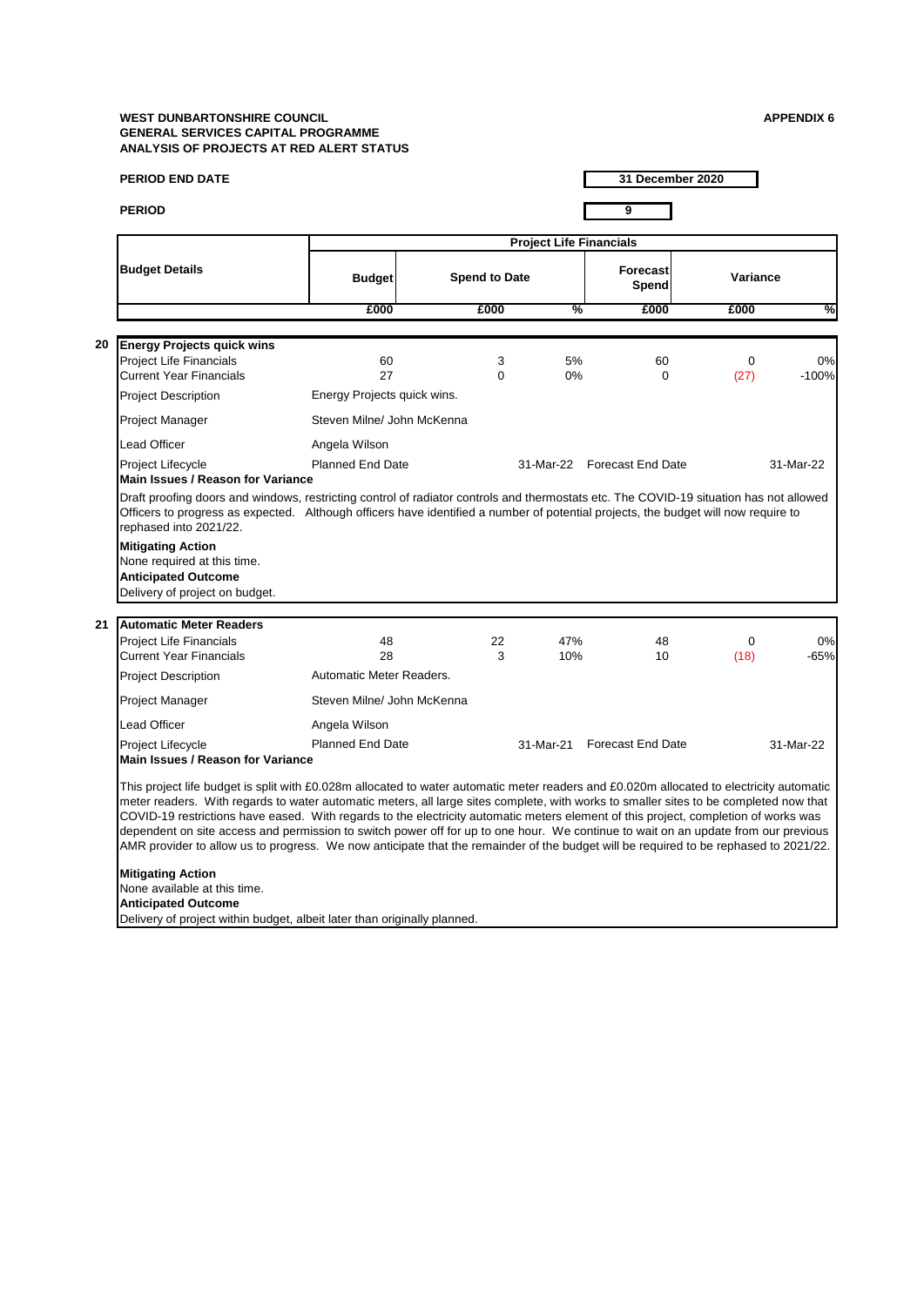|    |                                                                                                                                                                                                                                                                                                        |                             |                      |                                | 31 December 2020            |                     |               |
|----|--------------------------------------------------------------------------------------------------------------------------------------------------------------------------------------------------------------------------------------------------------------------------------------------------------|-----------------------------|----------------------|--------------------------------|-----------------------------|---------------------|---------------|
|    | <b>PERIOD</b>                                                                                                                                                                                                                                                                                          |                             |                      |                                | $\overline{9}$              |                     |               |
|    |                                                                                                                                                                                                                                                                                                        |                             |                      | <b>Project Life Financials</b> |                             |                     |               |
|    | <b>Budget Details</b>                                                                                                                                                                                                                                                                                  | <b>Budget</b>               | <b>Spend to Date</b> |                                | <b>Forecast</b><br>Spend    | Variance            |               |
|    |                                                                                                                                                                                                                                                                                                        | £000                        | £000                 | %                              | £000                        | £000                | %             |
|    |                                                                                                                                                                                                                                                                                                        |                             |                      |                                |                             |                     |               |
| 20 | <b>Energy Projects quick wins</b><br><b>Project Life Financials</b><br><b>Current Year Financials</b>                                                                                                                                                                                                  | 60<br>27                    | 3<br>$\Omega$        | 5%<br>0%                       | 60<br>$\Omega$              | 0<br>(27)           | 0%<br>$-100%$ |
|    | <b>Project Description</b>                                                                                                                                                                                                                                                                             | Energy Projects quick wins. |                      |                                |                             |                     |               |
|    | Project Manager                                                                                                                                                                                                                                                                                        | Steven Milne/ John McKenna  |                      |                                |                             |                     |               |
|    | <b>Lead Officer</b>                                                                                                                                                                                                                                                                                    | Angela Wilson               |                      |                                |                             |                     |               |
|    | Project Lifecycle<br><b>Main Issues / Reason for Variance</b>                                                                                                                                                                                                                                          | <b>Planned End Date</b>     |                      |                                | 31-Mar-22 Forecast End Date |                     | 31-Mar-22     |
|    | Draft proofing doors and windows, restricting control of radiator controls and thermostats etc. The COVID-19 situation has not allowed<br>Officers to progress as expected. Although officers have identified a number of potential projects, the budget will now require to<br>rephased into 2021/22. |                             |                      |                                |                             |                     |               |
|    | <b>Mitigating Action</b>                                                                                                                                                                                                                                                                               |                             |                      |                                |                             |                     |               |
|    | None required at this time.<br><b>Anticipated Outcome</b>                                                                                                                                                                                                                                              |                             |                      |                                |                             |                     |               |
|    | Delivery of project on budget.                                                                                                                                                                                                                                                                         |                             |                      |                                |                             |                     |               |
|    |                                                                                                                                                                                                                                                                                                        |                             |                      |                                |                             |                     |               |
|    | Automatic Meter Readers<br><b>Project Life Financials</b><br><b>Current Year Financials</b>                                                                                                                                                                                                            | 48<br>28                    | 22<br>3              | 47%<br>10%                     | 48<br>10                    | $\mathbf 0$<br>(18) |               |
|    | <b>Project Description</b>                                                                                                                                                                                                                                                                             | Automatic Meter Readers.    |                      |                                |                             |                     |               |
|    | Project Manager                                                                                                                                                                                                                                                                                        | Steven Milne/ John McKenna  |                      |                                |                             |                     | 0%<br>$-65%$  |
|    | Lead Officer                                                                                                                                                                                                                                                                                           | Angela Wilson               |                      |                                |                             |                     |               |
| 21 | Project Lifecycle<br><b>Main Issues / Reason for Variance</b>                                                                                                                                                                                                                                          | <b>Planned End Date</b>     |                      | 31-Mar-21                      | <b>Forecast End Date</b>    |                     | 31-Mar-22     |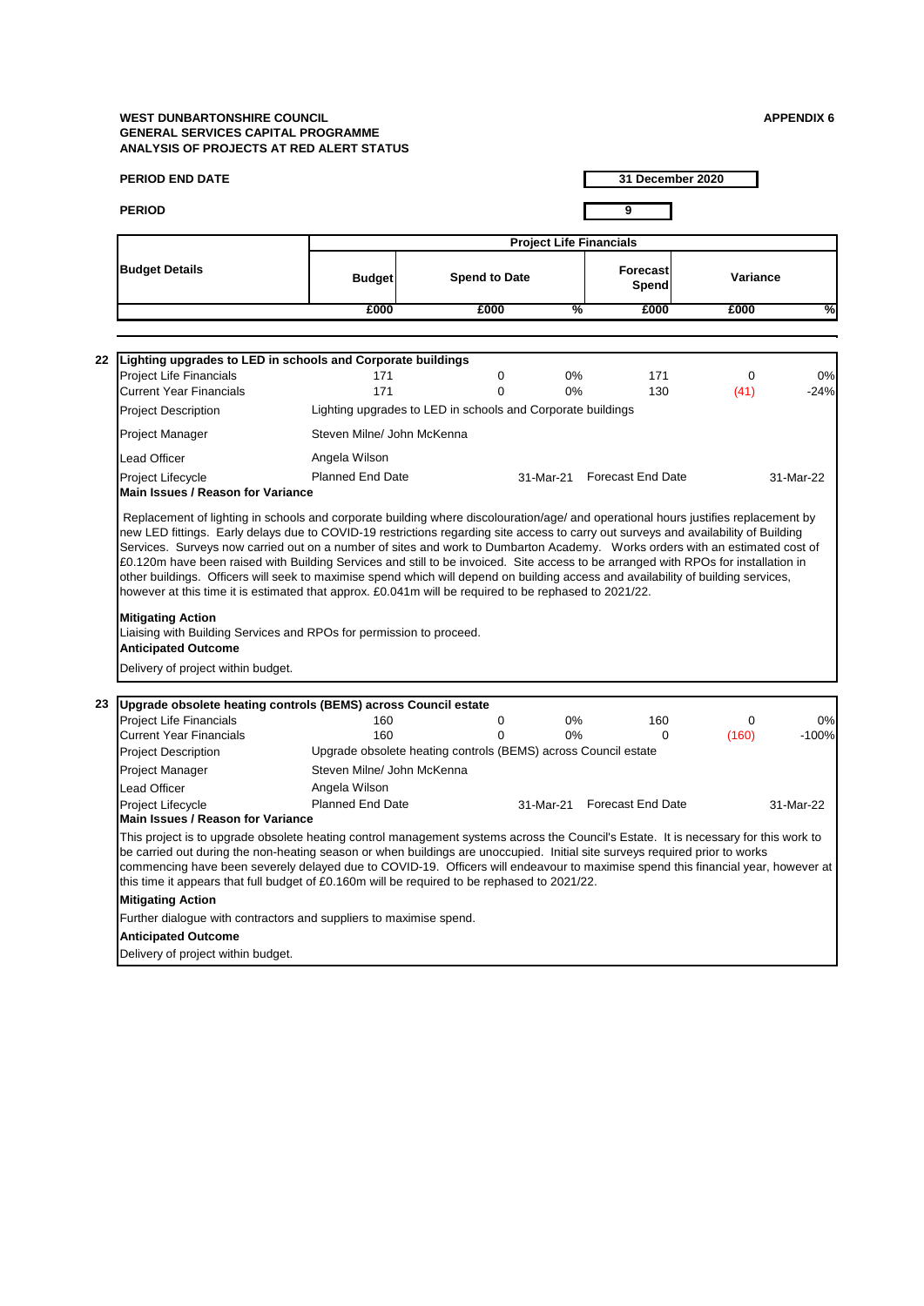|    | <b>PERIOD END DATE</b>                                                                                                                                                                                                                                                                                                                                                                                                                                                                                  |                            |                                                                |             |                                | 31 December 2020 |           |
|----|---------------------------------------------------------------------------------------------------------------------------------------------------------------------------------------------------------------------------------------------------------------------------------------------------------------------------------------------------------------------------------------------------------------------------------------------------------------------------------------------------------|----------------------------|----------------------------------------------------------------|-------------|--------------------------------|------------------|-----------|
|    | <b>PERIOD</b>                                                                                                                                                                                                                                                                                                                                                                                                                                                                                           |                            |                                                                |             | 9                              |                  |           |
|    |                                                                                                                                                                                                                                                                                                                                                                                                                                                                                                         |                            |                                                                |             |                                |                  |           |
|    |                                                                                                                                                                                                                                                                                                                                                                                                                                                                                                         |                            |                                                                |             | <b>Project Life Financials</b> |                  |           |
|    | <b>Budget Details</b>                                                                                                                                                                                                                                                                                                                                                                                                                                                                                   | <b>Budget</b>              | <b>Spend to Date</b>                                           |             | Forecast<br>Spend              | Variance         |           |
|    |                                                                                                                                                                                                                                                                                                                                                                                                                                                                                                         | £000                       | £000                                                           |             | %<br>£000                      | £000             | ℅         |
|    |                                                                                                                                                                                                                                                                                                                                                                                                                                                                                                         |                            |                                                                |             |                                |                  |           |
| 22 | Lighting upgrades to LED in schools and Corporate buildings                                                                                                                                                                                                                                                                                                                                                                                                                                             |                            |                                                                |             |                                |                  |           |
|    | <b>Project Life Financials</b>                                                                                                                                                                                                                                                                                                                                                                                                                                                                          | 171                        |                                                                | 0           | 0%<br>171                      | 0                | 0%        |
|    | <b>Current Year Financials</b>                                                                                                                                                                                                                                                                                                                                                                                                                                                                          | 171                        |                                                                | $\Omega$    | 0%<br>130                      | (41)             | $-24%$    |
|    | <b>Project Description</b>                                                                                                                                                                                                                                                                                                                                                                                                                                                                              |                            | Lighting upgrades to LED in schools and Corporate buildings    |             |                                |                  |           |
|    | Project Manager                                                                                                                                                                                                                                                                                                                                                                                                                                                                                         | Steven Milne/ John McKenna |                                                                |             |                                |                  |           |
|    | Lead Officer                                                                                                                                                                                                                                                                                                                                                                                                                                                                                            | Angela Wilson              |                                                                |             |                                |                  |           |
|    | Project Lifecycle                                                                                                                                                                                                                                                                                                                                                                                                                                                                                       | <b>Planned End Date</b>    |                                                                |             | 31-Mar-21 Forecast End Date    |                  | 31-Mar-22 |
|    | Main Issues / Reason for Variance                                                                                                                                                                                                                                                                                                                                                                                                                                                                       |                            |                                                                |             |                                |                  |           |
|    | however at this time it is estimated that approx. £0.041m will be required to be rephased to 2021/22.<br><b>Mitigating Action</b><br>Liaising with Building Services and RPOs for permission to proceed.<br><b>Anticipated Outcome</b><br>Delivery of project within budget.                                                                                                                                                                                                                            |                            |                                                                |             |                                |                  |           |
|    |                                                                                                                                                                                                                                                                                                                                                                                                                                                                                                         |                            |                                                                |             |                                |                  |           |
| 23 | Upgrade obsolete heating controls (BEMS) across Council estate<br><b>Project Life Financials</b>                                                                                                                                                                                                                                                                                                                                                                                                        | 160                        |                                                                | $\mathbf 0$ | $0\%$<br>160                   | $\Omega$         | 0%        |
|    | <b>Current Year Financials</b>                                                                                                                                                                                                                                                                                                                                                                                                                                                                          | 160                        |                                                                | $\Omega$    | 0%                             | (160)<br>0       | $-100%$   |
|    | Project Description                                                                                                                                                                                                                                                                                                                                                                                                                                                                                     |                            | Upgrade obsolete heating controls (BEMS) across Council estate |             |                                |                  |           |
|    | Project Manager                                                                                                                                                                                                                                                                                                                                                                                                                                                                                         | Steven Milne/ John McKenna |                                                                |             |                                |                  |           |
|    | Lead Officer                                                                                                                                                                                                                                                                                                                                                                                                                                                                                            | Angela Wilson              |                                                                |             |                                |                  |           |
|    | Project Lifecycle<br>Main Issues / Reason for Variance                                                                                                                                                                                                                                                                                                                                                                                                                                                  | <b>Planned End Date</b>    |                                                                |             | 31-Mar-21 Forecast End Date    |                  | 31-Mar-22 |
|    | This project is to upgrade obsolete heating control management systems across the Council's Estate. It is necessary for this work to<br>be carried out during the non-heating season or when buildings are unoccupied. Initial site surveys required prior to works<br>commencing have been severely delayed due to COVID-19. Officers will endeavour to maximise spend this financial year, however at<br>this time it appears that full budget of £0.160m will be required to be rephased to 2021/22. |                            |                                                                |             |                                |                  |           |
|    | <b>Mitigating Action</b>                                                                                                                                                                                                                                                                                                                                                                                                                                                                                |                            |                                                                |             |                                |                  |           |
|    | Further dialogue with contractors and suppliers to maximise spend.                                                                                                                                                                                                                                                                                                                                                                                                                                      |                            |                                                                |             |                                |                  |           |
|    | <b>Anticipated Outcome</b>                                                                                                                                                                                                                                                                                                                                                                                                                                                                              |                            |                                                                |             |                                |                  |           |
|    | Delivery of project within budget.                                                                                                                                                                                                                                                                                                                                                                                                                                                                      |                            |                                                                |             |                                |                  |           |
|    |                                                                                                                                                                                                                                                                                                                                                                                                                                                                                                         |                            |                                                                |             |                                |                  |           |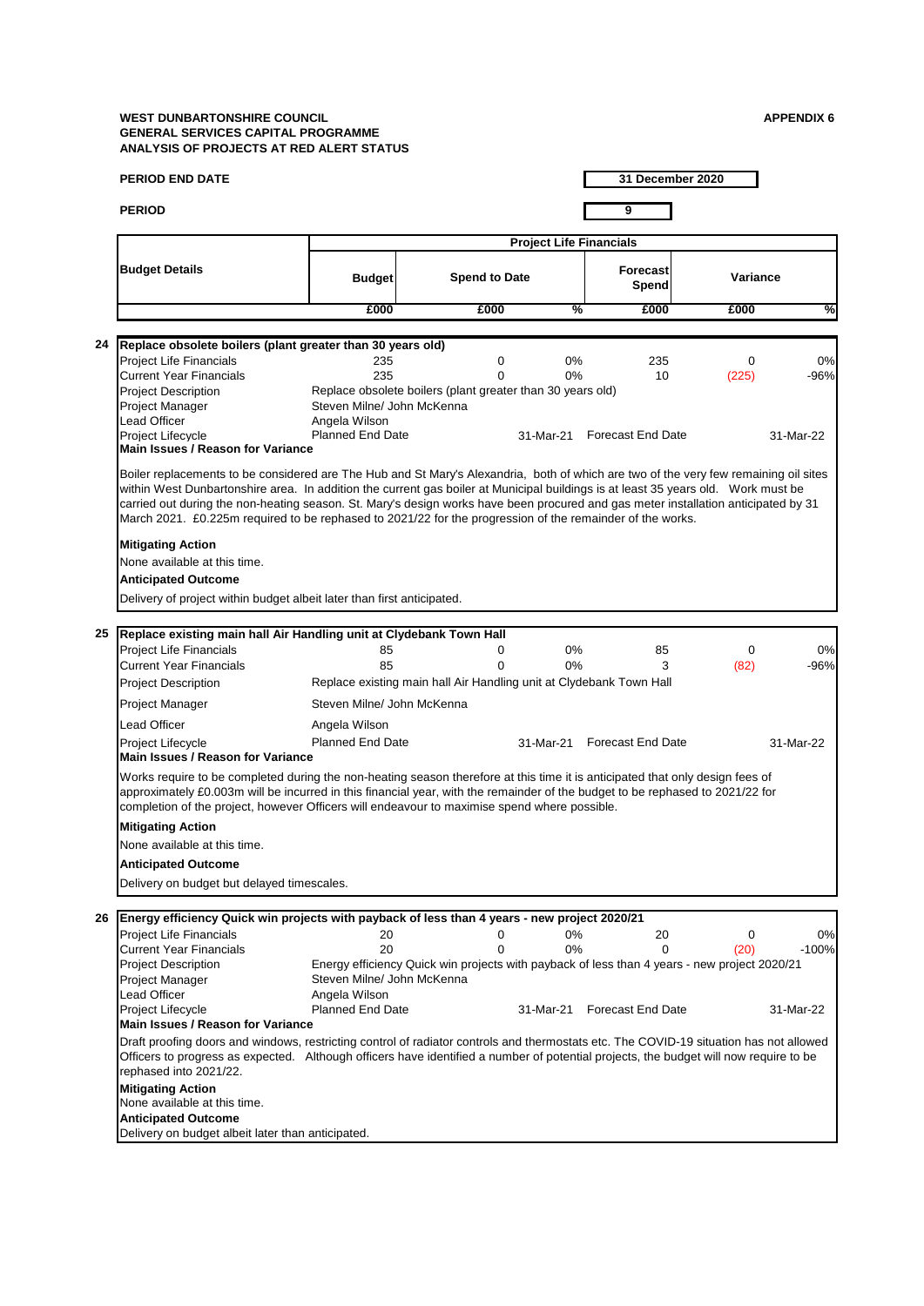|    | <b>PERIOD END DATE</b>                                                                                                                                                                                                                                                                                                                                                                                                                                                                                                                                                   |                                                                                      |                                                                                                                  |                                |                                       | 31 December 2020 |                           |
|----|--------------------------------------------------------------------------------------------------------------------------------------------------------------------------------------------------------------------------------------------------------------------------------------------------------------------------------------------------------------------------------------------------------------------------------------------------------------------------------------------------------------------------------------------------------------------------|--------------------------------------------------------------------------------------|------------------------------------------------------------------------------------------------------------------|--------------------------------|---------------------------------------|------------------|---------------------------|
|    | <b>PERIOD</b>                                                                                                                                                                                                                                                                                                                                                                                                                                                                                                                                                            |                                                                                      |                                                                                                                  |                                | 9                                     |                  |                           |
|    |                                                                                                                                                                                                                                                                                                                                                                                                                                                                                                                                                                          |                                                                                      |                                                                                                                  | <b>Project Life Financials</b> |                                       |                  |                           |
|    | <b>Budget Details</b>                                                                                                                                                                                                                                                                                                                                                                                                                                                                                                                                                    | <b>Budget</b>                                                                        | <b>Spend to Date</b>                                                                                             |                                | <b>Forecast</b><br>Spend              | Variance         |                           |
|    |                                                                                                                                                                                                                                                                                                                                                                                                                                                                                                                                                                          | £000                                                                                 | £000                                                                                                             |                                | %<br>£000                             | £000             | %                         |
|    |                                                                                                                                                                                                                                                                                                                                                                                                                                                                                                                                                                          |                                                                                      |                                                                                                                  |                                |                                       |                  |                           |
| 24 | Replace obsolete boilers (plant greater than 30 years old)<br><b>Project Life Financials</b><br><b>Current Year Financials</b><br><b>Project Description</b><br>Project Manager<br>Lead Officer<br>Project Lifecycle                                                                                                                                                                                                                                                                                                                                                     | 235<br>235<br>Steven Milne/ John McKenna<br>Angela Wilson<br><b>Planned End Date</b> | $\mathbf 0$<br>$\Omega$<br>Replace obsolete boilers (plant greater than 30 years old)                            | 0%<br>0%<br>31-Mar-21          | 235<br>10<br><b>Forecast End Date</b> | 0<br>(225)       | 0%<br>$-96%$<br>31-Mar-22 |
|    | <b>Main Issues / Reason for Variance</b><br>Boiler replacements to be considered are The Hub and St Mary's Alexandria, both of which are two of the very few remaining oil sites<br>within West Dunbartonshire area. In addition the current gas boiler at Municipal buildings is at least 35 years old. Work must be<br>carried out during the non-heating season. St. Mary's design works have been procured and gas meter installation anticipated by 31<br>March 2021. £0.225m required to be rephased to 2021/22 for the progression of the remainder of the works. |                                                                                      |                                                                                                                  |                                |                                       |                  |                           |
|    | <b>Mitigating Action</b><br>None available at this time.<br><b>Anticipated Outcome</b><br>Delivery of project within budget albeit later than first anticipated.                                                                                                                                                                                                                                                                                                                                                                                                         |                                                                                      |                                                                                                                  |                                |                                       |                  |                           |
|    |                                                                                                                                                                                                                                                                                                                                                                                                                                                                                                                                                                          |                                                                                      |                                                                                                                  |                                |                                       |                  |                           |
| 25 | Replace existing main hall Air Handling unit at Clydebank Town Hall<br><b>Project Life Financials</b><br><b>Current Year Financials</b><br>Project Description                                                                                                                                                                                                                                                                                                                                                                                                           | 85<br>85                                                                             | 0<br>$\Omega$<br>Replace existing main hall Air Handling unit at Clydebank Town Hall                             | 0%<br>0%                       | 85<br>3                               | 0<br>(82)        | 0%<br>-96%                |
|    | Project Manager                                                                                                                                                                                                                                                                                                                                                                                                                                                                                                                                                          | Steven Milne/ John McKenna                                                           |                                                                                                                  |                                |                                       |                  |                           |
|    | Lead Officer                                                                                                                                                                                                                                                                                                                                                                                                                                                                                                                                                             | Angela Wilson                                                                        |                                                                                                                  |                                |                                       |                  |                           |
|    | Project Lifecycle<br><b>Main Issues / Reason for Variance</b>                                                                                                                                                                                                                                                                                                                                                                                                                                                                                                            | <b>Planned End Date</b>                                                              |                                                                                                                  | 31-Mar-21                      | <b>Forecast End Date</b>              |                  | 31-Mar-22                 |
|    | Works require to be completed during the non-heating season therefore at this time it is anticipated that only design fees of<br>approximately £0.003m will be incurred in this financial year, with the remainder of the budget to be rephased to 2021/22 for<br>completion of the project, however Officers will endeavour to maximise spend where possible.                                                                                                                                                                                                           |                                                                                      |                                                                                                                  |                                |                                       |                  |                           |
|    | <b>Mitigating Action</b><br>None available at this time.                                                                                                                                                                                                                                                                                                                                                                                                                                                                                                                 |                                                                                      |                                                                                                                  |                                |                                       |                  |                           |
|    | <b>Anticipated Outcome</b>                                                                                                                                                                                                                                                                                                                                                                                                                                                                                                                                               |                                                                                      |                                                                                                                  |                                |                                       |                  |                           |
|    | Delivery on budget but delayed timescales.                                                                                                                                                                                                                                                                                                                                                                                                                                                                                                                               |                                                                                      |                                                                                                                  |                                |                                       |                  |                           |
|    |                                                                                                                                                                                                                                                                                                                                                                                                                                                                                                                                                                          |                                                                                      |                                                                                                                  |                                |                                       |                  |                           |
|    | 26 Energy efficiency Quick win projects with payback of less than 4 years - new project 2020/21<br>Project Life Financials<br><b>Current Year Financials</b><br><b>Project Description</b><br>Project Manager<br>Lead Officer                                                                                                                                                                                                                                                                                                                                            | 20<br>20<br>Steven Milne/ John McKenna<br>Angela Wilson                              | 0<br>$\mathbf 0$<br>Energy efficiency Quick win projects with payback of less than 4 years - new project 2020/21 | 0%<br>0%                       | 20<br>0                               | 0<br>(20)        | 0%<br>$-100%$             |
|    | Project Lifecycle<br><b>Main Issues / Reason for Variance</b>                                                                                                                                                                                                                                                                                                                                                                                                                                                                                                            | <b>Planned End Date</b>                                                              |                                                                                                                  | 31-Mar-21                      | <b>Forecast End Date</b>              |                  | 31-Mar-22                 |
|    | Draft proofing doors and windows, restricting control of radiator controls and thermostats etc. The COVID-19 situation has not allowed<br>Officers to progress as expected. Although officers have identified a number of potential projects, the budget will now require to be<br>rephased into 2021/22.<br><b>Mitigating Action</b>                                                                                                                                                                                                                                    |                                                                                      |                                                                                                                  |                                |                                       |                  |                           |
|    | None available at this time.                                                                                                                                                                                                                                                                                                                                                                                                                                                                                                                                             |                                                                                      |                                                                                                                  |                                |                                       |                  |                           |
|    | <b>Anticipated Outcome</b><br>Delivery on budget albeit later than anticipated.                                                                                                                                                                                                                                                                                                                                                                                                                                                                                          |                                                                                      |                                                                                                                  |                                |                                       |                  |                           |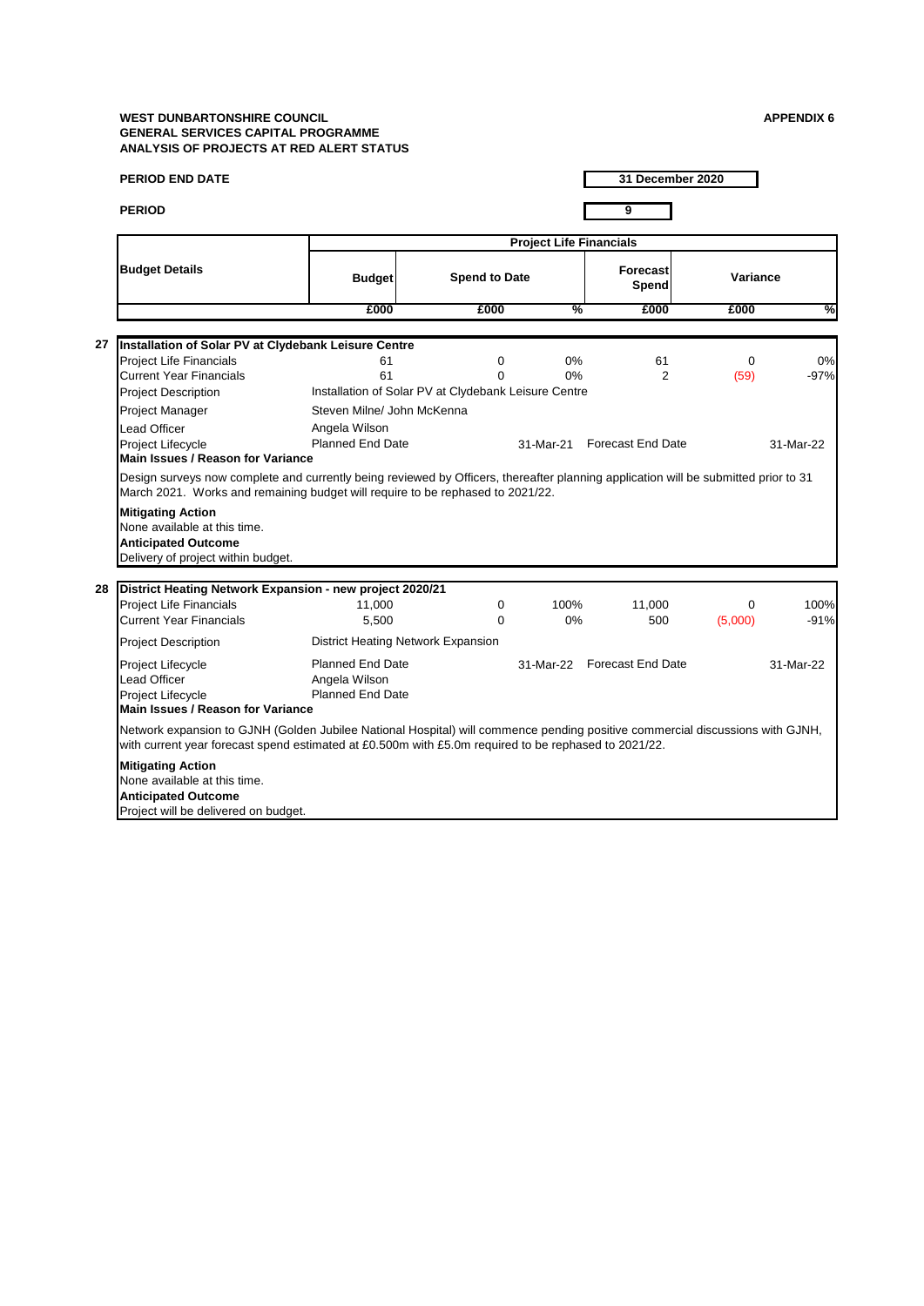|    | <b>PERIOD END DATE</b>                                                                                                                                                                                                                                                                                                                                | 31 December 2020                                                    |                                                                                 |            |                             |                     |                |  |  |  |
|----|-------------------------------------------------------------------------------------------------------------------------------------------------------------------------------------------------------------------------------------------------------------------------------------------------------------------------------------------------------|---------------------------------------------------------------------|---------------------------------------------------------------------------------|------------|-----------------------------|---------------------|----------------|--|--|--|
|    | <b>PERIOD</b>                                                                                                                                                                                                                                                                                                                                         |                                                                     |                                                                                 |            | 9                           |                     |                |  |  |  |
|    |                                                                                                                                                                                                                                                                                                                                                       | <b>Project Life Financials</b>                                      |                                                                                 |            |                             |                     |                |  |  |  |
|    | <b>Budget Details</b>                                                                                                                                                                                                                                                                                                                                 | <b>Budget</b>                                                       | <b>Spend to Date</b>                                                            |            |                             |                     | Variance       |  |  |  |
|    |                                                                                                                                                                                                                                                                                                                                                       | £000                                                                | £000                                                                            | %          | £000                        | £000                | ℅              |  |  |  |
| 27 |                                                                                                                                                                                                                                                                                                                                                       |                                                                     |                                                                                 |            |                             |                     |                |  |  |  |
|    | Installation of Solar PV at Clydebank Leisure Centre<br><b>Project Life Financials</b><br><b>Current Year Financials</b><br><b>Project Description</b><br>Project Manager<br>Lead Officer                                                                                                                                                             | 61<br>61<br>Steven Milne/ John McKenna<br>Angela Wilson             | $\mathbf 0$<br>$\Omega$<br>Installation of Solar PV at Clydebank Leisure Centre | 0%<br>0%   | 61<br>$\overline{2}$        | $\mathbf 0$<br>(59) | 0%<br>$-97%$   |  |  |  |
|    | Project Lifecycle<br><b>Main Issues / Reason for Variance</b>                                                                                                                                                                                                                                                                                         | <b>Planned End Date</b>                                             |                                                                                 | 31-Mar-21  | <b>Forecast End Date</b>    |                     | 31-Mar-22      |  |  |  |
|    | Design surveys now complete and currently being reviewed by Officers, thereafter planning application will be submitted prior to 31<br>March 2021. Works and remaining budget will require to be rephased to 2021/22.<br><b>Mitigating Action</b><br>None available at this time.<br><b>Anticipated Outcome</b><br>Delivery of project within budget. |                                                                     |                                                                                 |            |                             |                     |                |  |  |  |
|    | 28 District Heating Network Expansion - new project 2020/21                                                                                                                                                                                                                                                                                           |                                                                     |                                                                                 |            |                             |                     |                |  |  |  |
|    | <b>Project Life Financials</b><br>Current Year Financials                                                                                                                                                                                                                                                                                             | 11.000<br>5,500                                                     | $\Omega$<br>$\Omega$                                                            | 100%<br>0% | 11,000<br>500               | $\Omega$<br>(5,000) | 100%<br>$-91%$ |  |  |  |
|    | <b>Project Description</b>                                                                                                                                                                                                                                                                                                                            |                                                                     | District Heating Network Expansion                                              |            |                             |                     |                |  |  |  |
|    | Project Lifecycle<br><b>Lead Officer</b><br>Project Lifecycle<br>Main Issues / Reason for Variance                                                                                                                                                                                                                                                    | <b>Planned End Date</b><br>Angela Wilson<br><b>Planned End Date</b> |                                                                                 |            | 31-Mar-22 Forecast End Date |                     | 31-Mar-22      |  |  |  |
|    | Network expansion to GJNH (Golden Jubilee National Hospital) will commence pending positive commercial discussions with GJNH,<br>with current year forecast spend estimated at £0.500m with £5.0m required to be rephased to 2021/22.                                                                                                                 |                                                                     |                                                                                 |            |                             |                     |                |  |  |  |
|    | <b>Mitigating Action</b><br>None available at this time.<br><b>Anticipated Outcome</b><br>Project will be delivered on budget.                                                                                                                                                                                                                        |                                                                     |                                                                                 |            |                             |                     |                |  |  |  |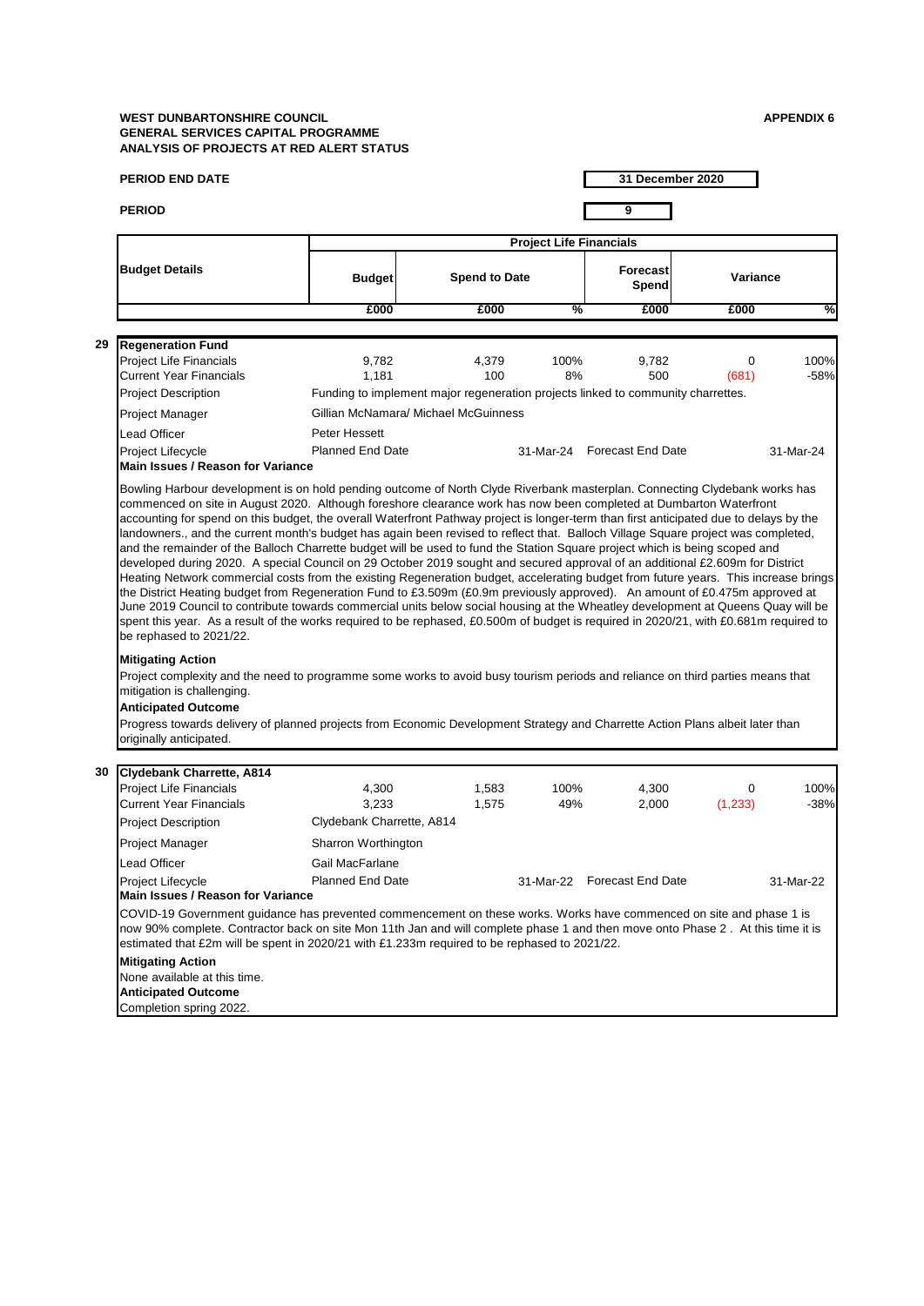|    | <b>PERIOD END DATE</b>                                                                                                                                                                                                                                                                                                                                                                                                                                                                                                                                                                                                                                                                                                                                                                                                                                                                                                                                                                                                                                                                                                                                                                                                                                                                                                                                                                                                                                                               |                                                                                  |                                                        |                      |            |                             | 31 December 2020 |                |  |  |  |
|----|--------------------------------------------------------------------------------------------------------------------------------------------------------------------------------------------------------------------------------------------------------------------------------------------------------------------------------------------------------------------------------------------------------------------------------------------------------------------------------------------------------------------------------------------------------------------------------------------------------------------------------------------------------------------------------------------------------------------------------------------------------------------------------------------------------------------------------------------------------------------------------------------------------------------------------------------------------------------------------------------------------------------------------------------------------------------------------------------------------------------------------------------------------------------------------------------------------------------------------------------------------------------------------------------------------------------------------------------------------------------------------------------------------------------------------------------------------------------------------------|----------------------------------------------------------------------------------|--------------------------------------------------------|----------------------|------------|-----------------------------|------------------|----------------|--|--|--|
|    | <b>PERIOD</b>                                                                                                                                                                                                                                                                                                                                                                                                                                                                                                                                                                                                                                                                                                                                                                                                                                                                                                                                                                                                                                                                                                                                                                                                                                                                                                                                                                                                                                                                        |                                                                                  |                                                        |                      |            | 9                           |                  |                |  |  |  |
|    |                                                                                                                                                                                                                                                                                                                                                                                                                                                                                                                                                                                                                                                                                                                                                                                                                                                                                                                                                                                                                                                                                                                                                                                                                                                                                                                                                                                                                                                                                      | <b>Project Life Financials</b>                                                   |                                                        |                      |            |                             |                  |                |  |  |  |
|    | <b>Budget Details</b>                                                                                                                                                                                                                                                                                                                                                                                                                                                                                                                                                                                                                                                                                                                                                                                                                                                                                                                                                                                                                                                                                                                                                                                                                                                                                                                                                                                                                                                                | <b>Budget</b>                                                                    |                                                        | <b>Spend to Date</b> |            | <b>Forecast</b><br>Spend    |                  | Variance       |  |  |  |
|    |                                                                                                                                                                                                                                                                                                                                                                                                                                                                                                                                                                                                                                                                                                                                                                                                                                                                                                                                                                                                                                                                                                                                                                                                                                                                                                                                                                                                                                                                                      | £000                                                                             |                                                        | £000                 | %          | £000                        | £000             | %              |  |  |  |
| 29 |                                                                                                                                                                                                                                                                                                                                                                                                                                                                                                                                                                                                                                                                                                                                                                                                                                                                                                                                                                                                                                                                                                                                                                                                                                                                                                                                                                                                                                                                                      |                                                                                  |                                                        |                      |            |                             |                  |                |  |  |  |
|    | <b>Regeneration Fund</b><br><b>Project Life Financials</b><br><b>Current Year Financials</b>                                                                                                                                                                                                                                                                                                                                                                                                                                                                                                                                                                                                                                                                                                                                                                                                                                                                                                                                                                                                                                                                                                                                                                                                                                                                                                                                                                                         | 9,782<br>1,181                                                                   |                                                        | 4,379<br>100         | 100%<br>8% | 9,782<br>500                | 0<br>(681)       | 100%<br>$-58%$ |  |  |  |
|    | Project Description                                                                                                                                                                                                                                                                                                                                                                                                                                                                                                                                                                                                                                                                                                                                                                                                                                                                                                                                                                                                                                                                                                                                                                                                                                                                                                                                                                                                                                                                  | Funding to implement major regeneration projects linked to community charrettes. |                                                        |                      |            |                             |                  |                |  |  |  |
|    | Project Manager                                                                                                                                                                                                                                                                                                                                                                                                                                                                                                                                                                                                                                                                                                                                                                                                                                                                                                                                                                                                                                                                                                                                                                                                                                                                                                                                                                                                                                                                      | Gillian McNamara/ Michael McGuinness                                             |                                                        |                      |            |                             |                  |                |  |  |  |
|    | Lead Officer                                                                                                                                                                                                                                                                                                                                                                                                                                                                                                                                                                                                                                                                                                                                                                                                                                                                                                                                                                                                                                                                                                                                                                                                                                                                                                                                                                                                                                                                         | Peter Hessett                                                                    |                                                        |                      |            |                             |                  |                |  |  |  |
|    | Project Lifecycle<br>Main Issues / Reason for Variance                                                                                                                                                                                                                                                                                                                                                                                                                                                                                                                                                                                                                                                                                                                                                                                                                                                                                                                                                                                                                                                                                                                                                                                                                                                                                                                                                                                                                               |                                                                                  | <b>Planned End Date</b><br>31-Mar-24 Forecast End Date |                      |            |                             |                  | 31-Mar-24      |  |  |  |
|    | accounting for spend on this budget, the overall Waterfront Pathway project is longer-term than first anticipated due to delays by the<br>landowners., and the current month's budget has again been revised to reflect that. Balloch Village Square project was completed,<br>and the remainder of the Balloch Charrette budget will be used to fund the Station Square project which is being scoped and<br>developed during 2020. A special Council on 29 October 2019 sought and secured approval of an additional £2.609m for District<br>Heating Network commercial costs from the existing Regeneration budget, accelerating budget from future years. This increase brings<br>the District Heating budget from Regeneration Fund to £3.509m (£0.9m previously approved). An amount of £0.475m approved at<br>June 2019 Council to contribute towards commercial units below social housing at the Wheatley development at Queens Quay will be<br>spent this year. As a result of the works required to be rephased, £0.500m of budget is required in 2020/21, with £0.681m required to<br>be rephased to 2021/22.<br><b>Mitigating Action</b><br>Project complexity and the need to programme some works to avoid busy tourism periods and reliance on third parties means that<br>mitigation is challenging.<br><b>Anticipated Outcome</b><br>Progress towards delivery of planned projects from Economic Development Strategy and Charrette Action Plans albeit later than |                                                                                  |                                                        |                      |            |                             |                  |                |  |  |  |
|    | originally anticipated.                                                                                                                                                                                                                                                                                                                                                                                                                                                                                                                                                                                                                                                                                                                                                                                                                                                                                                                                                                                                                                                                                                                                                                                                                                                                                                                                                                                                                                                              |                                                                                  |                                                        |                      |            |                             |                  |                |  |  |  |
| 30 | Clydebank Charrette, A814                                                                                                                                                                                                                                                                                                                                                                                                                                                                                                                                                                                                                                                                                                                                                                                                                                                                                                                                                                                                                                                                                                                                                                                                                                                                                                                                                                                                                                                            |                                                                                  |                                                        |                      |            |                             |                  |                |  |  |  |
|    | <b>Project Life Financials</b>                                                                                                                                                                                                                                                                                                                                                                                                                                                                                                                                                                                                                                                                                                                                                                                                                                                                                                                                                                                                                                                                                                                                                                                                                                                                                                                                                                                                                                                       | 4,300                                                                            |                                                        | 1,583                | 100%       | 4,300                       | 0                | 100%           |  |  |  |
|    | <b>Current Year Financials</b>                                                                                                                                                                                                                                                                                                                                                                                                                                                                                                                                                                                                                                                                                                                                                                                                                                                                                                                                                                                                                                                                                                                                                                                                                                                                                                                                                                                                                                                       | 3,233                                                                            |                                                        | 1,575                | 49%        | 2,000                       | (1,233)          | $-38%$         |  |  |  |
|    | <b>Project Description</b>                                                                                                                                                                                                                                                                                                                                                                                                                                                                                                                                                                                                                                                                                                                                                                                                                                                                                                                                                                                                                                                                                                                                                                                                                                                                                                                                                                                                                                                           | Clydebank Charrette, A814                                                        |                                                        |                      |            |                             |                  |                |  |  |  |
|    | Project Manager                                                                                                                                                                                                                                                                                                                                                                                                                                                                                                                                                                                                                                                                                                                                                                                                                                                                                                                                                                                                                                                                                                                                                                                                                                                                                                                                                                                                                                                                      | Sharron Worthington                                                              |                                                        |                      |            |                             |                  |                |  |  |  |
|    | Lead Officer                                                                                                                                                                                                                                                                                                                                                                                                                                                                                                                                                                                                                                                                                                                                                                                                                                                                                                                                                                                                                                                                                                                                                                                                                                                                                                                                                                                                                                                                         | Gail MacFarlane<br><b>Planned End Date</b>                                       |                                                        |                      |            | 31-Mar-22 Forecast End Date |                  | 31-Mar-22      |  |  |  |
|    | Project Lifecycle<br><b>Main Issues / Reason for Variance</b>                                                                                                                                                                                                                                                                                                                                                                                                                                                                                                                                                                                                                                                                                                                                                                                                                                                                                                                                                                                                                                                                                                                                                                                                                                                                                                                                                                                                                        |                                                                                  |                                                        |                      |            |                             |                  |                |  |  |  |
|    | COVID-19 Government guidance has prevented commencement on these works. Works have commenced on site and phase 1 is<br>now 90% complete. Contractor back on site Mon 11th Jan and will complete phase 1 and then move onto Phase 2. At this time it is<br>estimated that £2m will be spent in 2020/21 with £1.233m required to be rephased to 2021/22.                                                                                                                                                                                                                                                                                                                                                                                                                                                                                                                                                                                                                                                                                                                                                                                                                                                                                                                                                                                                                                                                                                                               |                                                                                  |                                                        |                      |            |                             |                  |                |  |  |  |
|    | <b>Mitigating Action</b><br>None available at this time.<br><b>Anticipated Outcome</b><br>Completion spring 2022.                                                                                                                                                                                                                                                                                                                                                                                                                                                                                                                                                                                                                                                                                                                                                                                                                                                                                                                                                                                                                                                                                                                                                                                                                                                                                                                                                                    |                                                                                  |                                                        |                      |            |                             |                  |                |  |  |  |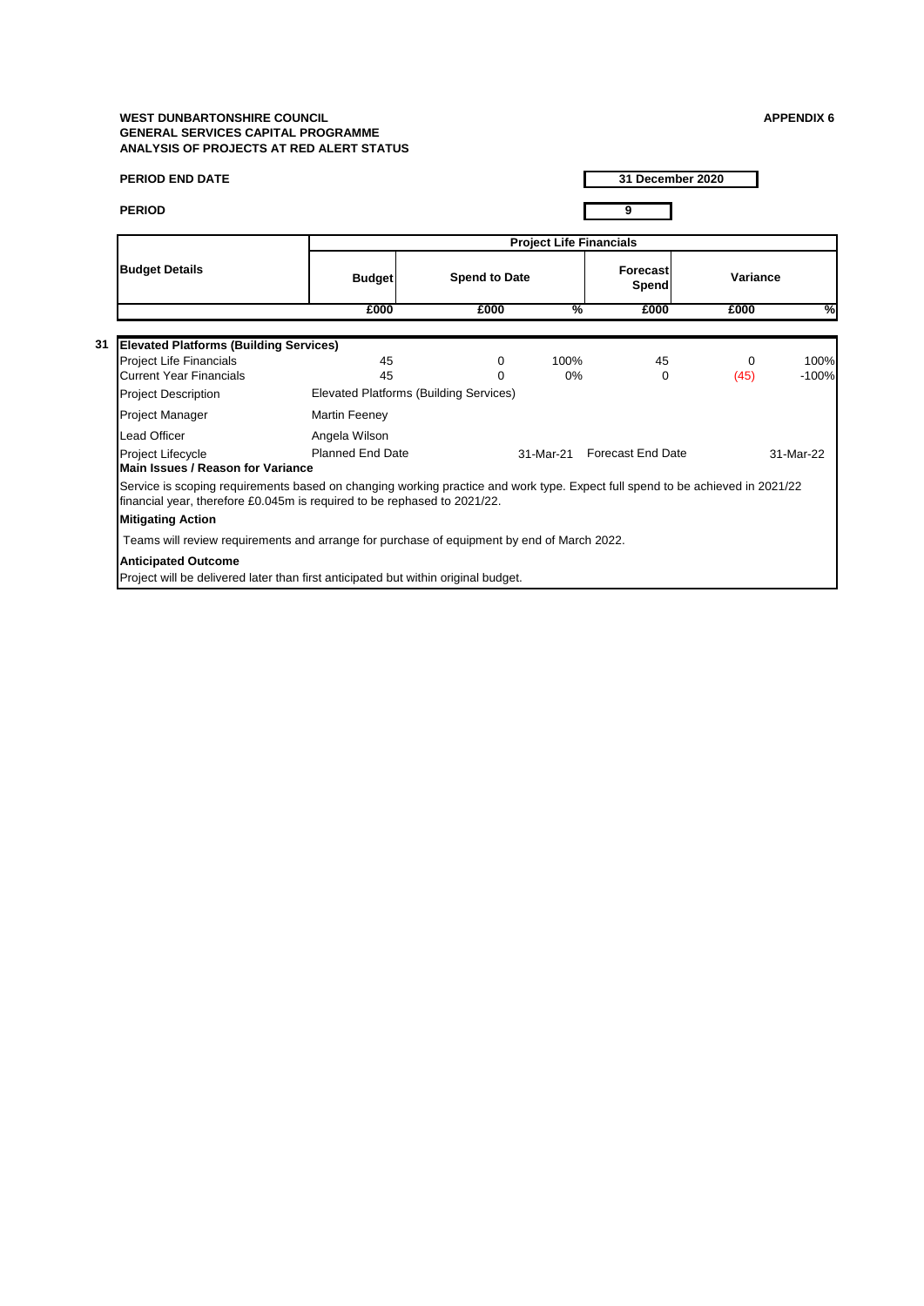| <b>PERIOD END DATE</b>                                                                                                                                                                                    |                                        |                                                                                    |           | 31 December 2020               |          |           |  |  |  |  |
|-----------------------------------------------------------------------------------------------------------------------------------------------------------------------------------------------------------|----------------------------------------|------------------------------------------------------------------------------------|-----------|--------------------------------|----------|-----------|--|--|--|--|
| <b>PERIOD</b>                                                                                                                                                                                             |                                        |                                                                                    |           | 9                              |          |           |  |  |  |  |
|                                                                                                                                                                                                           |                                        |                                                                                    |           | <b>Project Life Financials</b> |          |           |  |  |  |  |
| <b>Budget Details</b>                                                                                                                                                                                     | <b>Budget</b>                          | <b>Spend to Date</b>                                                               |           |                                | Variance |           |  |  |  |  |
|                                                                                                                                                                                                           | £000                                   | £000                                                                               | %         | £000                           | £000     | ℅         |  |  |  |  |
|                                                                                                                                                                                                           |                                        |                                                                                    |           |                                |          |           |  |  |  |  |
| <b>Elevated Platforms (Building Services)</b>                                                                                                                                                             |                                        |                                                                                    |           |                                |          |           |  |  |  |  |
| Project Life Financials                                                                                                                                                                                   | 45                                     | 0                                                                                  | 100%      | 45                             | 0        | 100%      |  |  |  |  |
| <b>Current Year Financials</b>                                                                                                                                                                            | 45                                     | $\Omega$                                                                           | 0%        | $\Omega$                       | (45)     | $-100%$   |  |  |  |  |
| <b>Project Description</b>                                                                                                                                                                                | Elevated Platforms (Building Services) |                                                                                    |           |                                |          |           |  |  |  |  |
| Project Manager                                                                                                                                                                                           | Martin Feeney                          |                                                                                    |           |                                |          |           |  |  |  |  |
| Lead Officer                                                                                                                                                                                              | Angela Wilson                          |                                                                                    |           |                                |          |           |  |  |  |  |
| Project Lifecycle                                                                                                                                                                                         | Planned Fnd Date                       |                                                                                    | 31-Mar-21 | <b>Forecast End Date</b>       |          | 31-Mar-22 |  |  |  |  |
| Main Issues / Reason for Variance                                                                                                                                                                         |                                        |                                                                                    |           |                                |          |           |  |  |  |  |
| Service is scoping requirements based on changing working practice and work type. Expect full spend to be achieved in 2021/22<br>financial year, therefore £0.045m is required to be rephased to 2021/22. |                                        |                                                                                    |           |                                |          |           |  |  |  |  |
| <b>Mitigating Action</b>                                                                                                                                                                                  |                                        |                                                                                    |           |                                |          |           |  |  |  |  |
| Teams will review requirements and arrange for purchase of equipment by end of March 2022.                                                                                                                |                                        |                                                                                    |           |                                |          |           |  |  |  |  |
| <b>Anticipated Outcome</b>                                                                                                                                                                                |                                        | Project will be delivered later than first anticipated but within original budget. |           |                                |          |           |  |  |  |  |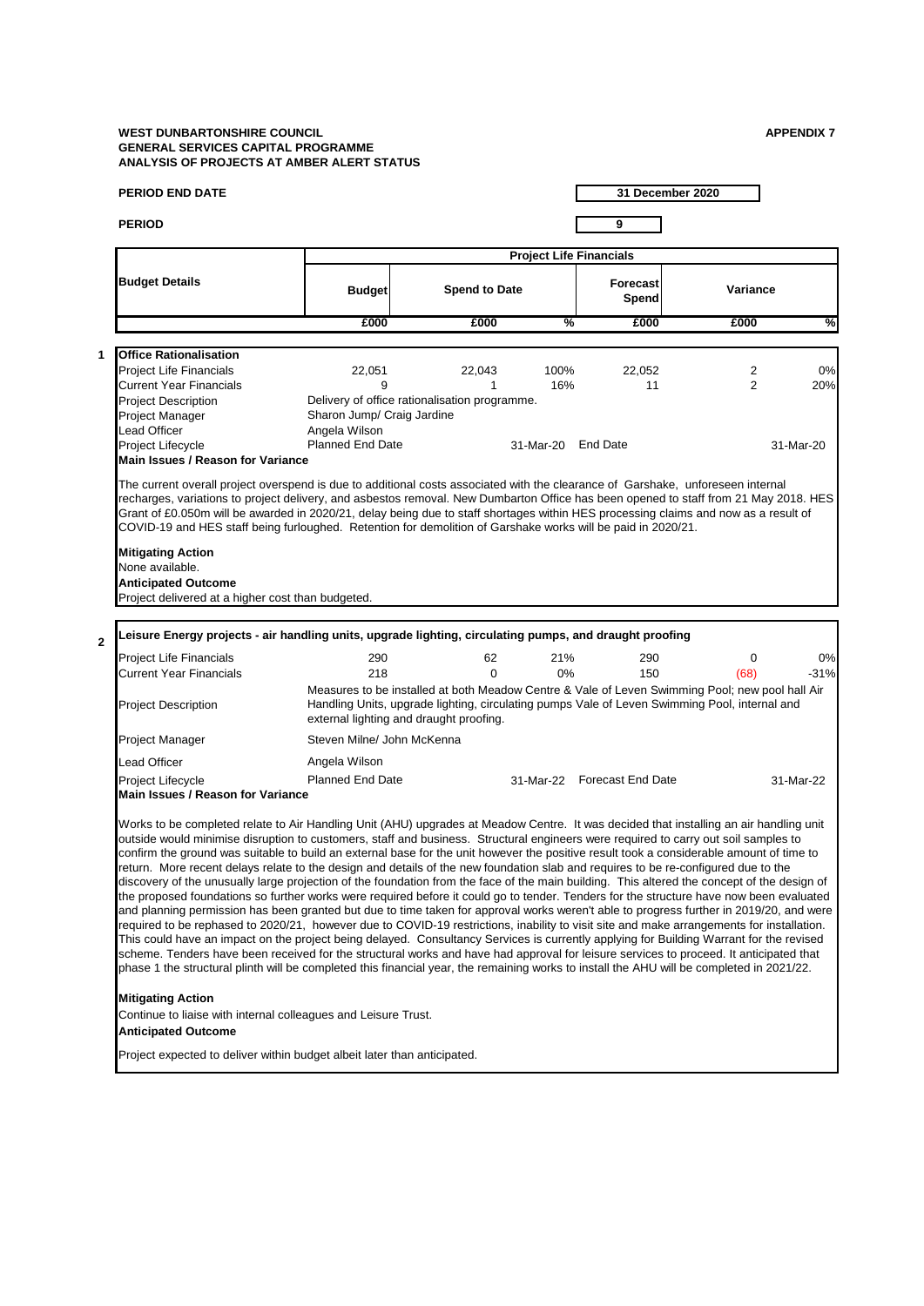|              | PERIOD END DATE                                                                                                                                                                                                                                                                                                                                                                                                                                                                                                                                                                                                                                                                                                                                                                                                                                                                                                                                                                                                                                                                                                                                                                                                                                                                                                                                                                                                                                                                                                                                                                     |                                             |                                               |                                |                             | 31 December 2020                                                                                                                                                                                 |           |  |
|--------------|-------------------------------------------------------------------------------------------------------------------------------------------------------------------------------------------------------------------------------------------------------------------------------------------------------------------------------------------------------------------------------------------------------------------------------------------------------------------------------------------------------------------------------------------------------------------------------------------------------------------------------------------------------------------------------------------------------------------------------------------------------------------------------------------------------------------------------------------------------------------------------------------------------------------------------------------------------------------------------------------------------------------------------------------------------------------------------------------------------------------------------------------------------------------------------------------------------------------------------------------------------------------------------------------------------------------------------------------------------------------------------------------------------------------------------------------------------------------------------------------------------------------------------------------------------------------------------------|---------------------------------------------|-----------------------------------------------|--------------------------------|-----------------------------|--------------------------------------------------------------------------------------------------------------------------------------------------------------------------------------------------|-----------|--|
|              | <b>PERIOD</b>                                                                                                                                                                                                                                                                                                                                                                                                                                                                                                                                                                                                                                                                                                                                                                                                                                                                                                                                                                                                                                                                                                                                                                                                                                                                                                                                                                                                                                                                                                                                                                       |                                             |                                               |                                | 9                           |                                                                                                                                                                                                  |           |  |
|              |                                                                                                                                                                                                                                                                                                                                                                                                                                                                                                                                                                                                                                                                                                                                                                                                                                                                                                                                                                                                                                                                                                                                                                                                                                                                                                                                                                                                                                                                                                                                                                                     |                                             |                                               | <b>Project Life Financials</b> |                             |                                                                                                                                                                                                  |           |  |
|              | <b>Budget Details</b>                                                                                                                                                                                                                                                                                                                                                                                                                                                                                                                                                                                                                                                                                                                                                                                                                                                                                                                                                                                                                                                                                                                                                                                                                                                                                                                                                                                                                                                                                                                                                               | <b>Budget</b>                               | <b>Spend to Date</b>                          |                                | <b>Forecast</b><br>Spend    | Variance                                                                                                                                                                                         |           |  |
|              |                                                                                                                                                                                                                                                                                                                                                                                                                                                                                                                                                                                                                                                                                                                                                                                                                                                                                                                                                                                                                                                                                                                                                                                                                                                                                                                                                                                                                                                                                                                                                                                     | £000                                        | £000                                          | %                              | £000                        | £000                                                                                                                                                                                             | %         |  |
|              |                                                                                                                                                                                                                                                                                                                                                                                                                                                                                                                                                                                                                                                                                                                                                                                                                                                                                                                                                                                                                                                                                                                                                                                                                                                                                                                                                                                                                                                                                                                                                                                     |                                             |                                               |                                |                             |                                                                                                                                                                                                  |           |  |
| 1            | <b>Office Rationalisation</b>                                                                                                                                                                                                                                                                                                                                                                                                                                                                                                                                                                                                                                                                                                                                                                                                                                                                                                                                                                                                                                                                                                                                                                                                                                                                                                                                                                                                                                                                                                                                                       |                                             |                                               |                                |                             |                                                                                                                                                                                                  |           |  |
|              | Project Life Financials                                                                                                                                                                                                                                                                                                                                                                                                                                                                                                                                                                                                                                                                                                                                                                                                                                                                                                                                                                                                                                                                                                                                                                                                                                                                                                                                                                                                                                                                                                                                                             | 22,051                                      | 22,043                                        | 100%                           | 22,052                      | 2                                                                                                                                                                                                | 0%        |  |
|              | <b>Current Year Financials</b>                                                                                                                                                                                                                                                                                                                                                                                                                                                                                                                                                                                                                                                                                                                                                                                                                                                                                                                                                                                                                                                                                                                                                                                                                                                                                                                                                                                                                                                                                                                                                      | 9                                           | 1                                             | 16%                            | 11                          | $\overline{2}$                                                                                                                                                                                   | 20%       |  |
|              | Project Description                                                                                                                                                                                                                                                                                                                                                                                                                                                                                                                                                                                                                                                                                                                                                                                                                                                                                                                                                                                                                                                                                                                                                                                                                                                                                                                                                                                                                                                                                                                                                                 |                                             | Delivery of office rationalisation programme. |                                |                             |                                                                                                                                                                                                  |           |  |
|              | Project Manager<br>Lead Officer                                                                                                                                                                                                                                                                                                                                                                                                                                                                                                                                                                                                                                                                                                                                                                                                                                                                                                                                                                                                                                                                                                                                                                                                                                                                                                                                                                                                                                                                                                                                                     | Sharon Jump/ Craig Jardine<br>Angela Wilson |                                               |                                |                             |                                                                                                                                                                                                  |           |  |
|              | Project Lifecycle                                                                                                                                                                                                                                                                                                                                                                                                                                                                                                                                                                                                                                                                                                                                                                                                                                                                                                                                                                                                                                                                                                                                                                                                                                                                                                                                                                                                                                                                                                                                                                   | <b>Planned End Date</b>                     |                                               | 31-Mar-20 End Date             |                             |                                                                                                                                                                                                  | 31-Mar-20 |  |
|              | Main Issues / Reason for Variance                                                                                                                                                                                                                                                                                                                                                                                                                                                                                                                                                                                                                                                                                                                                                                                                                                                                                                                                                                                                                                                                                                                                                                                                                                                                                                                                                                                                                                                                                                                                                   |                                             |                                               |                                |                             |                                                                                                                                                                                                  |           |  |
|              | recharges, variations to project delivery, and asbestos removal. New Dumbarton Office has been opened to staff from 21 May 2018. HES<br>Grant of £0.050m will be awarded in 2020/21, delay being due to staff shortages within HES processing claims and now as a result of<br>COVID-19 and HES staff being furloughed. Retention for demolition of Garshake works will be paid in 2020/21.<br><b>Mitigating Action</b><br>None available.                                                                                                                                                                                                                                                                                                                                                                                                                                                                                                                                                                                                                                                                                                                                                                                                                                                                                                                                                                                                                                                                                                                                          |                                             |                                               |                                |                             |                                                                                                                                                                                                  |           |  |
|              | <b>Anticipated Outcome</b><br>Project delivered at a higher cost than budgeted.                                                                                                                                                                                                                                                                                                                                                                                                                                                                                                                                                                                                                                                                                                                                                                                                                                                                                                                                                                                                                                                                                                                                                                                                                                                                                                                                                                                                                                                                                                     |                                             |                                               |                                |                             |                                                                                                                                                                                                  |           |  |
| $\mathbf{2}$ | Leisure Energy projects - air handling units, upgrade lighting, circulating pumps, and draught proofing                                                                                                                                                                                                                                                                                                                                                                                                                                                                                                                                                                                                                                                                                                                                                                                                                                                                                                                                                                                                                                                                                                                                                                                                                                                                                                                                                                                                                                                                             |                                             |                                               |                                |                             |                                                                                                                                                                                                  |           |  |
|              | Project Life Financials                                                                                                                                                                                                                                                                                                                                                                                                                                                                                                                                                                                                                                                                                                                                                                                                                                                                                                                                                                                                                                                                                                                                                                                                                                                                                                                                                                                                                                                                                                                                                             | 290                                         | 62                                            | 21%                            | 290                         | 0                                                                                                                                                                                                | 0%        |  |
|              | <b>Current Year Financials</b>                                                                                                                                                                                                                                                                                                                                                                                                                                                                                                                                                                                                                                                                                                                                                                                                                                                                                                                                                                                                                                                                                                                                                                                                                                                                                                                                                                                                                                                                                                                                                      | 218                                         | $\Omega$                                      | 0%                             | 150                         | (68)                                                                                                                                                                                             | $-31%$    |  |
|              | <b>Project Description</b>                                                                                                                                                                                                                                                                                                                                                                                                                                                                                                                                                                                                                                                                                                                                                                                                                                                                                                                                                                                                                                                                                                                                                                                                                                                                                                                                                                                                                                                                                                                                                          |                                             | external lighting and draught proofing.       |                                |                             | Measures to be installed at both Meadow Centre & Vale of Leven Swimming Pool; new pool hall Air<br>Handling Units, upgrade lighting, circulating pumps Vale of Leven Swimming Pool, internal and |           |  |
|              | Project Manager                                                                                                                                                                                                                                                                                                                                                                                                                                                                                                                                                                                                                                                                                                                                                                                                                                                                                                                                                                                                                                                                                                                                                                                                                                                                                                                                                                                                                                                                                                                                                                     | Steven Milne/ John McKenna                  |                                               |                                |                             |                                                                                                                                                                                                  |           |  |
|              | Lead Officer                                                                                                                                                                                                                                                                                                                                                                                                                                                                                                                                                                                                                                                                                                                                                                                                                                                                                                                                                                                                                                                                                                                                                                                                                                                                                                                                                                                                                                                                                                                                                                        | Angela Wilson                               |                                               |                                |                             |                                                                                                                                                                                                  |           |  |
|              | Project Lifecycle                                                                                                                                                                                                                                                                                                                                                                                                                                                                                                                                                                                                                                                                                                                                                                                                                                                                                                                                                                                                                                                                                                                                                                                                                                                                                                                                                                                                                                                                                                                                                                   | <b>Planned End Date</b>                     |                                               |                                | 31-Mar-22 Forecast End Date |                                                                                                                                                                                                  | 31-Mar-22 |  |
|              | Main Issues / Reason for Variance                                                                                                                                                                                                                                                                                                                                                                                                                                                                                                                                                                                                                                                                                                                                                                                                                                                                                                                                                                                                                                                                                                                                                                                                                                                                                                                                                                                                                                                                                                                                                   |                                             |                                               |                                |                             |                                                                                                                                                                                                  |           |  |
|              | Works to be completed relate to Air Handling Unit (AHU) upgrades at Meadow Centre. It was decided that installing an air handling unit<br>outside would minimise disruption to customers, staff and business. Structural engineers were required to carry out soil samples to<br>confirm the ground was suitable to build an external base for the unit however the positive result took a considerable amount of time to<br>return. More recent delays relate to the design and details of the new foundation slab and requires to be re-configured due to the<br>discovery of the unusually large projection of the foundation from the face of the main building. This altered the concept of the design of<br>the proposed foundations so further works were required before it could go to tender. Tenders for the structure have now been evaluated<br>and planning permission has been granted but due to time taken for approval works weren't able to progress further in 2019/20, and were<br>required to be rephased to 2020/21, however due to COVID-19 restrictions, inability to visit site and make arrangements for installation.<br>This could have an impact on the project being delayed. Consultancy Services is currently applying for Building Warrant for the revised<br>scheme. Tenders have been received for the structural works and have had approval for leisure services to proceed. It anticipated that<br>phase 1 the structural plinth will be completed this financial year, the remaining works to install the AHU will be completed in 2021/22. |                                             |                                               |                                |                             |                                                                                                                                                                                                  |           |  |
|              | <b>Mitigating Action</b><br>Continue to liaise with internal colleagues and Leisure Trust.<br><b>Anticipated Outcome</b>                                                                                                                                                                                                                                                                                                                                                                                                                                                                                                                                                                                                                                                                                                                                                                                                                                                                                                                                                                                                                                                                                                                                                                                                                                                                                                                                                                                                                                                            |                                             |                                               |                                |                             |                                                                                                                                                                                                  |           |  |
|              | Project expected to deliver within budget albeit later than anticipated.                                                                                                                                                                                                                                                                                                                                                                                                                                                                                                                                                                                                                                                                                                                                                                                                                                                                                                                                                                                                                                                                                                                                                                                                                                                                                                                                                                                                                                                                                                            |                                             |                                               |                                |                             |                                                                                                                                                                                                  |           |  |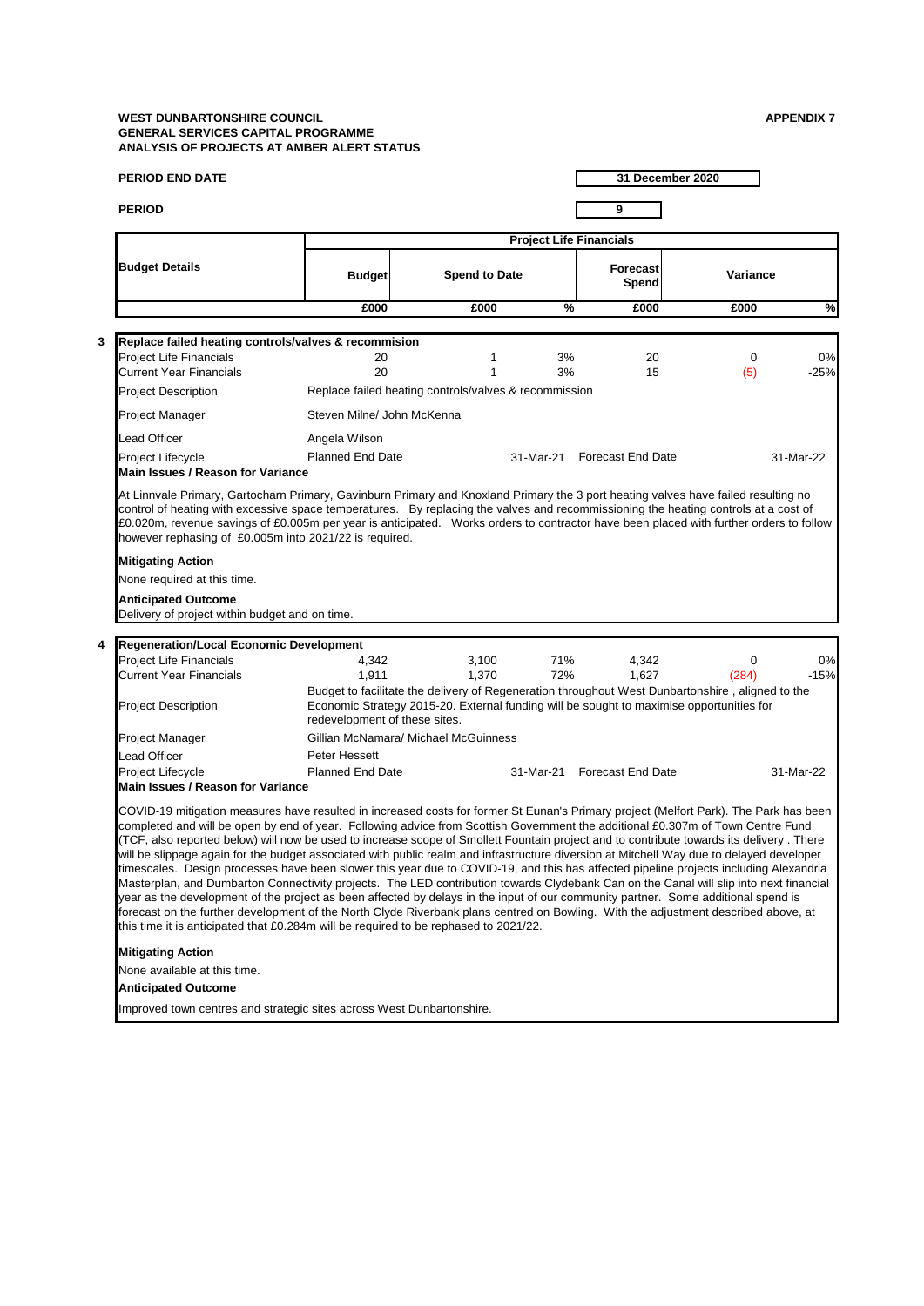|   | <b>PERIOD END DATE</b>                                                                                                                                                                                                                                                                                                                                                                                                                                                                                                                                                                                                                                                                                                                                                                                                                                                                                                                                                                                                                                                                                                                                                                                                                                                                                                          |                               |                                                                                                  |           |                                | 31 December 2020 |              |  |  |
|---|---------------------------------------------------------------------------------------------------------------------------------------------------------------------------------------------------------------------------------------------------------------------------------------------------------------------------------------------------------------------------------------------------------------------------------------------------------------------------------------------------------------------------------------------------------------------------------------------------------------------------------------------------------------------------------------------------------------------------------------------------------------------------------------------------------------------------------------------------------------------------------------------------------------------------------------------------------------------------------------------------------------------------------------------------------------------------------------------------------------------------------------------------------------------------------------------------------------------------------------------------------------------------------------------------------------------------------|-------------------------------|--------------------------------------------------------------------------------------------------|-----------|--------------------------------|------------------|--------------|--|--|
|   | <b>PERIOD</b>                                                                                                                                                                                                                                                                                                                                                                                                                                                                                                                                                                                                                                                                                                                                                                                                                                                                                                                                                                                                                                                                                                                                                                                                                                                                                                                   |                               |                                                                                                  |           | 9                              |                  |              |  |  |
|   |                                                                                                                                                                                                                                                                                                                                                                                                                                                                                                                                                                                                                                                                                                                                                                                                                                                                                                                                                                                                                                                                                                                                                                                                                                                                                                                                 |                               |                                                                                                  |           | <b>Project Life Financials</b> |                  |              |  |  |
|   | <b>Budget Details</b>                                                                                                                                                                                                                                                                                                                                                                                                                                                                                                                                                                                                                                                                                                                                                                                                                                                                                                                                                                                                                                                                                                                                                                                                                                                                                                           | <b>Budget</b>                 | <b>Spend to Date</b>                                                                             |           | <b>Forecast</b><br>Spend       | Variance         |              |  |  |
|   |                                                                                                                                                                                                                                                                                                                                                                                                                                                                                                                                                                                                                                                                                                                                                                                                                                                                                                                                                                                                                                                                                                                                                                                                                                                                                                                                 | £000                          | £000                                                                                             | %         | £000                           | £000             | %            |  |  |
|   |                                                                                                                                                                                                                                                                                                                                                                                                                                                                                                                                                                                                                                                                                                                                                                                                                                                                                                                                                                                                                                                                                                                                                                                                                                                                                                                                 |                               |                                                                                                  |           |                                |                  |              |  |  |
| 3 | Replace failed heating controls/valves & recommision                                                                                                                                                                                                                                                                                                                                                                                                                                                                                                                                                                                                                                                                                                                                                                                                                                                                                                                                                                                                                                                                                                                                                                                                                                                                            |                               |                                                                                                  |           |                                |                  |              |  |  |
|   | Project Life Financials<br><b>Current Year Financials</b>                                                                                                                                                                                                                                                                                                                                                                                                                                                                                                                                                                                                                                                                                                                                                                                                                                                                                                                                                                                                                                                                                                                                                                                                                                                                       | 20<br>20                      | 1<br>1                                                                                           | 3%<br>3%  | 20<br>15                       | 0<br>(5)         | 0%<br>$-25%$ |  |  |
|   | <b>Project Description</b>                                                                                                                                                                                                                                                                                                                                                                                                                                                                                                                                                                                                                                                                                                                                                                                                                                                                                                                                                                                                                                                                                                                                                                                                                                                                                                      |                               | Replace failed heating controls/valves & recommission                                            |           |                                |                  |              |  |  |
|   |                                                                                                                                                                                                                                                                                                                                                                                                                                                                                                                                                                                                                                                                                                                                                                                                                                                                                                                                                                                                                                                                                                                                                                                                                                                                                                                                 |                               |                                                                                                  |           |                                |                  |              |  |  |
|   | Project Manager                                                                                                                                                                                                                                                                                                                                                                                                                                                                                                                                                                                                                                                                                                                                                                                                                                                                                                                                                                                                                                                                                                                                                                                                                                                                                                                 | Steven Milne/ John McKenna    |                                                                                                  |           |                                |                  |              |  |  |
|   | Lead Officer                                                                                                                                                                                                                                                                                                                                                                                                                                                                                                                                                                                                                                                                                                                                                                                                                                                                                                                                                                                                                                                                                                                                                                                                                                                                                                                    | Angela Wilson                 |                                                                                                  |           |                                |                  |              |  |  |
|   | Project Lifecycle<br><b>Main Issues / Reason for Variance</b>                                                                                                                                                                                                                                                                                                                                                                                                                                                                                                                                                                                                                                                                                                                                                                                                                                                                                                                                                                                                                                                                                                                                                                                                                                                                   | <b>Planned End Date</b>       |                                                                                                  | 31-Mar-21 | <b>Forecast End Date</b>       |                  | 31-Mar-22    |  |  |
|   | At Linnvale Primary, Gartocharn Primary, Gavinburn Primary and Knoxland Primary the 3 port heating valves have failed resulting no<br>control of heating with excessive space temperatures. By replacing the valves and recommissioning the heating controls at a cost of<br>£0.020m, revenue savings of £0.005m per year is anticipated. Works orders to contractor have been placed with further orders to follow<br>however rephasing of £0.005m into 2021/22 is required.                                                                                                                                                                                                                                                                                                                                                                                                                                                                                                                                                                                                                                                                                                                                                                                                                                                   |                               |                                                                                                  |           |                                |                  |              |  |  |
|   | <b>Mitigating Action</b>                                                                                                                                                                                                                                                                                                                                                                                                                                                                                                                                                                                                                                                                                                                                                                                                                                                                                                                                                                                                                                                                                                                                                                                                                                                                                                        |                               |                                                                                                  |           |                                |                  |              |  |  |
|   | None required at this time.                                                                                                                                                                                                                                                                                                                                                                                                                                                                                                                                                                                                                                                                                                                                                                                                                                                                                                                                                                                                                                                                                                                                                                                                                                                                                                     |                               |                                                                                                  |           |                                |                  |              |  |  |
|   | <b>Anticipated Outcome</b>                                                                                                                                                                                                                                                                                                                                                                                                                                                                                                                                                                                                                                                                                                                                                                                                                                                                                                                                                                                                                                                                                                                                                                                                                                                                                                      |                               |                                                                                                  |           |                                |                  |              |  |  |
|   | Delivery of project within budget and on time.                                                                                                                                                                                                                                                                                                                                                                                                                                                                                                                                                                                                                                                                                                                                                                                                                                                                                                                                                                                                                                                                                                                                                                                                                                                                                  |                               |                                                                                                  |           |                                |                  |              |  |  |
|   |                                                                                                                                                                                                                                                                                                                                                                                                                                                                                                                                                                                                                                                                                                                                                                                                                                                                                                                                                                                                                                                                                                                                                                                                                                                                                                                                 |                               |                                                                                                  |           |                                |                  |              |  |  |
| 4 | Regeneration/Local Economic Development<br><b>Project Life Financials</b>                                                                                                                                                                                                                                                                                                                                                                                                                                                                                                                                                                                                                                                                                                                                                                                                                                                                                                                                                                                                                                                                                                                                                                                                                                                       | 4,342                         | 3,100                                                                                            | 71%       |                                | 0                | 0%           |  |  |
|   | <b>Current Year Financials</b>                                                                                                                                                                                                                                                                                                                                                                                                                                                                                                                                                                                                                                                                                                                                                                                                                                                                                                                                                                                                                                                                                                                                                                                                                                                                                                  | 1,911                         | 1,370                                                                                            | 72%       | 4,342<br>1,627                 | (284)            | $-15%$       |  |  |
|   |                                                                                                                                                                                                                                                                                                                                                                                                                                                                                                                                                                                                                                                                                                                                                                                                                                                                                                                                                                                                                                                                                                                                                                                                                                                                                                                                 |                               | Budget to facilitate the delivery of Regeneration throughout West Dunbartonshire, aligned to the |           |                                |                  |              |  |  |
|   | <b>Project Description</b>                                                                                                                                                                                                                                                                                                                                                                                                                                                                                                                                                                                                                                                                                                                                                                                                                                                                                                                                                                                                                                                                                                                                                                                                                                                                                                      | redevelopment of these sites. | Economic Strategy 2015-20. External funding will be sought to maximise opportunities for         |           |                                |                  |              |  |  |
|   | Project Manager                                                                                                                                                                                                                                                                                                                                                                                                                                                                                                                                                                                                                                                                                                                                                                                                                                                                                                                                                                                                                                                                                                                                                                                                                                                                                                                 |                               | Gillian McNamara/ Michael McGuinness                                                             |           |                                |                  |              |  |  |
|   | Lead Officer                                                                                                                                                                                                                                                                                                                                                                                                                                                                                                                                                                                                                                                                                                                                                                                                                                                                                                                                                                                                                                                                                                                                                                                                                                                                                                                    | Peter Hessett                 |                                                                                                  |           |                                |                  |              |  |  |
|   | Project Lifecycle                                                                                                                                                                                                                                                                                                                                                                                                                                                                                                                                                                                                                                                                                                                                                                                                                                                                                                                                                                                                                                                                                                                                                                                                                                                                                                               | <b>Planned End Date</b>       |                                                                                                  | 31-Mar-21 | <b>Forecast End Date</b>       |                  | 31-Mar-22    |  |  |
|   | <b>Main Issues / Reason for Variance</b><br>COVID-19 mitigation measures have resulted in increased costs for former St Eunan's Primary project (Melfort Park). The Park has been<br>completed and will be open by end of year. Following advice from Scottish Government the additional £0.307m of Town Centre Fund<br>(TCF, also reported below) will now be used to increase scope of Smollett Fountain project and to contribute towards its delivery . There<br>will be slippage again for the budget associated with public realm and infrastructure diversion at Mitchell Way due to delayed developer<br>timescales. Design processes have been slower this year due to COVID-19, and this has affected pipeline projects including Alexandria<br>Masterplan, and Dumbarton Connectivity projects. The LED contribution towards Clydebank Can on the Canal will slip into next financial<br>year as the development of the project as been affected by delays in the input of our community partner. Some additional spend is<br>forecast on the further development of the North Clyde Riverbank plans centred on Bowling. With the adjustment described above, at<br>this time it is anticipated that £0.284m will be required to be rephased to 2021/22.<br><b>Mitigating Action</b><br>None available at this time. |                               |                                                                                                  |           |                                |                  |              |  |  |
|   | <b>Anticipated Outcome</b>                                                                                                                                                                                                                                                                                                                                                                                                                                                                                                                                                                                                                                                                                                                                                                                                                                                                                                                                                                                                                                                                                                                                                                                                                                                                                                      |                               |                                                                                                  |           |                                |                  |              |  |  |
|   | Improved town centres and strategic sites across West Dunbartonshire.                                                                                                                                                                                                                                                                                                                                                                                                                                                                                                                                                                                                                                                                                                                                                                                                                                                                                                                                                                                                                                                                                                                                                                                                                                                           |                               |                                                                                                  |           |                                |                  |              |  |  |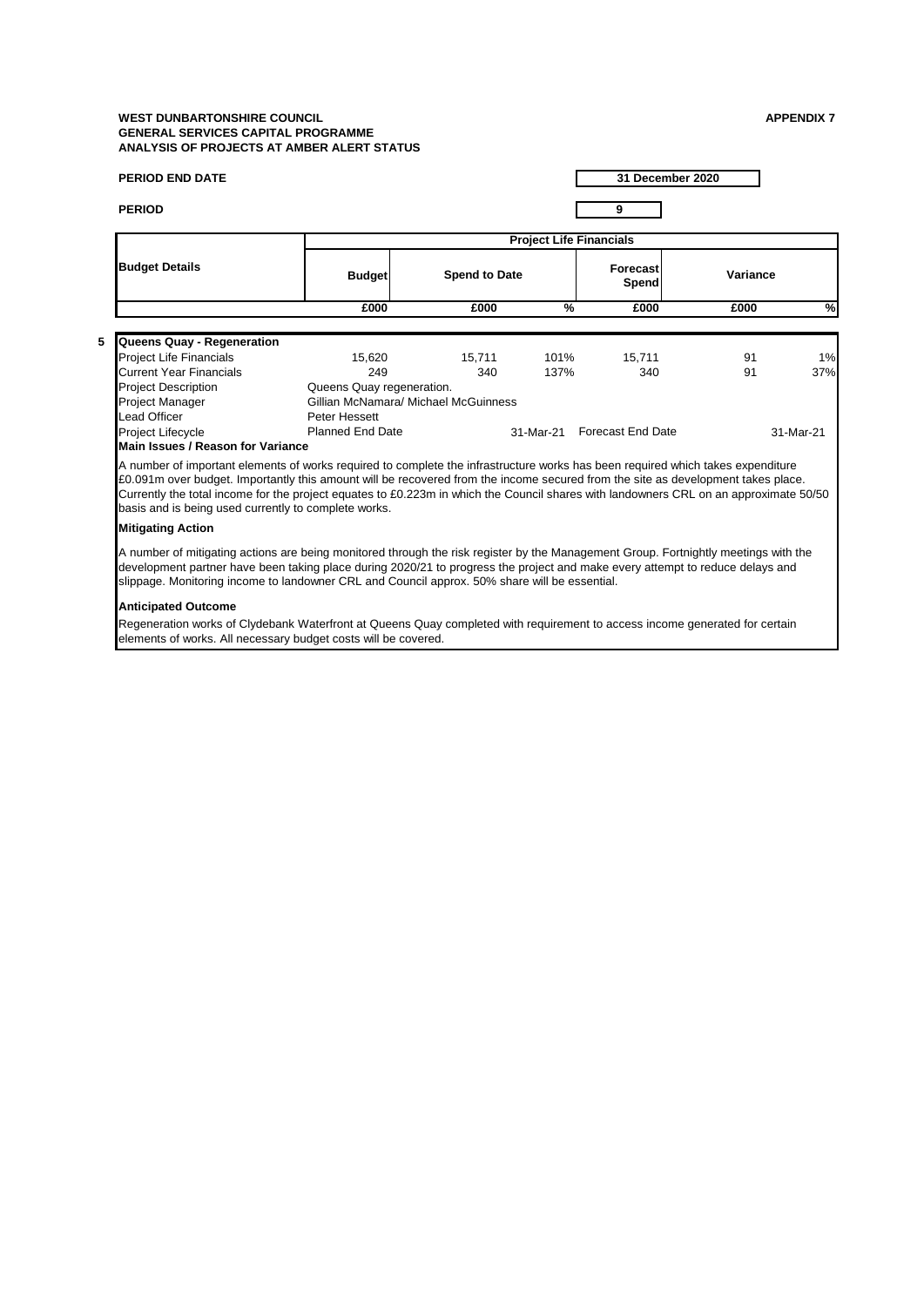| <b>PERIOD END DATE</b>                                                                                                                                                                                                                                                                                                                                                                                                                                               |                                      |                                |           | 31 December 2020         |          |           |  |  |  |  |
|----------------------------------------------------------------------------------------------------------------------------------------------------------------------------------------------------------------------------------------------------------------------------------------------------------------------------------------------------------------------------------------------------------------------------------------------------------------------|--------------------------------------|--------------------------------|-----------|--------------------------|----------|-----------|--|--|--|--|
| <b>PERIOD</b>                                                                                                                                                                                                                                                                                                                                                                                                                                                        |                                      |                                |           | 9                        |          |           |  |  |  |  |
|                                                                                                                                                                                                                                                                                                                                                                                                                                                                      |                                      | <b>Project Life Financials</b> |           |                          |          |           |  |  |  |  |
| <b>Budget Details</b>                                                                                                                                                                                                                                                                                                                                                                                                                                                | <b>Budget</b>                        | <b>Spend to Date</b>           |           | <b>Forecast</b><br>Spend | Variance |           |  |  |  |  |
|                                                                                                                                                                                                                                                                                                                                                                                                                                                                      | £000                                 | £000                           | %         | £000                     | £000     | %         |  |  |  |  |
|                                                                                                                                                                                                                                                                                                                                                                                                                                                                      |                                      |                                |           |                          |          |           |  |  |  |  |
| Queens Quay - Regeneration<br><b>Project Life Financials</b>                                                                                                                                                                                                                                                                                                                                                                                                         | 15,620                               | 15,711                         | 101%      | 15,711                   | 91       | 1%        |  |  |  |  |
| <b>Current Year Financials</b>                                                                                                                                                                                                                                                                                                                                                                                                                                       | 249                                  | 340                            | 137%      | 340                      | 91       | 37%       |  |  |  |  |
| <b>Project Description</b>                                                                                                                                                                                                                                                                                                                                                                                                                                           | Queens Quay regeneration.            |                                |           |                          |          |           |  |  |  |  |
| Project Manager                                                                                                                                                                                                                                                                                                                                                                                                                                                      | Gillian McNamara/ Michael McGuinness |                                |           |                          |          |           |  |  |  |  |
| Lead Officer                                                                                                                                                                                                                                                                                                                                                                                                                                                         | Peter Hessett                        |                                |           |                          |          |           |  |  |  |  |
| <b>Project Lifecycle</b>                                                                                                                                                                                                                                                                                                                                                                                                                                             | <b>Planned End Date</b>              |                                | 31-Mar-21 | Forecast End Date        |          | 31-Mar-21 |  |  |  |  |
| Main Issues / Reason for Variance                                                                                                                                                                                                                                                                                                                                                                                                                                    |                                      |                                |           |                          |          |           |  |  |  |  |
| A number of important elements of works required to complete the infrastructure works has been required which takes expenditure<br>£0.091m over budget. Importantly this amount will be recovered from the income secured from the site as development takes place.<br>Currently the total income for the project equates to £0.223m in which the Council shares with landowners CRL on an approximate 50/50<br>basis and is being used currently to complete works. |                                      |                                |           |                          |          |           |  |  |  |  |
| <b>Mitigating Action</b>                                                                                                                                                                                                                                                                                                                                                                                                                                             |                                      |                                |           |                          |          |           |  |  |  |  |
| A number of mitigating actions are being monitored through the risk register by the Management Group. Fortnightly meetings with the<br>development partner have been taking place during 2020/21 to progress the project and make every attempt to reduce delays and<br>slippage. Monitoring income to landowner CRL and Council approx. 50% share will be essential.                                                                                                |                                      |                                |           |                          |          |           |  |  |  |  |
| <b>Anticipated Outcome</b>                                                                                                                                                                                                                                                                                                                                                                                                                                           |                                      |                                |           |                          |          |           |  |  |  |  |
| Regeneration works of Clydebank Waterfront at Queens Quay completed with requirement to access income generated for certain<br>elements of works. All necessary budget costs will be covered.                                                                                                                                                                                                                                                                        |                                      |                                |           |                          |          |           |  |  |  |  |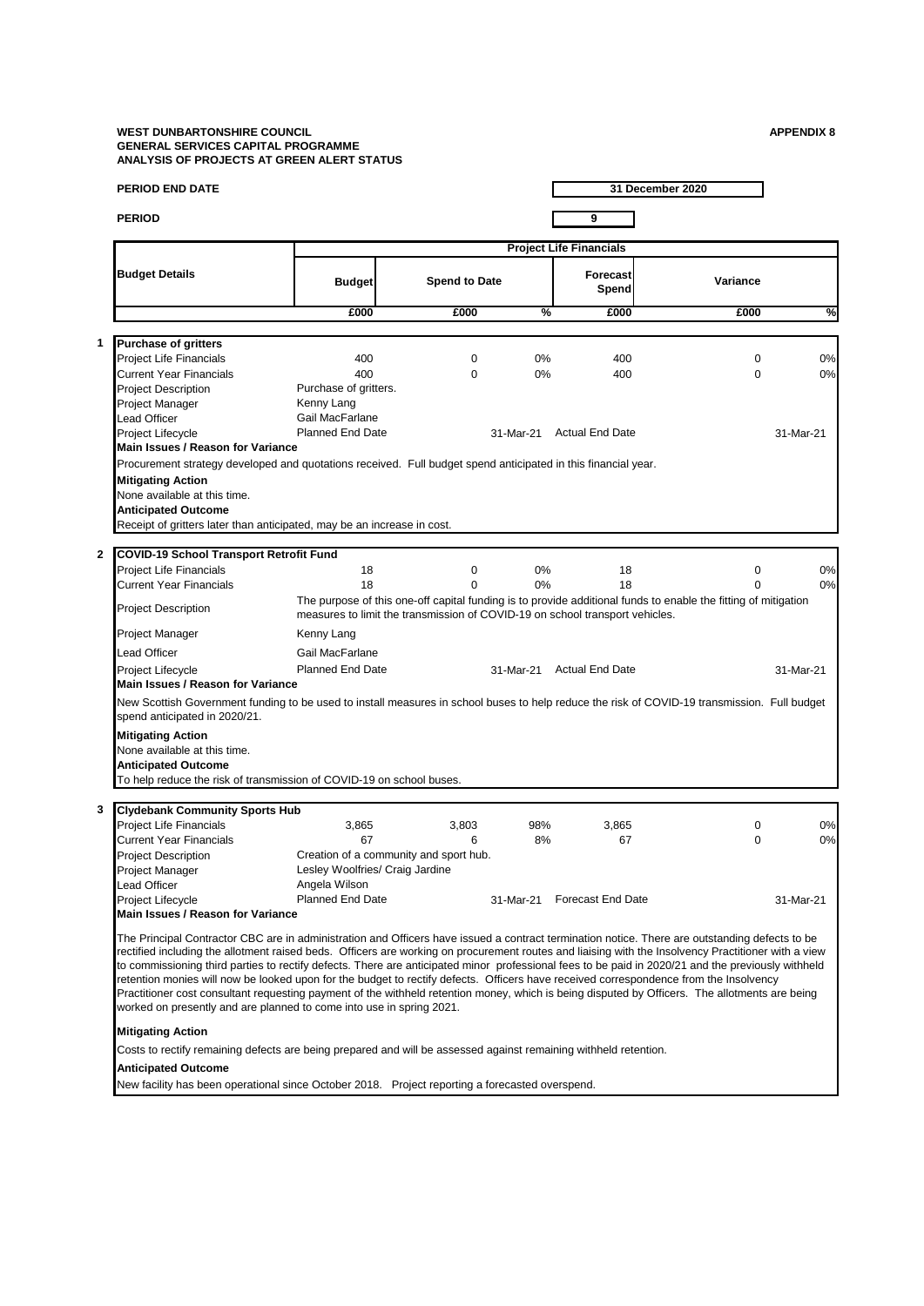**1**

**2**

**3**

| <b>PERIOD END DATE</b>                                                                                                                                                                                                                                                                                                                                                                                                                                                                                                                                                                                                                                                                                                                                                                                                         |                                 |                                                                              |               |                                | 31 December 2020                                                                                               |           |
|--------------------------------------------------------------------------------------------------------------------------------------------------------------------------------------------------------------------------------------------------------------------------------------------------------------------------------------------------------------------------------------------------------------------------------------------------------------------------------------------------------------------------------------------------------------------------------------------------------------------------------------------------------------------------------------------------------------------------------------------------------------------------------------------------------------------------------|---------------------------------|------------------------------------------------------------------------------|---------------|--------------------------------|----------------------------------------------------------------------------------------------------------------|-----------|
| <b>PERIOD</b>                                                                                                                                                                                                                                                                                                                                                                                                                                                                                                                                                                                                                                                                                                                                                                                                                  |                                 |                                                                              |               | 9                              |                                                                                                                |           |
|                                                                                                                                                                                                                                                                                                                                                                                                                                                                                                                                                                                                                                                                                                                                                                                                                                |                                 |                                                                              |               | <b>Project Life Financials</b> |                                                                                                                |           |
| <b>Budget Details</b>                                                                                                                                                                                                                                                                                                                                                                                                                                                                                                                                                                                                                                                                                                                                                                                                          | <b>Budget</b>                   | <b>Spend to Date</b>                                                         |               | Forecast<br>Spend              | Variance                                                                                                       |           |
|                                                                                                                                                                                                                                                                                                                                                                                                                                                                                                                                                                                                                                                                                                                                                                                                                                | £000                            | £000                                                                         | $\frac{9}{6}$ | £000                           | £000                                                                                                           | ℀         |
|                                                                                                                                                                                                                                                                                                                                                                                                                                                                                                                                                                                                                                                                                                                                                                                                                                |                                 |                                                                              |               |                                |                                                                                                                |           |
| <b>Purchase of gritters</b><br><b>Project Life Financials</b>                                                                                                                                                                                                                                                                                                                                                                                                                                                                                                                                                                                                                                                                                                                                                                  | 400                             | $\mathbf 0$                                                                  | 0%            | 400                            | $\mathbf 0$                                                                                                    | 0%        |
| <b>Current Year Financials</b>                                                                                                                                                                                                                                                                                                                                                                                                                                                                                                                                                                                                                                                                                                                                                                                                 | 400                             | $\Omega$                                                                     | 0%            | 400                            | $\Omega$                                                                                                       | 0%        |
| <b>Project Description</b>                                                                                                                                                                                                                                                                                                                                                                                                                                                                                                                                                                                                                                                                                                                                                                                                     | Purchase of gritters.           |                                                                              |               |                                |                                                                                                                |           |
| <b>Project Manager</b>                                                                                                                                                                                                                                                                                                                                                                                                                                                                                                                                                                                                                                                                                                                                                                                                         | Kenny Lang                      |                                                                              |               |                                |                                                                                                                |           |
| <b>Lead Officer</b>                                                                                                                                                                                                                                                                                                                                                                                                                                                                                                                                                                                                                                                                                                                                                                                                            | Gail MacFarlane                 |                                                                              |               |                                |                                                                                                                |           |
| Project Lifecycle                                                                                                                                                                                                                                                                                                                                                                                                                                                                                                                                                                                                                                                                                                                                                                                                              | <b>Planned End Date</b>         |                                                                              | 31-Mar-21     | <b>Actual End Date</b>         |                                                                                                                | 31-Mar-21 |
| Main Issues / Reason for Variance                                                                                                                                                                                                                                                                                                                                                                                                                                                                                                                                                                                                                                                                                                                                                                                              |                                 |                                                                              |               |                                |                                                                                                                |           |
| Procurement strategy developed and quotations received. Full budget spend anticipated in this financial year.                                                                                                                                                                                                                                                                                                                                                                                                                                                                                                                                                                                                                                                                                                                  |                                 |                                                                              |               |                                |                                                                                                                |           |
| <b>Mitigating Action</b>                                                                                                                                                                                                                                                                                                                                                                                                                                                                                                                                                                                                                                                                                                                                                                                                       |                                 |                                                                              |               |                                |                                                                                                                |           |
| None available at this time.                                                                                                                                                                                                                                                                                                                                                                                                                                                                                                                                                                                                                                                                                                                                                                                                   |                                 |                                                                              |               |                                |                                                                                                                |           |
| <b>Anticipated Outcome</b>                                                                                                                                                                                                                                                                                                                                                                                                                                                                                                                                                                                                                                                                                                                                                                                                     |                                 |                                                                              |               |                                |                                                                                                                |           |
| Receipt of gritters later than anticipated, may be an increase in cost.                                                                                                                                                                                                                                                                                                                                                                                                                                                                                                                                                                                                                                                                                                                                                        |                                 |                                                                              |               |                                |                                                                                                                |           |
|                                                                                                                                                                                                                                                                                                                                                                                                                                                                                                                                                                                                                                                                                                                                                                                                                                |                                 |                                                                              |               |                                |                                                                                                                |           |
| <b>COVID-19 School Transport Retrofit Fund</b>                                                                                                                                                                                                                                                                                                                                                                                                                                                                                                                                                                                                                                                                                                                                                                                 |                                 |                                                                              |               |                                |                                                                                                                |           |
| <b>Project Life Financials</b>                                                                                                                                                                                                                                                                                                                                                                                                                                                                                                                                                                                                                                                                                                                                                                                                 | 18                              | 0                                                                            | 0%            | 18                             | 0                                                                                                              | 0%        |
| <b>Current Year Financials</b>                                                                                                                                                                                                                                                                                                                                                                                                                                                                                                                                                                                                                                                                                                                                                                                                 | 18                              | $\Omega$                                                                     | 0%            | 18                             | 0                                                                                                              | 0%        |
| <b>Project Description</b>                                                                                                                                                                                                                                                                                                                                                                                                                                                                                                                                                                                                                                                                                                                                                                                                     |                                 | measures to limit the transmission of COVID-19 on school transport vehicles. |               |                                | The purpose of this one-off capital funding is to provide additional funds to enable the fitting of mitigation |           |
| Project Manager                                                                                                                                                                                                                                                                                                                                                                                                                                                                                                                                                                                                                                                                                                                                                                                                                | Kenny Lang                      |                                                                              |               |                                |                                                                                                                |           |
| <b>Lead Officer</b>                                                                                                                                                                                                                                                                                                                                                                                                                                                                                                                                                                                                                                                                                                                                                                                                            | Gail MacFarlane                 |                                                                              |               |                                |                                                                                                                |           |
| Project Lifecycle                                                                                                                                                                                                                                                                                                                                                                                                                                                                                                                                                                                                                                                                                                                                                                                                              | <b>Planned End Date</b>         |                                                                              | 31-Mar-21     | <b>Actual End Date</b>         |                                                                                                                | 31-Mar-21 |
| Main Issues / Reason for Variance                                                                                                                                                                                                                                                                                                                                                                                                                                                                                                                                                                                                                                                                                                                                                                                              |                                 |                                                                              |               |                                |                                                                                                                |           |
| New Scottish Government funding to be used to install measures in school buses to help reduce the risk of COVID-19 transmission. Full budget<br>spend anticipated in 2020/21.                                                                                                                                                                                                                                                                                                                                                                                                                                                                                                                                                                                                                                                  |                                 |                                                                              |               |                                |                                                                                                                |           |
| <b>Mitigating Action</b>                                                                                                                                                                                                                                                                                                                                                                                                                                                                                                                                                                                                                                                                                                                                                                                                       |                                 |                                                                              |               |                                |                                                                                                                |           |
| None available at this time.                                                                                                                                                                                                                                                                                                                                                                                                                                                                                                                                                                                                                                                                                                                                                                                                   |                                 |                                                                              |               |                                |                                                                                                                |           |
| <b>Anticipated Outcome</b>                                                                                                                                                                                                                                                                                                                                                                                                                                                                                                                                                                                                                                                                                                                                                                                                     |                                 |                                                                              |               |                                |                                                                                                                |           |
| To help reduce the risk of transmission of COVID-19 on school buses.                                                                                                                                                                                                                                                                                                                                                                                                                                                                                                                                                                                                                                                                                                                                                           |                                 |                                                                              |               |                                |                                                                                                                |           |
|                                                                                                                                                                                                                                                                                                                                                                                                                                                                                                                                                                                                                                                                                                                                                                                                                                |                                 |                                                                              |               |                                |                                                                                                                |           |
| <b>Clydebank Community Sports Hub</b>                                                                                                                                                                                                                                                                                                                                                                                                                                                                                                                                                                                                                                                                                                                                                                                          |                                 |                                                                              |               |                                |                                                                                                                |           |
| <b>Project Life Financials</b>                                                                                                                                                                                                                                                                                                                                                                                                                                                                                                                                                                                                                                                                                                                                                                                                 | 3,865                           | 3,803                                                                        | 98%           | 3,865                          | 0                                                                                                              | 0%        |
| <b>Current Year Financials</b>                                                                                                                                                                                                                                                                                                                                                                                                                                                                                                                                                                                                                                                                                                                                                                                                 | 67                              | 6                                                                            | 8%            | 67                             | $\mathbf 0$                                                                                                    | 0%        |
| <b>Project Description</b>                                                                                                                                                                                                                                                                                                                                                                                                                                                                                                                                                                                                                                                                                                                                                                                                     |                                 | Creation of a community and sport hub.                                       |               |                                |                                                                                                                |           |
| Project Manager                                                                                                                                                                                                                                                                                                                                                                                                                                                                                                                                                                                                                                                                                                                                                                                                                | Lesley Woolfries/ Craig Jardine |                                                                              |               |                                |                                                                                                                |           |
| <b>Lead Officer</b>                                                                                                                                                                                                                                                                                                                                                                                                                                                                                                                                                                                                                                                                                                                                                                                                            | Angela Wilson                   |                                                                              |               |                                |                                                                                                                |           |
| Project Lifecycle                                                                                                                                                                                                                                                                                                                                                                                                                                                                                                                                                                                                                                                                                                                                                                                                              | Planned End Date                |                                                                              |               | 31-Mar-21 Forecast End Date    |                                                                                                                | 31-Mar-21 |
| Main Issues / Reason for Variance                                                                                                                                                                                                                                                                                                                                                                                                                                                                                                                                                                                                                                                                                                                                                                                              |                                 |                                                                              |               |                                |                                                                                                                |           |
| The Principal Contractor CBC are in administration and Officers have issued a contract termination notice. There are outstanding defects to be<br>rectified including the allotment raised beds. Officers are working on procurement routes and liaising with the Insolvency Practitioner with a view<br>to commissioning third parties to rectify defects. There are anticipated minor professional fees to be paid in 2020/21 and the previously withheld<br>retention monies will now be looked upon for the budget to rectify defects. Officers have received correspondence from the Insolvency<br>Practitioner cost consultant requesting payment of the withheld retention money, which is being disputed by Officers. The allotments are being<br>worked on presently and are planned to come into use in spring 2021. |                                 |                                                                              |               |                                |                                                                                                                |           |

**Mitigating Action**

Costs to rectify remaining defects are being prepared and will be assessed against remaining withheld retention.

# **Anticipated Outcome**

New facility has been operational since October 2018. Project reporting a forecasted overspend.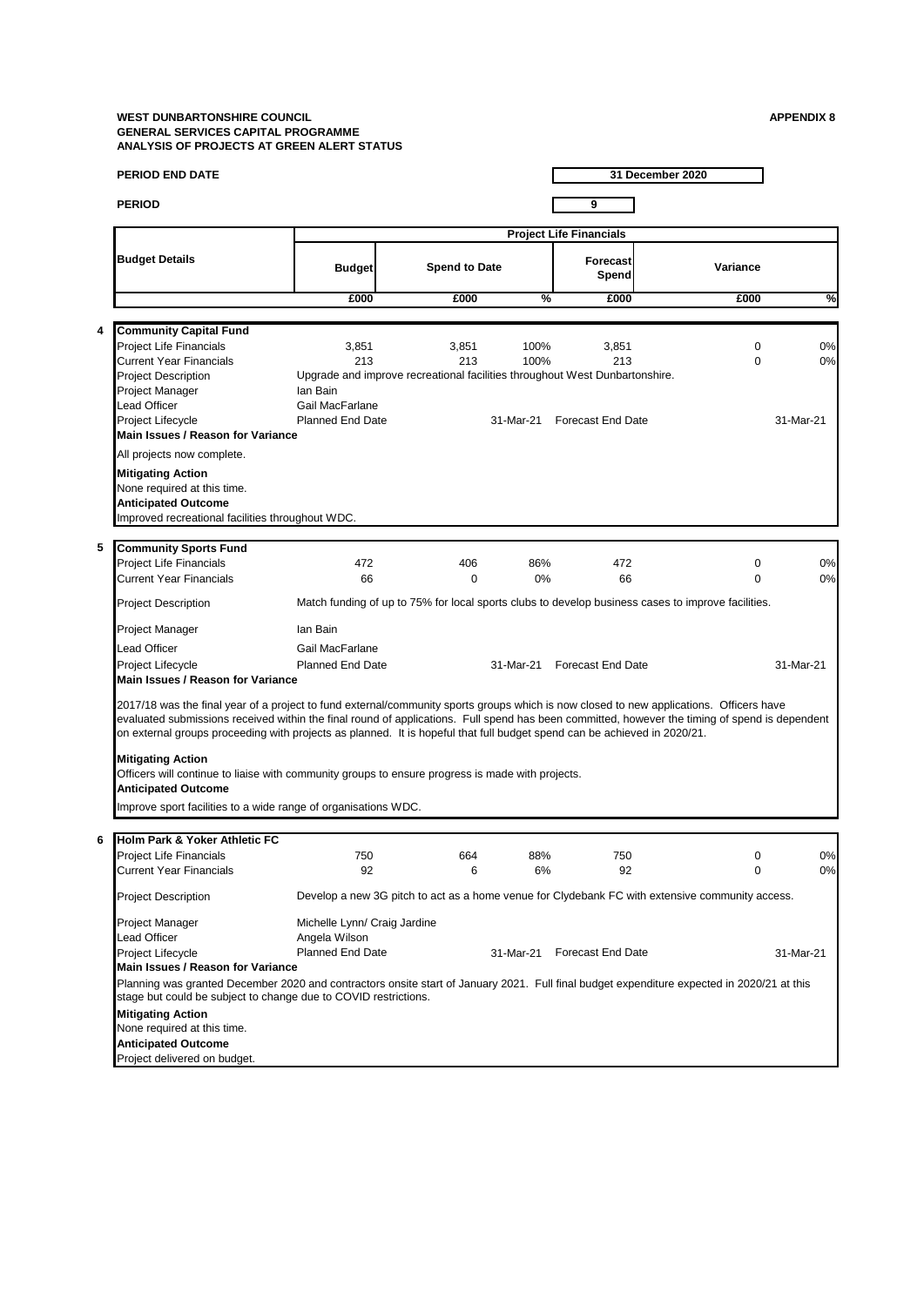|   | <b>PERIOD END DATE</b>                                                                                                                                                                                                                                                                                                                                                                                                |                              |                      |              |                                                                             | 31 December 2020                                                                                   |           |
|---|-----------------------------------------------------------------------------------------------------------------------------------------------------------------------------------------------------------------------------------------------------------------------------------------------------------------------------------------------------------------------------------------------------------------------|------------------------------|----------------------|--------------|-----------------------------------------------------------------------------|----------------------------------------------------------------------------------------------------|-----------|
|   | <b>PERIOD</b>                                                                                                                                                                                                                                                                                                                                                                                                         |                              |                      |              |                                                                             |                                                                                                    |           |
|   |                                                                                                                                                                                                                                                                                                                                                                                                                       |                              |                      |              | 9                                                                           |                                                                                                    |           |
|   |                                                                                                                                                                                                                                                                                                                                                                                                                       |                              |                      |              | <b>Project Life Financials</b>                                              |                                                                                                    |           |
|   | <b>Budget Details</b>                                                                                                                                                                                                                                                                                                                                                                                                 | <b>Budget</b>                | <b>Spend to Date</b> |              | <b>Forecast</b><br>Spend                                                    | Variance                                                                                           |           |
|   |                                                                                                                                                                                                                                                                                                                                                                                                                       | £000                         | £000                 | %            | £000                                                                        | £000                                                                                               | %         |
|   |                                                                                                                                                                                                                                                                                                                                                                                                                       |                              |                      |              |                                                                             |                                                                                                    |           |
| 4 | <b>Community Capital Fund</b>                                                                                                                                                                                                                                                                                                                                                                                         |                              |                      |              |                                                                             |                                                                                                    |           |
|   | <b>Project Life Financials</b><br><b>Current Year Financials</b>                                                                                                                                                                                                                                                                                                                                                      | 3,851<br>213                 | 3,851<br>213         | 100%<br>100% | 3,851<br>213                                                                | 0<br>$\Omega$                                                                                      | 0%<br>0%  |
|   | <b>Project Description</b>                                                                                                                                                                                                                                                                                                                                                                                            |                              |                      |              | Upgrade and improve recreational facilities throughout West Dunbartonshire. |                                                                                                    |           |
|   | Project Manager                                                                                                                                                                                                                                                                                                                                                                                                       | lan Bain                     |                      |              |                                                                             |                                                                                                    |           |
|   | <b>Lead Officer</b>                                                                                                                                                                                                                                                                                                                                                                                                   | Gail MacFarlane              |                      |              |                                                                             |                                                                                                    |           |
|   | Project Lifecycle                                                                                                                                                                                                                                                                                                                                                                                                     | <b>Planned End Date</b>      |                      | 31-Mar-21    | <b>Forecast End Date</b>                                                    |                                                                                                    | 31-Mar-21 |
|   | Main Issues / Reason for Variance                                                                                                                                                                                                                                                                                                                                                                                     |                              |                      |              |                                                                             |                                                                                                    |           |
|   | All projects now complete.                                                                                                                                                                                                                                                                                                                                                                                            |                              |                      |              |                                                                             |                                                                                                    |           |
|   | <b>Mitigating Action</b>                                                                                                                                                                                                                                                                                                                                                                                              |                              |                      |              |                                                                             |                                                                                                    |           |
|   | None required at this time.                                                                                                                                                                                                                                                                                                                                                                                           |                              |                      |              |                                                                             |                                                                                                    |           |
|   | <b>Anticipated Outcome</b><br>Improved recreational facilities throughout WDC.                                                                                                                                                                                                                                                                                                                                        |                              |                      |              |                                                                             |                                                                                                    |           |
|   |                                                                                                                                                                                                                                                                                                                                                                                                                       |                              |                      |              |                                                                             |                                                                                                    |           |
| 5 | <b>Community Sports Fund</b>                                                                                                                                                                                                                                                                                                                                                                                          |                              |                      |              |                                                                             |                                                                                                    |           |
|   | <b>Project Life Financials</b>                                                                                                                                                                                                                                                                                                                                                                                        | 472                          | 406                  | 86%          | 472                                                                         | 0                                                                                                  | 0%        |
|   | <b>Current Year Financials</b>                                                                                                                                                                                                                                                                                                                                                                                        | 66                           | $\mathbf 0$          | 0%           | 66                                                                          | $\Omega$                                                                                           | 0%        |
|   | <b>Project Description</b>                                                                                                                                                                                                                                                                                                                                                                                            |                              |                      |              |                                                                             | Match funding of up to 75% for local sports clubs to develop business cases to improve facilities. |           |
|   | Project Manager                                                                                                                                                                                                                                                                                                                                                                                                       | lan Bain                     |                      |              |                                                                             |                                                                                                    |           |
|   | Lead Officer                                                                                                                                                                                                                                                                                                                                                                                                          | Gail MacFarlane              |                      |              |                                                                             |                                                                                                    |           |
|   | Project Lifecycle                                                                                                                                                                                                                                                                                                                                                                                                     | <b>Planned End Date</b>      |                      |              | 31-Mar-21 Forecast End Date                                                 |                                                                                                    | 31-Mar-21 |
|   | Main Issues / Reason for Variance                                                                                                                                                                                                                                                                                                                                                                                     |                              |                      |              |                                                                             |                                                                                                    |           |
|   | 2017/18 was the final year of a project to fund external/community sports groups which is now closed to new applications. Officers have<br>evaluated submissions received within the final round of applications. Full spend has been committed, however the timing of spend is dependent<br>on external groups proceeding with projects as planned. It is hopeful that full budget spend can be achieved in 2020/21. |                              |                      |              |                                                                             |                                                                                                    |           |
|   | <b>Mitigating Action</b>                                                                                                                                                                                                                                                                                                                                                                                              |                              |                      |              |                                                                             |                                                                                                    |           |
|   | Officers will continue to liaise with community groups to ensure progress is made with projects.                                                                                                                                                                                                                                                                                                                      |                              |                      |              |                                                                             |                                                                                                    |           |
|   | <b>Anticipated Outcome</b>                                                                                                                                                                                                                                                                                                                                                                                            |                              |                      |              |                                                                             |                                                                                                    |           |
|   | Improve sport facilities to a wide range of organisations WDC.                                                                                                                                                                                                                                                                                                                                                        |                              |                      |              |                                                                             |                                                                                                    |           |
|   |                                                                                                                                                                                                                                                                                                                                                                                                                       |                              |                      |              |                                                                             |                                                                                                    |           |
| 6 | Holm Park & Yoker Athletic FC                                                                                                                                                                                                                                                                                                                                                                                         |                              |                      |              |                                                                             |                                                                                                    |           |
|   | Project Life Financials                                                                                                                                                                                                                                                                                                                                                                                               | 750                          | 664                  | 88%          | 750                                                                         | 0                                                                                                  | 0%        |
|   | <b>Current Year Financials</b>                                                                                                                                                                                                                                                                                                                                                                                        | 92                           | 6                    | 6%           | 92                                                                          | 0                                                                                                  | 0%        |
|   | <b>Project Description</b>                                                                                                                                                                                                                                                                                                                                                                                            |                              |                      |              |                                                                             | Develop a new 3G pitch to act as a home venue for Clydebank FC with extensive community access.    |           |
|   | Project Manager                                                                                                                                                                                                                                                                                                                                                                                                       | Michelle Lynn/ Craig Jardine |                      |              |                                                                             |                                                                                                    |           |
|   | <b>Lead Officer</b>                                                                                                                                                                                                                                                                                                                                                                                                   | Angela Wilson                |                      |              |                                                                             |                                                                                                    |           |
|   | Project Lifecycle<br>Main Issues / Reason for Variance                                                                                                                                                                                                                                                                                                                                                                | <b>Planned End Date</b>      |                      | 31-Mar-21    | <b>Forecast End Date</b>                                                    |                                                                                                    | 31-Mar-21 |
|   | Planning was granted December 2020 and contractors onsite start of January 2021. Full final budget expenditure expected in 2020/21 at this                                                                                                                                                                                                                                                                            |                              |                      |              |                                                                             |                                                                                                    |           |
|   | stage but could be subject to change due to COVID restrictions.                                                                                                                                                                                                                                                                                                                                                       |                              |                      |              |                                                                             |                                                                                                    |           |
|   | <b>Mitigating Action</b>                                                                                                                                                                                                                                                                                                                                                                                              |                              |                      |              |                                                                             |                                                                                                    |           |
|   | None required at this time.                                                                                                                                                                                                                                                                                                                                                                                           |                              |                      |              |                                                                             |                                                                                                    |           |
|   | <b>Anticipated Outcome</b>                                                                                                                                                                                                                                                                                                                                                                                            |                              |                      |              |                                                                             |                                                                                                    |           |
|   | Project delivered on budget.                                                                                                                                                                                                                                                                                                                                                                                          |                              |                      |              |                                                                             |                                                                                                    |           |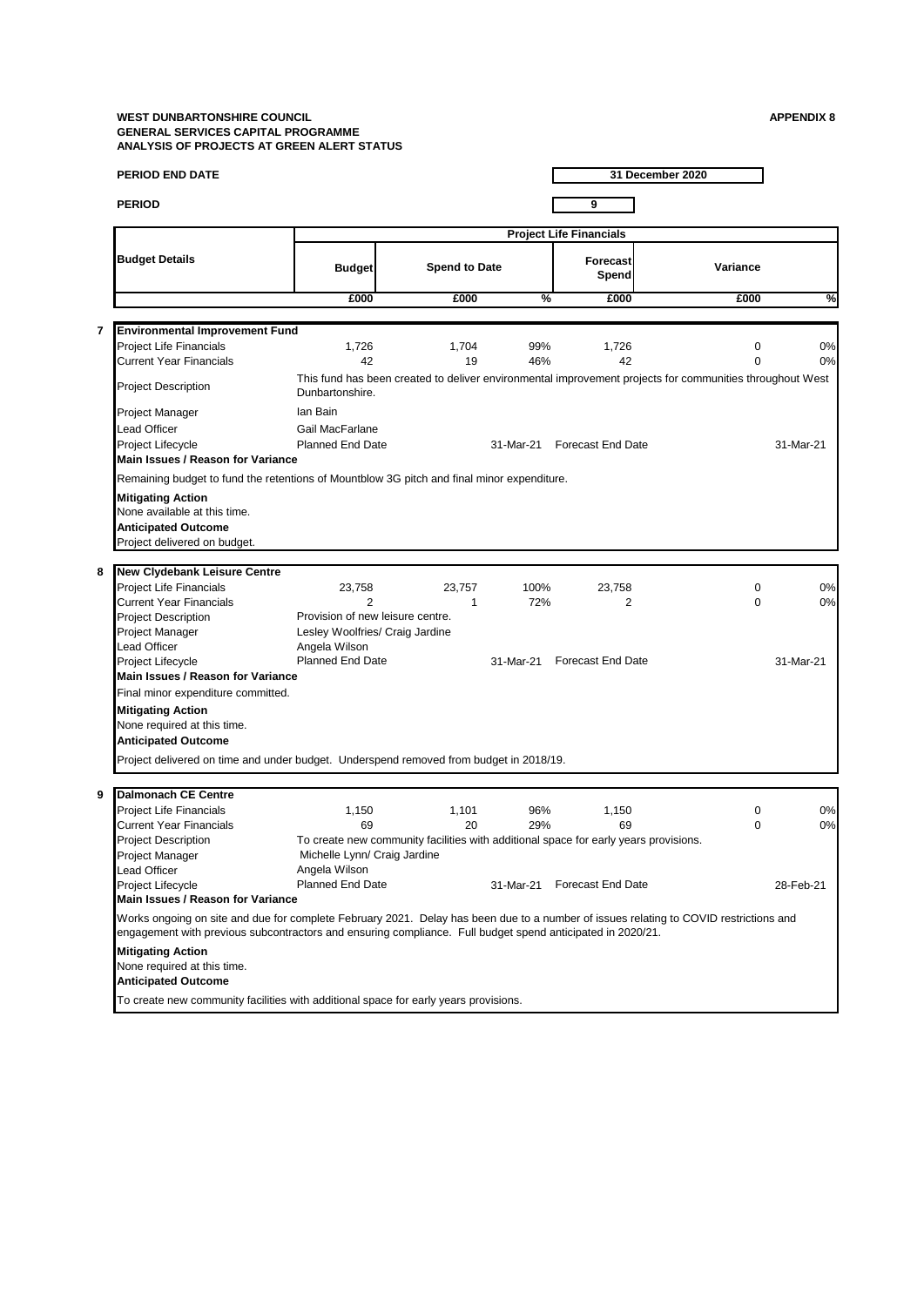|   | <b>PERIOD END DATE</b>                                                                                                                                                                                                                              |                                  |                                                                                      |            |                                | 31 December 2020                                                                                         |           |
|---|-----------------------------------------------------------------------------------------------------------------------------------------------------------------------------------------------------------------------------------------------------|----------------------------------|--------------------------------------------------------------------------------------|------------|--------------------------------|----------------------------------------------------------------------------------------------------------|-----------|
|   | <b>PERIOD</b>                                                                                                                                                                                                                                       |                                  |                                                                                      |            | 9                              |                                                                                                          |           |
|   |                                                                                                                                                                                                                                                     |                                  |                                                                                      |            | <b>Project Life Financials</b> |                                                                                                          |           |
|   | <b>Budget Details</b>                                                                                                                                                                                                                               | <b>Budget</b>                    | <b>Spend to Date</b>                                                                 |            | Forecast<br>Spend              | Variance                                                                                                 |           |
|   |                                                                                                                                                                                                                                                     | £000                             | £000                                                                                 | %          | £000                           | £000                                                                                                     | %         |
|   |                                                                                                                                                                                                                                                     |                                  |                                                                                      |            |                                |                                                                                                          |           |
| 7 | <b>Environmental Improvement Fund</b>                                                                                                                                                                                                               |                                  |                                                                                      |            |                                |                                                                                                          |           |
|   | <b>Project Life Financials</b>                                                                                                                                                                                                                      | 1,726                            | 1,704                                                                                | 99%        | 1,726                          | $\mathbf 0$                                                                                              | 0%        |
|   | <b>Current Year Financials</b>                                                                                                                                                                                                                      | 42                               | 19                                                                                   | 46%        | 42                             | $\Omega$                                                                                                 | 0%        |
|   | <b>Project Description</b>                                                                                                                                                                                                                          | Dunbartonshire.                  |                                                                                      |            |                                | This fund has been created to deliver environmental improvement projects for communities throughout West |           |
|   | Project Manager                                                                                                                                                                                                                                     | lan Bain                         |                                                                                      |            |                                |                                                                                                          |           |
|   | <b>Lead Officer</b>                                                                                                                                                                                                                                 | Gail MacFarlane                  |                                                                                      |            |                                |                                                                                                          |           |
|   | Project Lifecycle                                                                                                                                                                                                                                   | <b>Planned End Date</b>          |                                                                                      | 31-Mar-21  | <b>Forecast End Date</b>       |                                                                                                          | 31-Mar-21 |
|   | Main Issues / Reason for Variance                                                                                                                                                                                                                   |                                  |                                                                                      |            |                                |                                                                                                          |           |
|   | Remaining budget to fund the retentions of Mountblow 3G pitch and final minor expenditure.                                                                                                                                                          |                                  |                                                                                      |            |                                |                                                                                                          |           |
|   |                                                                                                                                                                                                                                                     |                                  |                                                                                      |            |                                |                                                                                                          |           |
|   | <b>Mitigating Action</b>                                                                                                                                                                                                                            |                                  |                                                                                      |            |                                |                                                                                                          |           |
|   | None available at this time.                                                                                                                                                                                                                        |                                  |                                                                                      |            |                                |                                                                                                          |           |
|   | <b>Anticipated Outcome</b>                                                                                                                                                                                                                          |                                  |                                                                                      |            |                                |                                                                                                          |           |
|   | Project delivered on budget.                                                                                                                                                                                                                        |                                  |                                                                                      |            |                                |                                                                                                          |           |
| 8 | New Clydebank Leisure Centre                                                                                                                                                                                                                        |                                  |                                                                                      |            |                                |                                                                                                          |           |
|   | <b>Project Life Financials</b>                                                                                                                                                                                                                      | 23,758                           | 23.757                                                                               | 100%       | 23,758                         | 0                                                                                                        | 0%        |
|   | <b>Current Year Financials</b>                                                                                                                                                                                                                      | $\overline{2}$                   | 1                                                                                    | 72%        | 2                              | $\Omega$                                                                                                 | 0%        |
|   | <b>Project Description</b>                                                                                                                                                                                                                          | Provision of new leisure centre. |                                                                                      |            |                                |                                                                                                          |           |
|   | Project Manager                                                                                                                                                                                                                                     | Lesley Woolfries/ Craig Jardine  |                                                                                      |            |                                |                                                                                                          |           |
|   | Lead Officer                                                                                                                                                                                                                                        | Angela Wilson                    |                                                                                      |            |                                |                                                                                                          |           |
|   | Project Lifecycle                                                                                                                                                                                                                                   | <b>Planned End Date</b>          |                                                                                      | 31-Mar-21  | <b>Forecast End Date</b>       |                                                                                                          | 31-Mar-21 |
|   | Main Issues / Reason for Variance                                                                                                                                                                                                                   |                                  |                                                                                      |            |                                |                                                                                                          |           |
|   | Final minor expenditure committed.                                                                                                                                                                                                                  |                                  |                                                                                      |            |                                |                                                                                                          |           |
|   | <b>Mitigating Action</b>                                                                                                                                                                                                                            |                                  |                                                                                      |            |                                |                                                                                                          |           |
|   | None required at this time.                                                                                                                                                                                                                         |                                  |                                                                                      |            |                                |                                                                                                          |           |
|   | <b>Anticipated Outcome</b>                                                                                                                                                                                                                          |                                  |                                                                                      |            |                                |                                                                                                          |           |
|   |                                                                                                                                                                                                                                                     |                                  |                                                                                      |            |                                |                                                                                                          |           |
|   | Project delivered on time and under budget. Underspend removed from budget in 2018/19.                                                                                                                                                              |                                  |                                                                                      |            |                                |                                                                                                          |           |
| 9 | <b>Dalmonach CE Centre</b>                                                                                                                                                                                                                          |                                  |                                                                                      |            |                                |                                                                                                          |           |
|   | <b>Project Life Financials</b>                                                                                                                                                                                                                      |                                  |                                                                                      |            |                                |                                                                                                          |           |
|   | <b>Current Year Financials</b>                                                                                                                                                                                                                      | 1,150<br>69                      | 1,101<br>20                                                                          | 96%<br>29% | 1,150<br>69                    | 0<br>0                                                                                                   | 0%<br>0%  |
|   | <b>Project Description</b>                                                                                                                                                                                                                          |                                  | To create new community facilities with additional space for early years provisions. |            |                                |                                                                                                          |           |
|   | Project Manager                                                                                                                                                                                                                                     | Michelle Lynn/ Craig Jardine     |                                                                                      |            |                                |                                                                                                          |           |
|   | <b>Lead Officer</b>                                                                                                                                                                                                                                 | Angela Wilson                    |                                                                                      |            |                                |                                                                                                          |           |
|   | Project Lifecycle                                                                                                                                                                                                                                   | Planned End Date                 |                                                                                      | 31-Mar-21  | <b>Forecast End Date</b>       |                                                                                                          | 28-Feb-21 |
|   | Main Issues / Reason for Variance                                                                                                                                                                                                                   |                                  |                                                                                      |            |                                |                                                                                                          |           |
|   | Works ongoing on site and due for complete February 2021. Delay has been due to a number of issues relating to COVID restrictions and<br>engagement with previous subcontractors and ensuring compliance. Full budget spend anticipated in 2020/21. |                                  |                                                                                      |            |                                |                                                                                                          |           |
|   |                                                                                                                                                                                                                                                     |                                  |                                                                                      |            |                                |                                                                                                          |           |
|   | <b>Mitigating Action</b>                                                                                                                                                                                                                            |                                  |                                                                                      |            |                                |                                                                                                          |           |
|   | None required at this time.                                                                                                                                                                                                                         |                                  |                                                                                      |            |                                |                                                                                                          |           |
|   | <b>Anticipated Outcome</b>                                                                                                                                                                                                                          |                                  |                                                                                      |            |                                |                                                                                                          |           |
|   | To create new community facilities with additional space for early years provisions.                                                                                                                                                                |                                  |                                                                                      |            |                                |                                                                                                          |           |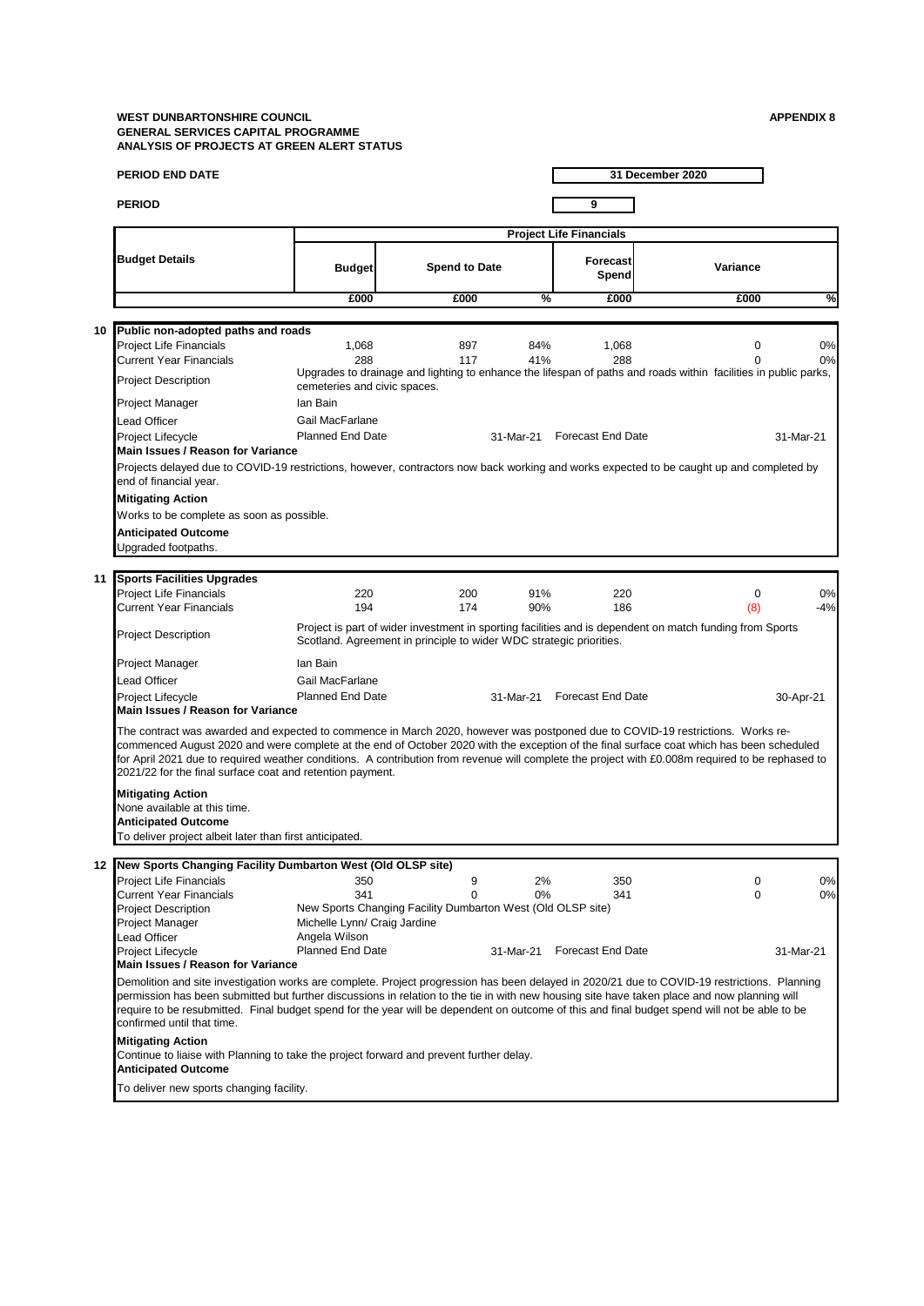|    | <b>PERIOD END DATE</b>                                                                                                                                                                                                                                                                                                                                                                                                                                                                      |                                                             |                                                                     |             |                                | 31 December 2020                                                                                                |             |
|----|---------------------------------------------------------------------------------------------------------------------------------------------------------------------------------------------------------------------------------------------------------------------------------------------------------------------------------------------------------------------------------------------------------------------------------------------------------------------------------------------|-------------------------------------------------------------|---------------------------------------------------------------------|-------------|--------------------------------|-----------------------------------------------------------------------------------------------------------------|-------------|
|    | <b>PERIOD</b>                                                                                                                                                                                                                                                                                                                                                                                                                                                                               |                                                             |                                                                     |             | 9                              |                                                                                                                 |             |
|    |                                                                                                                                                                                                                                                                                                                                                                                                                                                                                             |                                                             |                                                                     |             | <b>Project Life Financials</b> |                                                                                                                 |             |
|    | <b>Budget Details</b>                                                                                                                                                                                                                                                                                                                                                                                                                                                                       | <b>Budget</b>                                               | <b>Spend to Date</b>                                                |             | Forecast<br>Spend              | Variance                                                                                                        |             |
|    |                                                                                                                                                                                                                                                                                                                                                                                                                                                                                             | £000                                                        | £000                                                                | %           | £000                           | £000                                                                                                            | %           |
|    |                                                                                                                                                                                                                                                                                                                                                                                                                                                                                             |                                                             |                                                                     |             |                                |                                                                                                                 |             |
| 10 | Public non-adopted paths and roads<br><b>Project Life Financials</b><br><b>Current Year Financials</b>                                                                                                                                                                                                                                                                                                                                                                                      | 1,068<br>288                                                | 897<br>117                                                          | 84%<br>41%  | 1,068<br>288                   | $\mathbf 0$                                                                                                     | 0%<br>0%    |
|    | <b>Project Description</b>                                                                                                                                                                                                                                                                                                                                                                                                                                                                  |                                                             |                                                                     |             |                                | Upgrades to drainage and lighting to enhance the lifespan of paths and roads within facilities in public parks, |             |
|    | Project Manager                                                                                                                                                                                                                                                                                                                                                                                                                                                                             | cemeteries and civic spaces.<br>lan Bain                    |                                                                     |             |                                |                                                                                                                 |             |
|    | Lead Officer                                                                                                                                                                                                                                                                                                                                                                                                                                                                                | Gail MacFarlane                                             |                                                                     |             |                                |                                                                                                                 |             |
|    | Project Lifecycle<br>Main Issues / Reason for Variance                                                                                                                                                                                                                                                                                                                                                                                                                                      | <b>Planned End Date</b>                                     |                                                                     | 31-Mar-21   | <b>Forecast End Date</b>       |                                                                                                                 | 31-Mar-21   |
|    | Projects delayed due to COVID-19 restrictions, however, contractors now back working and works expected to be caught up and completed by<br>end of financial year.                                                                                                                                                                                                                                                                                                                          |                                                             |                                                                     |             |                                |                                                                                                                 |             |
|    | <b>Mitigating Action</b>                                                                                                                                                                                                                                                                                                                                                                                                                                                                    |                                                             |                                                                     |             |                                |                                                                                                                 |             |
|    | Works to be complete as soon as possible.                                                                                                                                                                                                                                                                                                                                                                                                                                                   |                                                             |                                                                     |             |                                |                                                                                                                 |             |
|    | <b>Anticipated Outcome</b><br>Upgraded footpaths.                                                                                                                                                                                                                                                                                                                                                                                                                                           |                                                             |                                                                     |             |                                |                                                                                                                 |             |
| 11 | <b>Sports Facilities Upgrades</b>                                                                                                                                                                                                                                                                                                                                                                                                                                                           |                                                             |                                                                     |             |                                |                                                                                                                 |             |
|    | <b>Project Life Financials</b><br><b>Current Year Financials</b>                                                                                                                                                                                                                                                                                                                                                                                                                            | 220<br>194                                                  | 200<br>174                                                          | 91%<br>90%  | 220<br>186                     | $\mathbf 0$<br>(8)                                                                                              | 0%<br>$-4%$ |
|    | <b>Project Description</b>                                                                                                                                                                                                                                                                                                                                                                                                                                                                  |                                                             | Scotland. Agreement in principle to wider WDC strategic priorities. |             |                                | Project is part of wider investment in sporting facilities and is dependent on match funding from Sports        |             |
|    | Project Manager                                                                                                                                                                                                                                                                                                                                                                                                                                                                             | lan Bain                                                    |                                                                     |             |                                |                                                                                                                 |             |
|    | Lead Officer                                                                                                                                                                                                                                                                                                                                                                                                                                                                                | Gail MacFarlane                                             |                                                                     |             |                                |                                                                                                                 |             |
|    | Project Lifecycle<br>Main Issues / Reason for Variance                                                                                                                                                                                                                                                                                                                                                                                                                                      | <b>Planned End Date</b>                                     |                                                                     | 31-Mar-21   | <b>Forecast End Date</b>       |                                                                                                                 | 30-Apr-21   |
|    | The contract was awarded and expected to commence in March 2020, however was postponed due to COVID-19 restrictions. Works re-<br>commenced August 2020 and were complete at the end of October 2020 with the exception of the final surface coat which has been scheduled<br>for April 2021 due to required weather conditions. A contribution from revenue will complete the project with £0.008m required to be rephased to<br>2021/22 for the final surface coat and retention payment. |                                                             |                                                                     |             |                                |                                                                                                                 |             |
|    | <b>Mitigating Action</b>                                                                                                                                                                                                                                                                                                                                                                                                                                                                    |                                                             |                                                                     |             |                                |                                                                                                                 |             |
|    | None available at this time.                                                                                                                                                                                                                                                                                                                                                                                                                                                                |                                                             |                                                                     |             |                                |                                                                                                                 |             |
|    | <b>Anticipated Outcome</b><br>To deliver project albeit later than first anticipated.                                                                                                                                                                                                                                                                                                                                                                                                       |                                                             |                                                                     |             |                                |                                                                                                                 |             |
|    |                                                                                                                                                                                                                                                                                                                                                                                                                                                                                             |                                                             |                                                                     |             |                                |                                                                                                                 |             |
|    | 12 New Sports Changing Facility Dumbarton West (Old OLSP site)                                                                                                                                                                                                                                                                                                                                                                                                                              |                                                             |                                                                     |             |                                |                                                                                                                 |             |
|    | Project Life Financials<br><b>Current Year Financials</b>                                                                                                                                                                                                                                                                                                                                                                                                                                   | 350<br>341                                                  | 9<br>$\Omega$                                                       | 2%<br>$0\%$ | 350<br>341                     | 0<br>$\Omega$                                                                                                   | 0%<br>0%    |
|    | <b>Project Description</b>                                                                                                                                                                                                                                                                                                                                                                                                                                                                  | New Sports Changing Facility Dumbarton West (Old OLSP site) |                                                                     |             |                                |                                                                                                                 |             |
|    | Project Manager                                                                                                                                                                                                                                                                                                                                                                                                                                                                             | Michelle Lynn/ Craig Jardine                                |                                                                     |             |                                |                                                                                                                 |             |
|    | <b>Lead Officer</b><br>Project Lifecycle                                                                                                                                                                                                                                                                                                                                                                                                                                                    | Angela Wilson<br>Planned End Date                           |                                                                     | 31-Mar-21   | <b>Forecast End Date</b>       |                                                                                                                 | 31-Mar-21   |
|    | Main Issues / Reason for Variance                                                                                                                                                                                                                                                                                                                                                                                                                                                           |                                                             |                                                                     |             |                                |                                                                                                                 |             |
|    | Demolition and site investigation works are complete. Project progression has been delayed in 2020/21 due to COVID-19 restrictions. Planning<br>permission has been submitted but further discussions in relation to the tie in with new housing site have taken place and now planning will<br>require to be resubmitted. Final budget spend for the year will be dependent on outcome of this and final budget spend will not be able to be<br>confirmed until that time.                 |                                                             |                                                                     |             |                                |                                                                                                                 |             |
|    | <b>Mitigating Action</b><br>Continue to liaise with Planning to take the project forward and prevent further delay.<br><b>Anticipated Outcome</b>                                                                                                                                                                                                                                                                                                                                           |                                                             |                                                                     |             |                                |                                                                                                                 |             |
|    | To deliver new sports changing facility.                                                                                                                                                                                                                                                                                                                                                                                                                                                    |                                                             |                                                                     |             |                                |                                                                                                                 |             |
|    |                                                                                                                                                                                                                                                                                                                                                                                                                                                                                             |                                                             |                                                                     |             |                                |                                                                                                                 |             |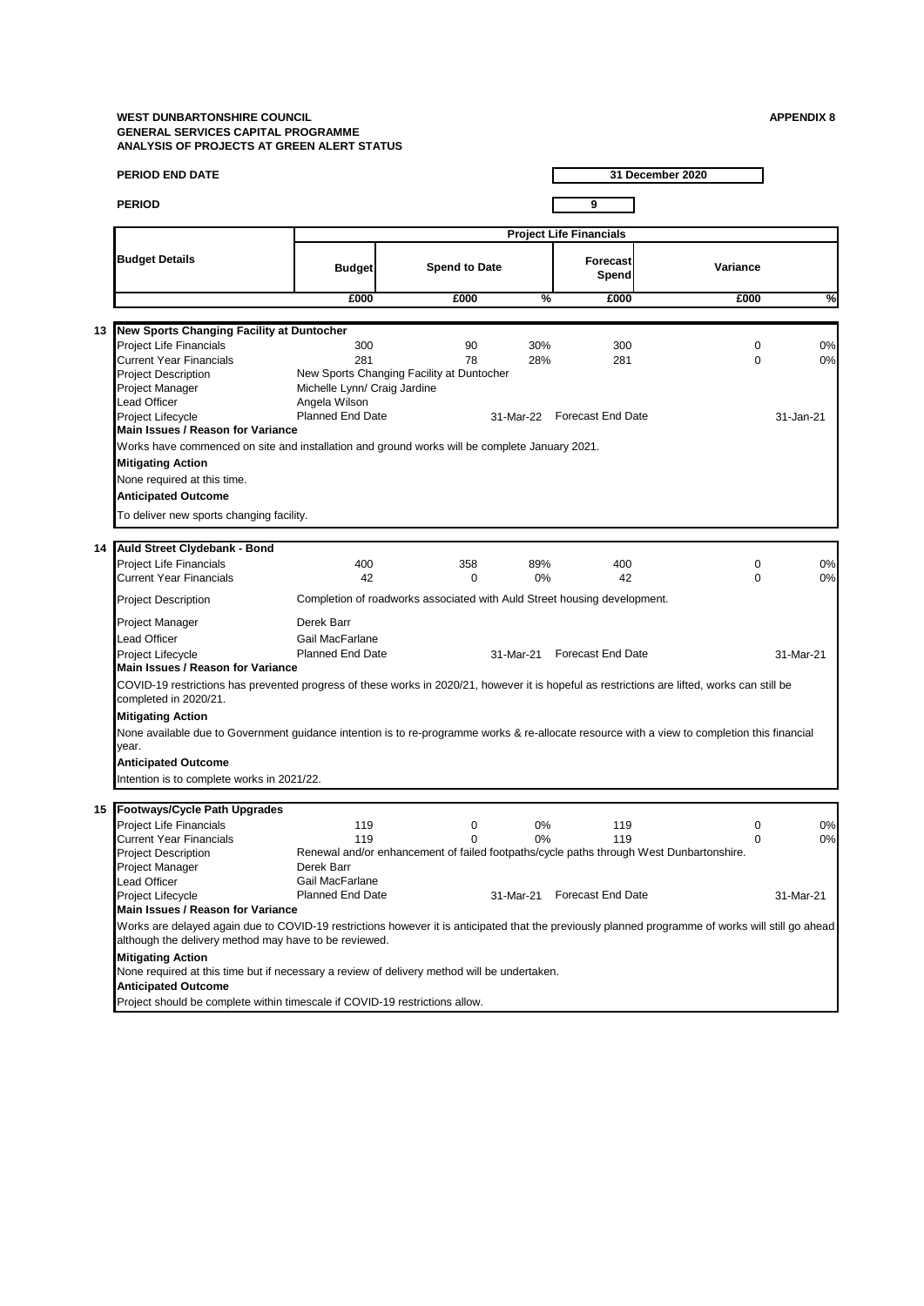|    | PERIOD END DATE                                                                                                                                                                                            |                                               |                                                                          |           |                                | 31 December 2020                                                                        |           |
|----|------------------------------------------------------------------------------------------------------------------------------------------------------------------------------------------------------------|-----------------------------------------------|--------------------------------------------------------------------------|-----------|--------------------------------|-----------------------------------------------------------------------------------------|-----------|
|    |                                                                                                                                                                                                            |                                               |                                                                          |           |                                |                                                                                         |           |
|    | <b>PERIOD</b>                                                                                                                                                                                              |                                               |                                                                          |           | 9                              |                                                                                         |           |
|    |                                                                                                                                                                                                            |                                               |                                                                          |           | <b>Project Life Financials</b> |                                                                                         |           |
|    | <b>Budget Details</b>                                                                                                                                                                                      | <b>Budget</b>                                 | <b>Spend to Date</b>                                                     |           | Forecast<br>Spend              | Variance                                                                                |           |
|    |                                                                                                                                                                                                            | £000                                          | £000                                                                     | %         | £000                           | £000                                                                                    | %         |
|    |                                                                                                                                                                                                            |                                               |                                                                          |           |                                |                                                                                         |           |
| 13 | New Sports Changing Facility at Duntocher                                                                                                                                                                  |                                               |                                                                          |           |                                |                                                                                         |           |
|    | <b>Project Life Financials</b>                                                                                                                                                                             | 300                                           | 90                                                                       | 30%       | 300                            | 0                                                                                       | 0%        |
|    | <b>Current Year Financials</b>                                                                                                                                                                             | 281                                           | 78                                                                       | 28%       | 281                            | $\Omega$                                                                                | 0%        |
|    | <b>Project Description</b>                                                                                                                                                                                 |                                               | New Sports Changing Facility at Duntocher                                |           |                                |                                                                                         |           |
|    | Project Manager<br>Lead Officer                                                                                                                                                                            | Michelle Lynn/ Craig Jardine<br>Angela Wilson |                                                                          |           |                                |                                                                                         |           |
|    | Project Lifecycle                                                                                                                                                                                          | <b>Planned End Date</b>                       |                                                                          | 31-Mar-22 | <b>Forecast End Date</b>       |                                                                                         | 31-Jan-21 |
|    | Main Issues / Reason for Variance                                                                                                                                                                          |                                               |                                                                          |           |                                |                                                                                         |           |
|    | Works have commenced on site and installation and ground works will be complete January 2021.                                                                                                              |                                               |                                                                          |           |                                |                                                                                         |           |
|    | <b>Mitigating Action</b>                                                                                                                                                                                   |                                               |                                                                          |           |                                |                                                                                         |           |
|    |                                                                                                                                                                                                            |                                               |                                                                          |           |                                |                                                                                         |           |
|    | None required at this time.                                                                                                                                                                                |                                               |                                                                          |           |                                |                                                                                         |           |
|    | <b>Anticipated Outcome</b>                                                                                                                                                                                 |                                               |                                                                          |           |                                |                                                                                         |           |
|    | To deliver new sports changing facility.                                                                                                                                                                   |                                               |                                                                          |           |                                |                                                                                         |           |
|    |                                                                                                                                                                                                            |                                               |                                                                          |           |                                |                                                                                         |           |
| 14 | Auld Street Clydebank - Bond                                                                                                                                                                               |                                               |                                                                          |           |                                |                                                                                         |           |
|    | <b>Project Life Financials</b>                                                                                                                                                                             | 400                                           | 358                                                                      | 89%       | 400                            | 0                                                                                       | 0%        |
|    | <b>Current Year Financials</b>                                                                                                                                                                             | 42                                            | $\Omega$                                                                 | 0%        | 42                             | $\Omega$                                                                                | 0%        |
|    | <b>Project Description</b>                                                                                                                                                                                 |                                               | Completion of roadworks associated with Auld Street housing development. |           |                                |                                                                                         |           |
|    | Project Manager                                                                                                                                                                                            | Derek Barr                                    |                                                                          |           |                                |                                                                                         |           |
|    | <b>Lead Officer</b>                                                                                                                                                                                        | Gail MacFarlane                               |                                                                          |           |                                |                                                                                         |           |
|    | Project Lifecycle                                                                                                                                                                                          | Planned End Date                              |                                                                          | 31-Mar-21 | <b>Forecast End Date</b>       |                                                                                         | 31-Mar-21 |
|    | Main Issues / Reason for Variance                                                                                                                                                                          |                                               |                                                                          |           |                                |                                                                                         |           |
|    | COVID-19 restrictions has prevented progress of these works in 2020/21, however it is hopeful as restrictions are lifted, works can still be<br>completed in 2020/21.                                      |                                               |                                                                          |           |                                |                                                                                         |           |
|    | <b>Mitigating Action</b>                                                                                                                                                                                   |                                               |                                                                          |           |                                |                                                                                         |           |
|    | None available due to Government guidance intention is to re-programme works & re-allocate resource with a view to completion this financial                                                               |                                               |                                                                          |           |                                |                                                                                         |           |
|    | year.                                                                                                                                                                                                      |                                               |                                                                          |           |                                |                                                                                         |           |
|    | <b>Anticipated Outcome</b>                                                                                                                                                                                 |                                               |                                                                          |           |                                |                                                                                         |           |
|    | Intention is to complete works in 2021/22.                                                                                                                                                                 |                                               |                                                                          |           |                                |                                                                                         |           |
|    |                                                                                                                                                                                                            |                                               |                                                                          |           |                                |                                                                                         |           |
| 15 | <b>Footways/Cycle Path Upgrades</b>                                                                                                                                                                        |                                               |                                                                          |           |                                |                                                                                         |           |
|    | <b>Project Life Financials</b>                                                                                                                                                                             | 119                                           | 0                                                                        | 0%        | 119                            | 0                                                                                       | 0%        |
|    | <b>Current Year Financials</b>                                                                                                                                                                             | 119                                           | $\mathbf 0$                                                              | 0%        | 119                            | $\Omega$                                                                                | $0\%$     |
|    | Project Description                                                                                                                                                                                        |                                               |                                                                          |           |                                | Renewal and/or enhancement of failed footpaths/cycle paths through West Dunbartonshire. |           |
|    | Project Manager                                                                                                                                                                                            | Derek Barr                                    |                                                                          |           |                                |                                                                                         |           |
|    | Lead Officer                                                                                                                                                                                               | Gail MacFarlane                               |                                                                          |           |                                |                                                                                         |           |
|    | Project Lifecycle                                                                                                                                                                                          | <b>Planned End Date</b>                       |                                                                          | 31-Mar-21 | <b>Forecast End Date</b>       |                                                                                         | 31-Mar-21 |
|    | Main Issues / Reason for Variance                                                                                                                                                                          |                                               |                                                                          |           |                                |                                                                                         |           |
|    | Works are delayed again due to COVID-19 restrictions however it is anticipated that the previously planned programme of works will still go ahead<br>although the delivery method may have to be reviewed. |                                               |                                                                          |           |                                |                                                                                         |           |
|    | <b>Mitigating Action</b>                                                                                                                                                                                   |                                               |                                                                          |           |                                |                                                                                         |           |
|    | None required at this time but if necessary a review of delivery method will be undertaken.<br><b>Anticipated Outcome</b>                                                                                  |                                               |                                                                          |           |                                |                                                                                         |           |
|    | Project should be complete within timescale if COVID-19 restrictions allow.                                                                                                                                |                                               |                                                                          |           |                                |                                                                                         |           |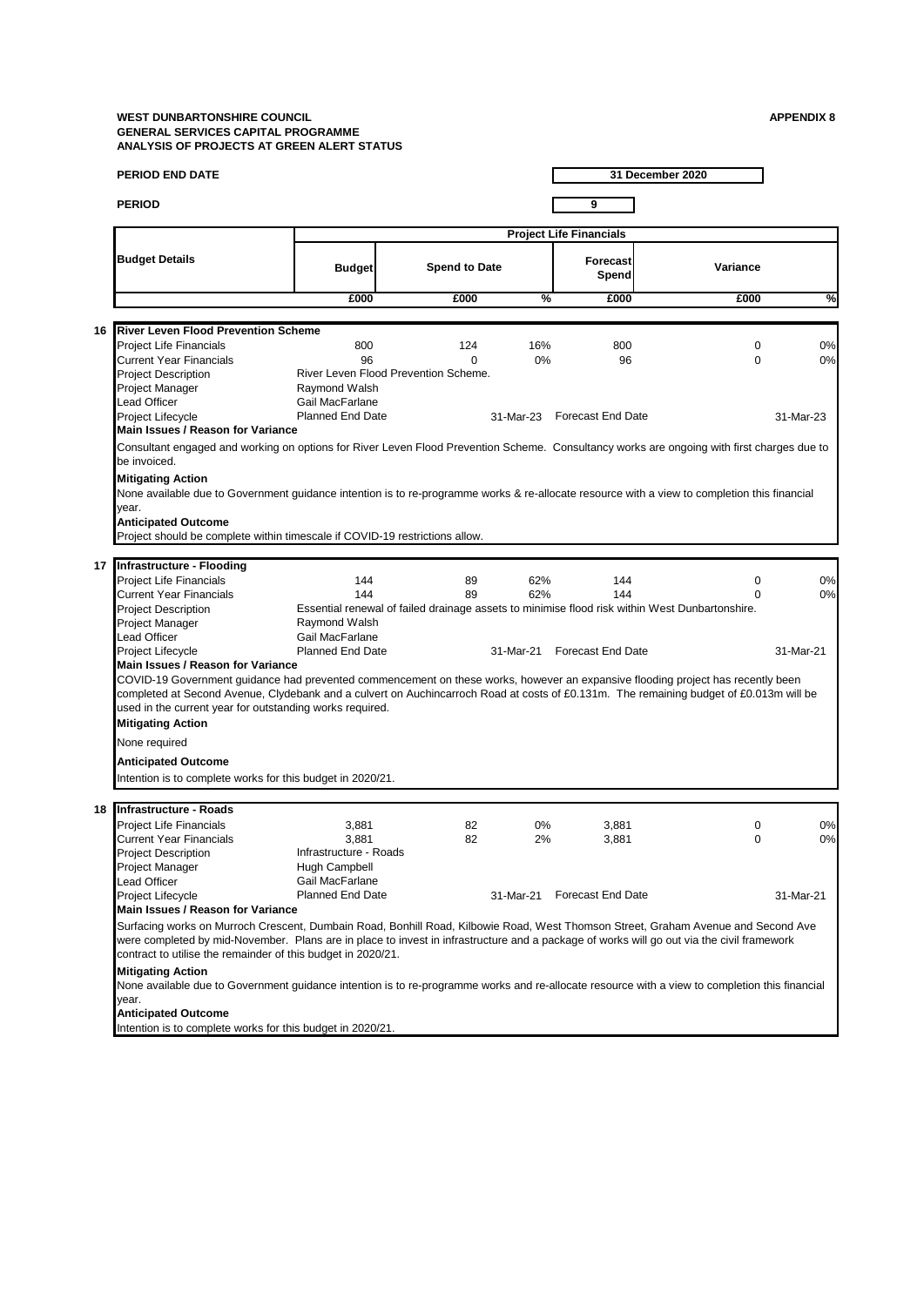|    | <b>PERIOD END DATE</b>                                                                                                                                                                                                                                                                                                                                                                                                                                                                                              |                                                                                                  |                                                         |                         |                                               | 31 December 2020                                                                                                          |                       |
|----|---------------------------------------------------------------------------------------------------------------------------------------------------------------------------------------------------------------------------------------------------------------------------------------------------------------------------------------------------------------------------------------------------------------------------------------------------------------------------------------------------------------------|--------------------------------------------------------------------------------------------------|---------------------------------------------------------|-------------------------|-----------------------------------------------|---------------------------------------------------------------------------------------------------------------------------|-----------------------|
|    | <b>PERIOD</b>                                                                                                                                                                                                                                                                                                                                                                                                                                                                                                       |                                                                                                  |                                                         |                         | 9                                             |                                                                                                                           |                       |
|    |                                                                                                                                                                                                                                                                                                                                                                                                                                                                                                                     |                                                                                                  |                                                         |                         | <b>Project Life Financials</b>                |                                                                                                                           |                       |
|    | <b>Budget Details</b>                                                                                                                                                                                                                                                                                                                                                                                                                                                                                               | <b>Budget</b>                                                                                    | <b>Spend to Date</b>                                    |                         | <b>Forecast</b><br>Spend                      | Variance                                                                                                                  |                       |
|    |                                                                                                                                                                                                                                                                                                                                                                                                                                                                                                                     | £000                                                                                             | £000                                                    | %                       | £000                                          | £000                                                                                                                      | %                     |
|    |                                                                                                                                                                                                                                                                                                                                                                                                                                                                                                                     |                                                                                                  |                                                         |                         |                                               |                                                                                                                           |                       |
| 16 | <b>River Leven Flood Prevention Scheme</b><br><b>Project Life Financials</b><br><b>Current Year Financials</b><br><b>Project Description</b><br>Project Manager<br><b>Lead Officer</b><br>Project Lifecycle<br>Main Issues / Reason for Variance                                                                                                                                                                                                                                                                    | 800<br>96<br>Raymond Walsh<br>Gail MacFarlane<br><b>Planned End Date</b>                         | 124<br>$\Omega$<br>River Leven Flood Prevention Scheme. | 16%<br>0%<br>31-Mar-23  | 800<br>96<br><b>Forecast End Date</b>         | $\mathbf 0$<br>$\Omega$                                                                                                   | 0%<br>0%<br>31-Mar-23 |
|    | Consultant engaged and working on options for River Leven Flood Prevention Scheme. Consultancy works are ongoing with first charges due to                                                                                                                                                                                                                                                                                                                                                                          |                                                                                                  |                                                         |                         |                                               |                                                                                                                           |                       |
|    | be invoiced.<br><b>Mitigating Action</b><br>None available due to Government guidance intention is to re-programme works & re-allocate resource with a view to completion this financial<br>year.<br><b>Anticipated Outcome</b><br>Project should be complete within timescale if COVID-19 restrictions allow.                                                                                                                                                                                                      |                                                                                                  |                                                         |                         |                                               |                                                                                                                           |                       |
| 17 | Infrastructure - Flooding                                                                                                                                                                                                                                                                                                                                                                                                                                                                                           |                                                                                                  |                                                         |                         |                                               |                                                                                                                           |                       |
|    | <b>Project Life Financials</b><br><b>Current Year Financials</b><br><b>Project Description</b><br>Project Manager<br><b>Lead Officer</b><br>Project Lifecycle                                                                                                                                                                                                                                                                                                                                                       | 144<br>144<br>Raymond Walsh<br>Gail MacFarlane<br><b>Planned End Date</b>                        | 89<br>89                                                | 62%<br>62%<br>31-Mar-21 | 144<br>144<br><b>Forecast End Date</b>        | $\mathbf 0$<br>$\Omega$<br>Essential renewal of failed drainage assets to minimise flood risk within West Dunbartonshire. | 0%<br>0%<br>31-Mar-21 |
|    | Main Issues / Reason for Variance<br>COVID-19 Government guidance had prevented commencement on these works, however an expansive flooding project has recently been<br>completed at Second Avenue, Clydebank and a culvert on Auchincarroch Road at costs of £0.131m. The remaining budget of £0.013m will be<br>used in the current year for outstanding works required.<br><b>Mitigating Action</b><br>None required<br><b>Anticipated Outcome</b><br>Intention is to complete works for this budget in 2020/21. |                                                                                                  |                                                         |                         |                                               |                                                                                                                           |                       |
|    |                                                                                                                                                                                                                                                                                                                                                                                                                                                                                                                     |                                                                                                  |                                                         |                         |                                               |                                                                                                                           |                       |
| 18 | Infrastructure - Roads<br><b>Project Life Financials</b><br><b>Current Year Financials</b><br><b>Project Description</b><br>Project Manager<br><b>Lead Officer</b><br>Project Lifecycle<br>Main Issues / Reason for Variance                                                                                                                                                                                                                                                                                        | 3,881<br>3,881<br>Infrastructure - Roads<br>Hugh Campbell<br>Gail MacFarlane<br>Planned End Date | 82<br>82                                                | 0%<br>2%                | 3,881<br>3,881<br>31-Mar-21 Forecast End Date | $\mathbf 0$<br>$\mathbf 0$                                                                                                | 0%<br>0%<br>31-Mar-21 |
|    | Surfacing works on Murroch Crescent, Dumbain Road, Bonhill Road, Kilbowie Road, West Thomson Street, Graham Avenue and Second Ave<br>were completed by mid-November. Plans are in place to invest in infrastructure and a package of works will go out via the civil framework<br>contract to utilise the remainder of this budget in 2020/21.                                                                                                                                                                      |                                                                                                  |                                                         |                         |                                               |                                                                                                                           |                       |
|    | <b>Mitigating Action</b><br>None available due to Government guidance intention is to re-programme works and re-allocate resource with a view to completion this financial<br>year.                                                                                                                                                                                                                                                                                                                                 |                                                                                                  |                                                         |                         |                                               |                                                                                                                           |                       |
|    | <b>Anticipated Outcome</b><br>Intention is to complete works for this budget in 2020/21.                                                                                                                                                                                                                                                                                                                                                                                                                            |                                                                                                  |                                                         |                         |                                               |                                                                                                                           |                       |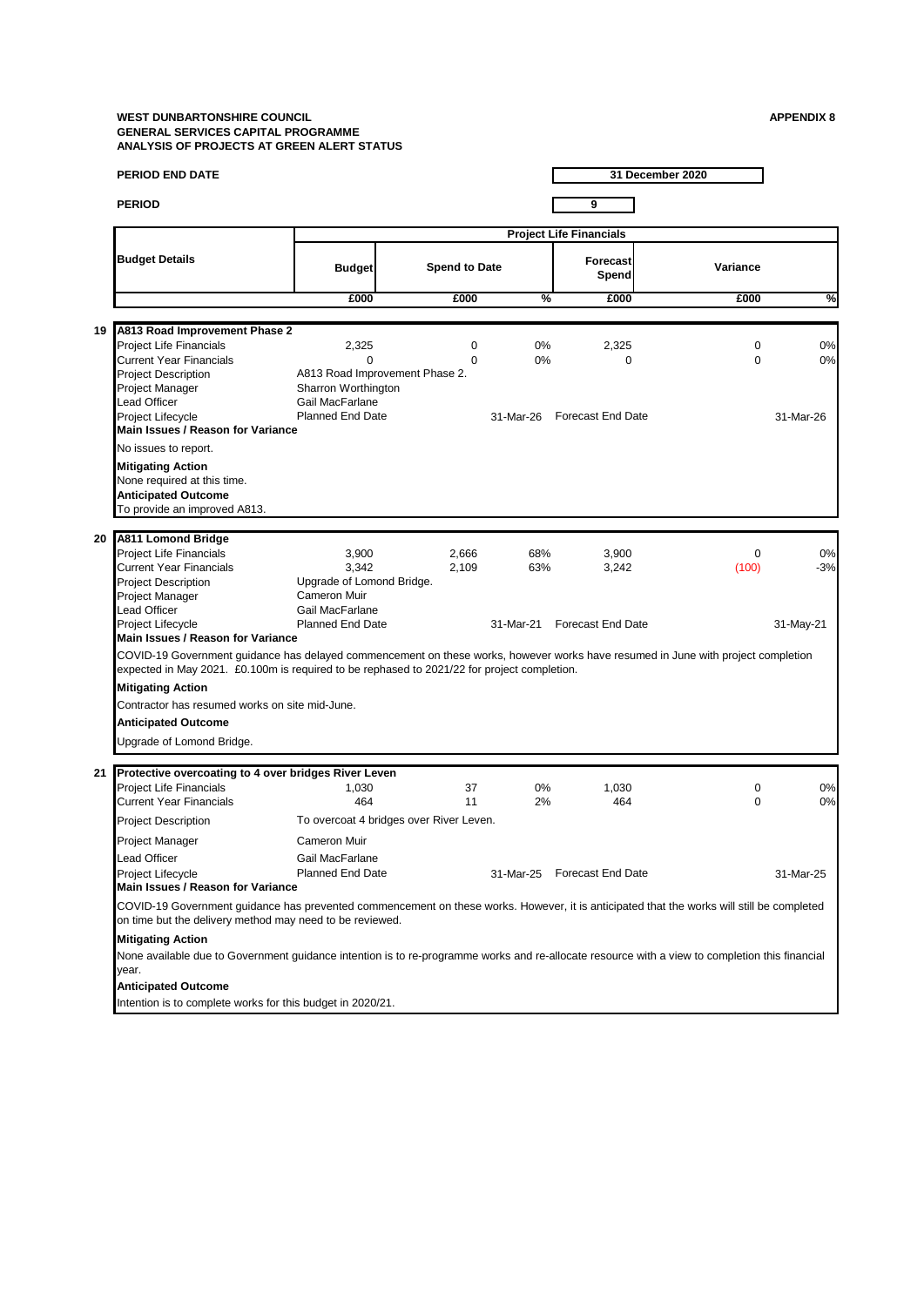|    | PERIOD END DATE                                                                                                                                                                                                                                                          |                                                                                                                          |  |                      |                         |                                            | 31 December 2020        |                          |  |  |
|----|--------------------------------------------------------------------------------------------------------------------------------------------------------------------------------------------------------------------------------------------------------------------------|--------------------------------------------------------------------------------------------------------------------------|--|----------------------|-------------------------|--------------------------------------------|-------------------------|--------------------------|--|--|
|    | <b>PERIOD</b>                                                                                                                                                                                                                                                            |                                                                                                                          |  |                      |                         | 9                                          |                         |                          |  |  |
|    |                                                                                                                                                                                                                                                                          | <b>Project Life Financials</b>                                                                                           |  |                      |                         |                                            |                         |                          |  |  |
|    | <b>Budget Details</b>                                                                                                                                                                                                                                                    | <b>Budget</b>                                                                                                            |  | <b>Spend to Date</b> |                         | Forecast<br>Spend                          | Variance                |                          |  |  |
|    |                                                                                                                                                                                                                                                                          | £000                                                                                                                     |  | £000                 | %                       | £000                                       | £000                    | %                        |  |  |
|    |                                                                                                                                                                                                                                                                          |                                                                                                                          |  |                      |                         |                                            |                         |                          |  |  |
| 19 | A813 Road Improvement Phase 2<br><b>Project Life Financials</b><br><b>Current Year Financials</b><br><b>Project Description</b><br>Project Manager<br><b>Lead Officer</b><br>Project Lifecycle                                                                           | 2,325<br>$\Omega$<br>A813 Road Improvement Phase 2.<br>Sharron Worthington<br>Gail MacFarlane<br><b>Planned End Date</b> |  | 0<br>$\Omega$        | 0%<br>0%<br>31-Mar-26   | 2,325<br>$\mathbf 0$<br>Forecast End Date  | $\mathbf 0$<br>$\Omega$ | 0%<br>0%<br>31-Mar-26    |  |  |
|    | Main Issues / Reason for Variance                                                                                                                                                                                                                                        |                                                                                                                          |  |                      |                         |                                            |                         |                          |  |  |
|    | No issues to report.<br><b>Mitigating Action</b><br>None required at this time.<br><b>Anticipated Outcome</b><br>To provide an improved A813.                                                                                                                            |                                                                                                                          |  |                      |                         |                                            |                         |                          |  |  |
| 20 | A811 Lomond Bridge                                                                                                                                                                                                                                                       |                                                                                                                          |  |                      |                         |                                            |                         |                          |  |  |
|    | <b>Project Life Financials</b><br><b>Current Year Financials</b><br><b>Project Description</b><br>Project Manager<br><b>Lead Officer</b><br>Project Lifecycle<br>Main Issues / Reason for Variance                                                                       | 3,900<br>3.342<br>Upgrade of Lomond Bridge.<br>Cameron Muir<br>Gail MacFarlane<br><b>Planned End Date</b>                |  | 2,666<br>2,109       | 68%<br>63%<br>31-Mar-21 | 3,900<br>3,242<br><b>Forecast End Date</b> | $\mathbf 0$<br>(100)    | 0%<br>$-3%$<br>31-May-21 |  |  |
|    | COVID-19 Government guidance has delayed commencement on these works, however works have resumed in June with project completion<br>expected in May 2021. £0.100m is required to be rephased to 2021/22 for project completion.                                          |                                                                                                                          |  |                      |                         |                                            |                         |                          |  |  |
|    | <b>Mitigating Action</b>                                                                                                                                                                                                                                                 |                                                                                                                          |  |                      |                         |                                            |                         |                          |  |  |
|    | Contractor has resumed works on site mid-June.                                                                                                                                                                                                                           |                                                                                                                          |  |                      |                         |                                            |                         |                          |  |  |
|    | <b>Anticipated Outcome</b>                                                                                                                                                                                                                                               |                                                                                                                          |  |                      |                         |                                            |                         |                          |  |  |
|    | Upgrade of Lomond Bridge.                                                                                                                                                                                                                                                |                                                                                                                          |  |                      |                         |                                            |                         |                          |  |  |
| 21 | Protective overcoating to 4 over bridges River Leven                                                                                                                                                                                                                     |                                                                                                                          |  |                      |                         |                                            |                         |                          |  |  |
|    | <b>Project Life Financials</b><br><b>Current Year Financials</b>                                                                                                                                                                                                         | 1,030<br>464                                                                                                             |  | 37<br>11             | 0%<br>2%                | 1,030<br>464                               | 0<br>$\mathbf 0$        | 0%<br>0%                 |  |  |
|    | <b>Project Description</b>                                                                                                                                                                                                                                               | To overcoat 4 bridges over River Leven.                                                                                  |  |                      |                         |                                            |                         |                          |  |  |
|    | Project Manager<br>Lead Officer<br>Project Lifecycle<br>Main Issues / Reason for Variance                                                                                                                                                                                | <b>Cameron Muir</b><br>Gail MacFarlane<br><b>Planned End Date</b>                                                        |  |                      |                         | 31-Mar-25 Forecast End Date                |                         | 31-Mar-25                |  |  |
|    | COVID-19 Government guidance has prevented commencement on these works. However, it is anticipated that the works will still be completed<br>on time but the delivery method may need to be reviewed.                                                                    |                                                                                                                          |  |                      |                         |                                            |                         |                          |  |  |
|    | <b>Mitigating Action</b><br>None available due to Government guidance intention is to re-programme works and re-allocate resource with a view to completion this financial<br>year.<br>Anticipated Outcome<br>Intention is to complete works for this budget in 2020/21. |                                                                                                                          |  |                      |                         |                                            |                         |                          |  |  |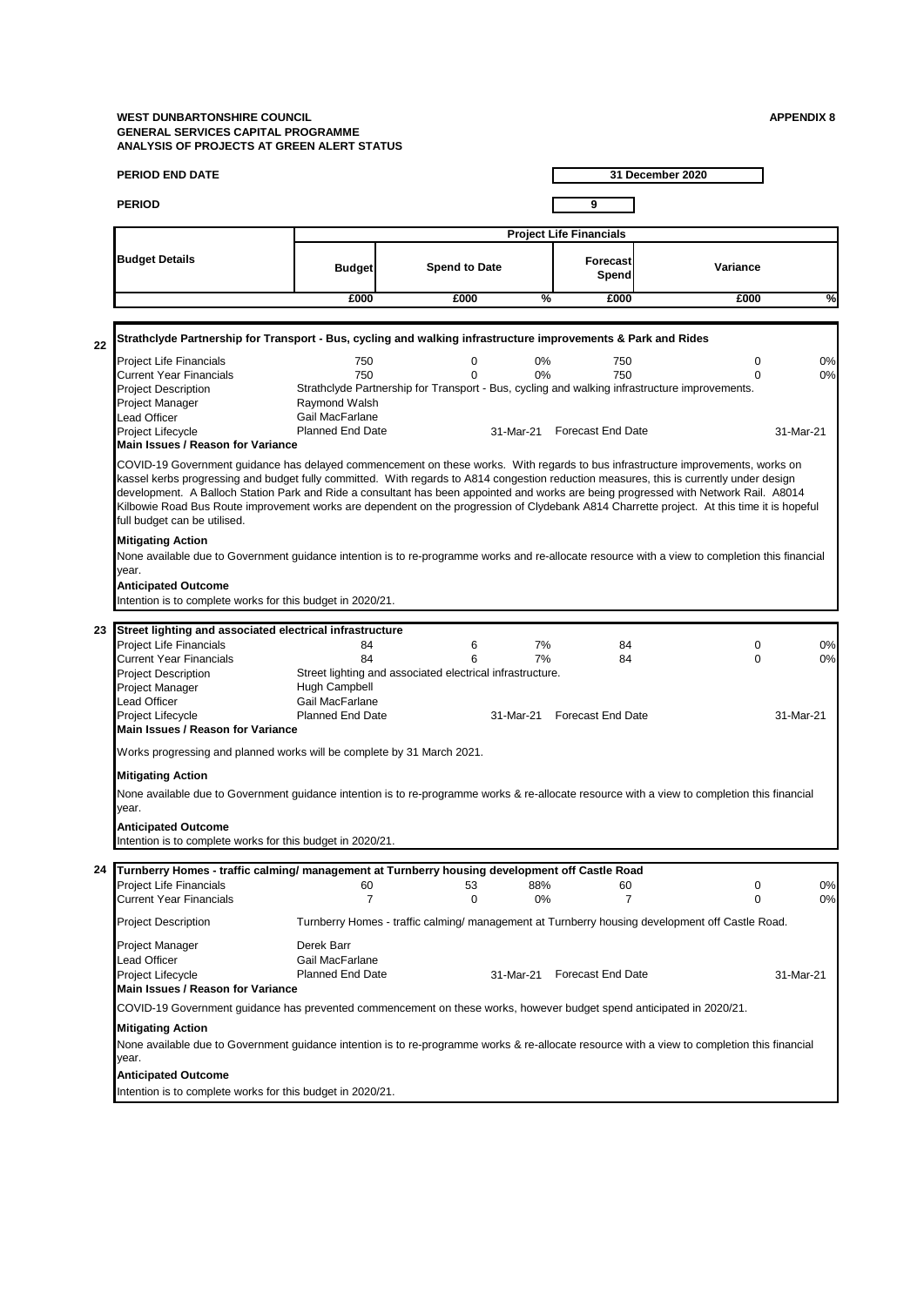| PERIOD END DATE                                                                                                                                                                                    |  |                                                                           |                                                                |           |                                           | 31 December 2020                                                                                                                                                                                                                                                                                                                                                                                                                                                                                                                                                 |                       |
|----------------------------------------------------------------------------------------------------------------------------------------------------------------------------------------------------|--|---------------------------------------------------------------------------|----------------------------------------------------------------|-----------|-------------------------------------------|------------------------------------------------------------------------------------------------------------------------------------------------------------------------------------------------------------------------------------------------------------------------------------------------------------------------------------------------------------------------------------------------------------------------------------------------------------------------------------------------------------------------------------------------------------------|-----------------------|
| <b>PERIOD</b>                                                                                                                                                                                      |  |                                                                           |                                                                |           | 9                                         |                                                                                                                                                                                                                                                                                                                                                                                                                                                                                                                                                                  |                       |
|                                                                                                                                                                                                    |  |                                                                           |                                                                |           | <b>Project Life Financials</b>            |                                                                                                                                                                                                                                                                                                                                                                                                                                                                                                                                                                  |                       |
| <b>Budget Details</b>                                                                                                                                                                              |  | <b>Budget</b>                                                             | <b>Spend to Date</b>                                           |           | Forecast<br>Spend                         | Variance                                                                                                                                                                                                                                                                                                                                                                                                                                                                                                                                                         |                       |
|                                                                                                                                                                                                    |  | £000                                                                      | £000                                                           | %         | £000                                      | £000                                                                                                                                                                                                                                                                                                                                                                                                                                                                                                                                                             | %                     |
|                                                                                                                                                                                                    |  |                                                                           |                                                                |           |                                           |                                                                                                                                                                                                                                                                                                                                                                                                                                                                                                                                                                  |                       |
| Strathclyde Partnership for Transport - Bus, cycling and walking infrastructure improvements & Park and Rides<br>22                                                                                |  |                                                                           |                                                                |           |                                           |                                                                                                                                                                                                                                                                                                                                                                                                                                                                                                                                                                  |                       |
| <b>Project Life Financials</b><br><b>Current Year Financials</b><br><b>Project Description</b><br>Project Manager<br><b>Lead Officer</b><br>Project Lifecycle<br>Main Issues / Reason for Variance |  | 750<br>750<br>Raymond Walsh<br>Gail MacFarlane<br><b>Planned End Date</b> | 0<br>$\Omega$                                                  | 0%<br>0%  | 750<br>750<br>31-Mar-21 Forecast End Date | $\mathbf 0$<br>$\Omega$<br>Strathclyde Partnership for Transport - Bus, cycling and walking infrastructure improvements.                                                                                                                                                                                                                                                                                                                                                                                                                                         | 0%<br>0%<br>31-Mar-21 |
| full budget can be utilised.                                                                                                                                                                       |  |                                                                           |                                                                |           |                                           | COVID-19 Government guidance has delayed commencement on these works. With regards to bus infrastructure improvements, works on<br>kassel kerbs progressing and budget fully committed. With regards to A814 congestion reduction measures, this is currently under design<br>development. A Balloch Station Park and Ride a consultant has been appointed and works are being progressed with Network Rail. A8014<br>Kilbowie Road Bus Route improvement works are dependent on the progression of Clydebank A814 Charrette project. At this time it is hopeful |                       |
| <b>Mitigating Action</b><br>year.<br><b>Anticipated Outcome</b><br>Intention is to complete works for this budget in 2020/21.                                                                      |  |                                                                           |                                                                |           |                                           | None available due to Government guidance intention is to re-programme works and re-allocate resource with a view to completion this financial                                                                                                                                                                                                                                                                                                                                                                                                                   |                       |
| 23<br>Street lighting and associated electrical infrastructure                                                                                                                                     |  |                                                                           |                                                                |           |                                           |                                                                                                                                                                                                                                                                                                                                                                                                                                                                                                                                                                  |                       |
| <b>Project Life Financials</b>                                                                                                                                                                     |  | 84                                                                        | 6                                                              | 7%        | 84                                        | $\mathbf 0$                                                                                                                                                                                                                                                                                                                                                                                                                                                                                                                                                      | 0%                    |
| <b>Current Year Financials</b><br><b>Project Description</b><br>Project Manager<br><b>Lead Officer</b>                                                                                             |  | 84<br>Hugh Campbell<br>Gail MacFarlane<br><b>Planned End Date</b>         | 6<br>Street lighting and associated electrical infrastructure. | 7%        | 84<br>31-Mar-21 Forecast End Date         | $\Omega$                                                                                                                                                                                                                                                                                                                                                                                                                                                                                                                                                         | 0%<br>31-Mar-21       |
| Project Lifecycle<br>Main Issues / Reason for Variance                                                                                                                                             |  |                                                                           |                                                                |           |                                           |                                                                                                                                                                                                                                                                                                                                                                                                                                                                                                                                                                  |                       |
| Works progressing and planned works will be complete by 31 March 2021.                                                                                                                             |  |                                                                           |                                                                |           |                                           |                                                                                                                                                                                                                                                                                                                                                                                                                                                                                                                                                                  |                       |
| <b>Mitigating Action</b><br>year.<br><b>Anticipated Outcome</b><br>Intention is to complete works for this budget in 2020/21.                                                                      |  |                                                                           |                                                                |           |                                           | None available due to Government quidance intention is to re-programme works & re-allocate resource with a view to completion this financial                                                                                                                                                                                                                                                                                                                                                                                                                     |                       |
|                                                                                                                                                                                                    |  |                                                                           |                                                                |           |                                           |                                                                                                                                                                                                                                                                                                                                                                                                                                                                                                                                                                  |                       |
| Turnberry Homes - traffic calming/ management at Turnberry housing development off Castle Road<br>24<br><b>Project Life Financials</b><br><b>Current Year Financials</b>                           |  | 60<br>$\overline{7}$                                                      | 53<br>$\Omega$                                                 | 88%<br>0% | 60<br>$\overline{7}$                      | 0<br>$\Omega$                                                                                                                                                                                                                                                                                                                                                                                                                                                                                                                                                    | 0%<br>0%              |
| <b>Project Description</b>                                                                                                                                                                         |  |                                                                           |                                                                |           |                                           | Turnberry Homes - traffic calming/ management at Turnberry housing development off Castle Road.                                                                                                                                                                                                                                                                                                                                                                                                                                                                  |                       |
| Project Manager<br>Lead Officer<br>Project Lifecycle                                                                                                                                               |  | Derek Barr<br>Gail MacFarlane<br>Planned End Date                         |                                                                | 31-Mar-21 | <b>Forecast End Date</b>                  |                                                                                                                                                                                                                                                                                                                                                                                                                                                                                                                                                                  | 31-Mar-21             |
| Main Issues / Reason for Variance                                                                                                                                                                  |  |                                                                           |                                                                |           |                                           |                                                                                                                                                                                                                                                                                                                                                                                                                                                                                                                                                                  |                       |
| <b>Mitigating Action</b>                                                                                                                                                                           |  |                                                                           |                                                                |           |                                           | COVID-19 Government guidance has prevented commencement on these works, however budget spend anticipated in 2020/21.                                                                                                                                                                                                                                                                                                                                                                                                                                             |                       |
| None available due to Government guidance intention is to re-programme works & re-allocate resource with a view to completion this financial<br>year.                                              |  |                                                                           |                                                                |           |                                           |                                                                                                                                                                                                                                                                                                                                                                                                                                                                                                                                                                  |                       |
| <b>Anticipated Outcome</b><br>Intention is to complete works for this budget in 2020/21.                                                                                                           |  |                                                                           |                                                                |           |                                           |                                                                                                                                                                                                                                                                                                                                                                                                                                                                                                                                                                  |                       |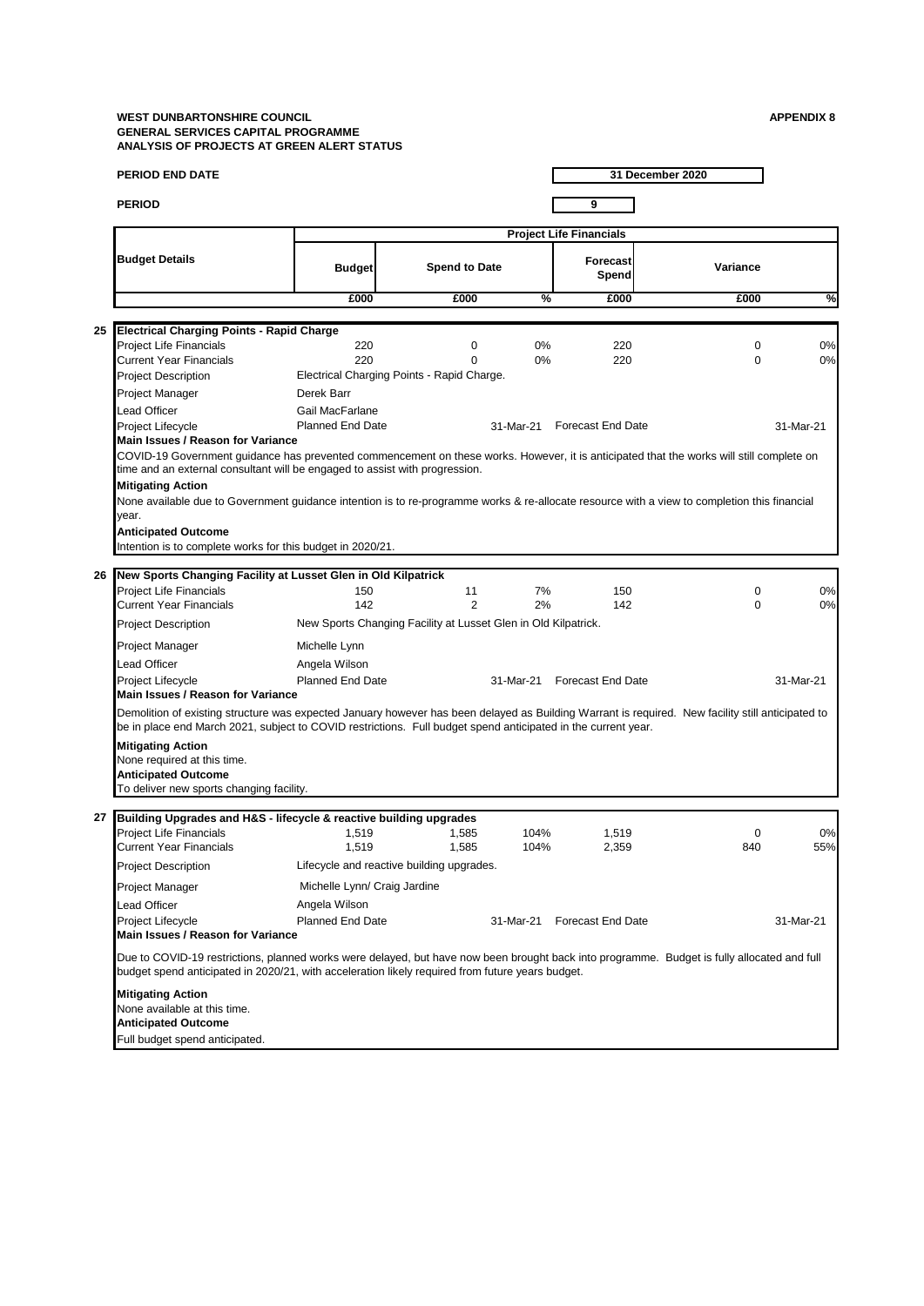|    | <b>PERIOD END DATE</b>                                                                                                                                                                                                                                                                                                                                                                                                                                                                                   |                                |                                                                |              |                             | 31 December 2020 |           |  |  |
|----|----------------------------------------------------------------------------------------------------------------------------------------------------------------------------------------------------------------------------------------------------------------------------------------------------------------------------------------------------------------------------------------------------------------------------------------------------------------------------------------------------------|--------------------------------|----------------------------------------------------------------|--------------|-----------------------------|------------------|-----------|--|--|
|    | <b>PERIOD</b>                                                                                                                                                                                                                                                                                                                                                                                                                                                                                            |                                |                                                                |              | 9                           |                  |           |  |  |
|    |                                                                                                                                                                                                                                                                                                                                                                                                                                                                                                          | <b>Project Life Financials</b> |                                                                |              |                             |                  |           |  |  |
|    | <b>Budget Details</b>                                                                                                                                                                                                                                                                                                                                                                                                                                                                                    | <b>Budget</b>                  | <b>Spend to Date</b>                                           |              | Forecast<br>Spend           | Variance         |           |  |  |
|    |                                                                                                                                                                                                                                                                                                                                                                                                                                                                                                          | £000                           | £000                                                           | %            | £000                        | £000             | %         |  |  |
|    |                                                                                                                                                                                                                                                                                                                                                                                                                                                                                                          |                                |                                                                |              |                             |                  |           |  |  |
| 25 | <b>Electrical Charging Points - Rapid Charge</b><br><b>Project Life Financials</b>                                                                                                                                                                                                                                                                                                                                                                                                                       | 220                            | 0                                                              | 0%           | 220                         | 0                | 0%        |  |  |
|    | <b>Current Year Financials</b>                                                                                                                                                                                                                                                                                                                                                                                                                                                                           | 220                            | $\Omega$                                                       | 0%           | 220                         | 0                | 0%        |  |  |
|    | <b>Project Description</b>                                                                                                                                                                                                                                                                                                                                                                                                                                                                               |                                | Electrical Charging Points - Rapid Charge.                     |              |                             |                  |           |  |  |
|    | Project Manager                                                                                                                                                                                                                                                                                                                                                                                                                                                                                          | Derek Barr                     |                                                                |              |                             |                  |           |  |  |
|    | Lead Officer                                                                                                                                                                                                                                                                                                                                                                                                                                                                                             | Gail MacFarlane                |                                                                |              |                             |                  |           |  |  |
|    | Project Lifecycle<br>Main Issues / Reason for Variance                                                                                                                                                                                                                                                                                                                                                                                                                                                   | <b>Planned End Date</b>        |                                                                | 31-Mar-21    | <b>Forecast End Date</b>    |                  | 31-Mar-21 |  |  |
|    | COVID-19 Government guidance has prevented commencement on these works. However, it is anticipated that the works will still complete on<br>time and an external consultant will be engaged to assist with progression.<br><b>Mitigating Action</b><br>None available due to Government guidance intention is to re-programme works & re-allocate resource with a view to completion this financial<br>year.<br><b>Anticipated Outcome</b><br>Intention is to complete works for this budget in 2020/21. |                                |                                                                |              |                             |                  |           |  |  |
| 26 | New Sports Changing Facility at Lusset Glen in Old Kilpatrick                                                                                                                                                                                                                                                                                                                                                                                                                                            |                                |                                                                |              |                             |                  |           |  |  |
|    | <b>Project Life Financials</b><br><b>Current Year Financials</b>                                                                                                                                                                                                                                                                                                                                                                                                                                         | 150<br>142                     | 11<br>$\overline{2}$                                           | 7%<br>2%     | 150<br>142                  | $\mathbf 0$<br>0 | 0%<br>0%  |  |  |
|    | <b>Project Description</b>                                                                                                                                                                                                                                                                                                                                                                                                                                                                               |                                | New Sports Changing Facility at Lusset Glen in Old Kilpatrick. |              |                             |                  |           |  |  |
|    | Project Manager                                                                                                                                                                                                                                                                                                                                                                                                                                                                                          | Michelle Lynn                  |                                                                |              |                             |                  |           |  |  |
|    | Lead Officer                                                                                                                                                                                                                                                                                                                                                                                                                                                                                             | Angela Wilson                  |                                                                |              |                             |                  |           |  |  |
|    | Project Lifecycle<br>Main Issues / Reason for Variance                                                                                                                                                                                                                                                                                                                                                                                                                                                   | <b>Planned End Date</b>        |                                                                | 31-Mar-21    | <b>Forecast End Date</b>    |                  | 31-Mar-21 |  |  |
|    | Demolition of existing structure was expected January however has been delayed as Building Warrant is required. New facility still anticipated to<br>be in place end March 2021, subject to COVID restrictions. Full budget spend anticipated in the current year.                                                                                                                                                                                                                                       |                                |                                                                |              |                             |                  |           |  |  |
|    | <b>Mitigating Action</b><br>None required at this time.<br><b>Anticipated Outcome</b><br>To deliver new sports changing facility.                                                                                                                                                                                                                                                                                                                                                                        |                                |                                                                |              |                             |                  |           |  |  |
| 27 | Building Upgrades and H&S - lifecycle & reactive building upgrades                                                                                                                                                                                                                                                                                                                                                                                                                                       |                                |                                                                |              |                             |                  |           |  |  |
|    | <b>Project Life Financials</b><br>Current Year Financials                                                                                                                                                                                                                                                                                                                                                                                                                                                | 1,519<br>1.519                 | 1,585<br>1,585                                                 | 104%<br>104% | 1,519<br>2,359              | 0<br>840         | 0%<br>55% |  |  |
|    | <b>Project Description</b>                                                                                                                                                                                                                                                                                                                                                                                                                                                                               |                                | Lifecycle and reactive building upgrades.                      |              |                             |                  |           |  |  |
|    | Project Manager                                                                                                                                                                                                                                                                                                                                                                                                                                                                                          | Michelle Lynn/ Craig Jardine   |                                                                |              |                             |                  |           |  |  |
|    | Lead Officer                                                                                                                                                                                                                                                                                                                                                                                                                                                                                             | Angela Wilson                  |                                                                |              |                             |                  |           |  |  |
|    | Project Lifecycle<br>Main Issues / Reason for Variance                                                                                                                                                                                                                                                                                                                                                                                                                                                   | <b>Planned End Date</b>        |                                                                |              | 31-Mar-21 Forecast End Date |                  | 31-Mar-21 |  |  |
|    | Due to COVID-19 restrictions, planned works were delayed, but have now been brought back into programme. Budget is fully allocated and full<br>budget spend anticipated in 2020/21, with acceleration likely required from future years budget.                                                                                                                                                                                                                                                          |                                |                                                                |              |                             |                  |           |  |  |
|    | <b>Mitigating Action</b><br>None available at this time.<br><b>Anticipated Outcome</b><br>Full budget spend anticipated.                                                                                                                                                                                                                                                                                                                                                                                 |                                |                                                                |              |                             |                  |           |  |  |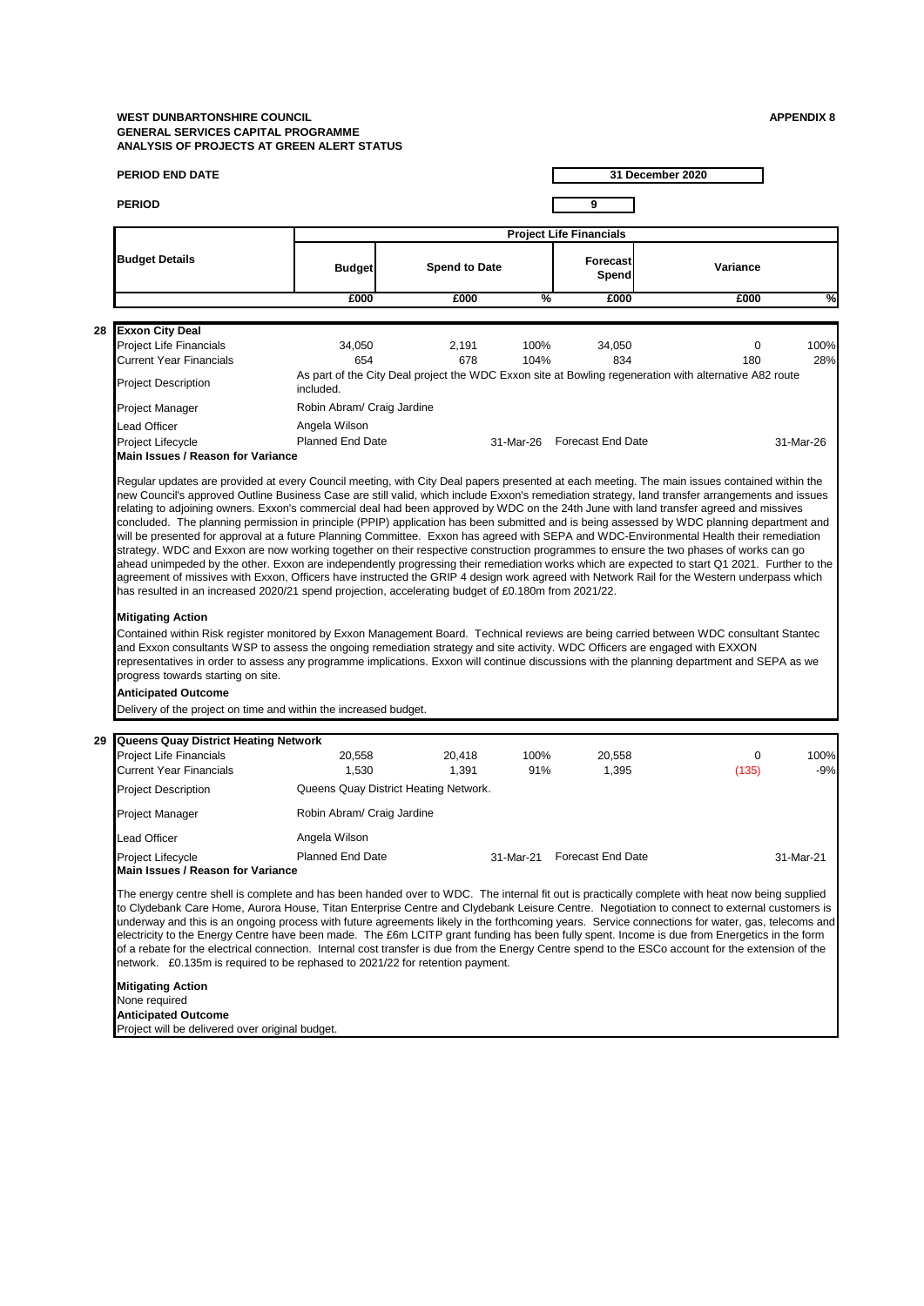**28 Purchase of gritters**

**29**

| <b>PERIOD</b>                                                                                                                                                                                                                                                                                                                                                                                                                                                                                                                                                                                                                                                                                                                                                                                                                               |                                       |                                | 31 December 2020 |                             |                                                                                                                                               |  |  |  |  |
|---------------------------------------------------------------------------------------------------------------------------------------------------------------------------------------------------------------------------------------------------------------------------------------------------------------------------------------------------------------------------------------------------------------------------------------------------------------------------------------------------------------------------------------------------------------------------------------------------------------------------------------------------------------------------------------------------------------------------------------------------------------------------------------------------------------------------------------------|---------------------------------------|--------------------------------|------------------|-----------------------------|-----------------------------------------------------------------------------------------------------------------------------------------------|--|--|--|--|
|                                                                                                                                                                                                                                                                                                                                                                                                                                                                                                                                                                                                                                                                                                                                                                                                                                             |                                       |                                | 9                |                             |                                                                                                                                               |  |  |  |  |
|                                                                                                                                                                                                                                                                                                                                                                                                                                                                                                                                                                                                                                                                                                                                                                                                                                             |                                       | <b>Project Life Financials</b> |                  |                             |                                                                                                                                               |  |  |  |  |
| <b>Budget Details</b>                                                                                                                                                                                                                                                                                                                                                                                                                                                                                                                                                                                                                                                                                                                                                                                                                       | <b>Budget</b>                         | <b>Spend to Date</b>           |                  | <b>Forecast</b><br>Spend    | Variance                                                                                                                                      |  |  |  |  |
|                                                                                                                                                                                                                                                                                                                                                                                                                                                                                                                                                                                                                                                                                                                                                                                                                                             | £000                                  | £000                           | %                | £000                        | £000<br>%                                                                                                                                     |  |  |  |  |
|                                                                                                                                                                                                                                                                                                                                                                                                                                                                                                                                                                                                                                                                                                                                                                                                                                             |                                       |                                |                  |                             |                                                                                                                                               |  |  |  |  |
| <b>Exxon City Deal</b><br><b>Project Life Financials</b><br><b>Current Year Financials</b>                                                                                                                                                                                                                                                                                                                                                                                                                                                                                                                                                                                                                                                                                                                                                  | 34,050<br>654                         | 2,191<br>678                   | 100%<br>104%     | 34,050<br>834               | 100%<br>0<br>180<br>28%                                                                                                                       |  |  |  |  |
| <b>Project Description</b>                                                                                                                                                                                                                                                                                                                                                                                                                                                                                                                                                                                                                                                                                                                                                                                                                  | included.                             |                                |                  |                             | As part of the City Deal project the WDC Exxon site at Bowling regeneration with alternative A82 route                                        |  |  |  |  |
| Project Manager                                                                                                                                                                                                                                                                                                                                                                                                                                                                                                                                                                                                                                                                                                                                                                                                                             | Robin Abram/ Craig Jardine            |                                |                  |                             |                                                                                                                                               |  |  |  |  |
| <b>Lead Officer</b>                                                                                                                                                                                                                                                                                                                                                                                                                                                                                                                                                                                                                                                                                                                                                                                                                         | Angela Wilson                         |                                |                  |                             |                                                                                                                                               |  |  |  |  |
| Project Lifecycle<br>Main Issues / Reason for Variance                                                                                                                                                                                                                                                                                                                                                                                                                                                                                                                                                                                                                                                                                                                                                                                      | <b>Planned End Date</b>               |                                |                  | 31-Mar-26 Forecast End Date | 31-Mar-26                                                                                                                                     |  |  |  |  |
| will be presented for approval at a future Planning Committee. Exxon has agreed with SEPA and WDC-Environmental Health their remediation<br>strategy. WDC and Exxon are now working together on their respective construction programmes to ensure the two phases of works can go<br>agreement of missives with Exxon, Officers have instructed the GRIP 4 design work agreed with Network Rail for the Western underpass which<br>has resulted in an increased 2020/21 spend projection, accelerating budget of £0.180m from 2021/22.<br><b>Mitigating Action</b><br>Contained within Risk register monitored by Exxon Management Board. Technical reviews are being carried between WDC consultant Stantec<br>and Exxon consultants WSP to assess the ongoing remediation strategy and site activity. WDC Officers are engaged with EXXON |                                       |                                |                  |                             | ahead unimpeded by the other. Exxon are independently progressing their remediation works which are expected to start Q1 2021. Further to the |  |  |  |  |
| progress towards starting on site.<br><b>Anticipated Outcome</b><br>Delivery of the project on time and within the increased budget.                                                                                                                                                                                                                                                                                                                                                                                                                                                                                                                                                                                                                                                                                                        |                                       |                                |                  |                             | representatives in order to assess any programme implications. Exxon will continue discussions with the planning department and SEPA as we    |  |  |  |  |
|                                                                                                                                                                                                                                                                                                                                                                                                                                                                                                                                                                                                                                                                                                                                                                                                                                             |                                       |                                |                  |                             |                                                                                                                                               |  |  |  |  |
| Queens Quay District Heating Network<br><b>Project Life Financials</b><br><b>Current Year Financials</b>                                                                                                                                                                                                                                                                                                                                                                                                                                                                                                                                                                                                                                                                                                                                    | 20,558<br>1,530                       | 20,418<br>1,391                | 100%<br>91%      | 20,558<br>1,395             | 100%<br>0<br>(135)<br>$-9%$                                                                                                                   |  |  |  |  |
| <b>Project Description</b>                                                                                                                                                                                                                                                                                                                                                                                                                                                                                                                                                                                                                                                                                                                                                                                                                  | Queens Quay District Heating Network. |                                |                  |                             |                                                                                                                                               |  |  |  |  |
| <b>Project Manager</b>                                                                                                                                                                                                                                                                                                                                                                                                                                                                                                                                                                                                                                                                                                                                                                                                                      | Robin Abram/ Craig Jardine            |                                |                  |                             |                                                                                                                                               |  |  |  |  |
| <b>Lead Officer</b>                                                                                                                                                                                                                                                                                                                                                                                                                                                                                                                                                                                                                                                                                                                                                                                                                         | Angela Wilson                         |                                |                  |                             |                                                                                                                                               |  |  |  |  |
| <b>Project Lifecycle</b><br>Main Issues / Reason for Variance                                                                                                                                                                                                                                                                                                                                                                                                                                                                                                                                                                                                                                                                                                                                                                               | <b>Planned End Date</b>               |                                |                  | 31-Mar-21 Forecast End Date | 31-Mar-21                                                                                                                                     |  |  |  |  |